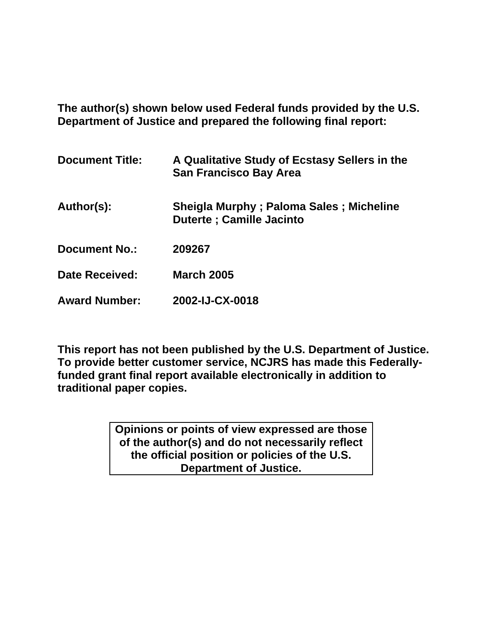**The author(s) shown below used Federal funds provided by the U.S. Department of Justice and prepared the following final report:** 

| <b>Document Title:</b> | A Qualitative Study of Ecstasy Sellers in the<br><b>San Francisco Bay Area</b> |
|------------------------|--------------------------------------------------------------------------------|
| Author(s):             | Sheigla Murphy; Paloma Sales; Micheline<br><b>Duterte : Camille Jacinto</b>    |
| <b>Document No.:</b>   | 209267                                                                         |
| Date Received:         | <b>March 2005</b>                                                              |
| <b>Award Number:</b>   | 2002-IJ-CX-0018                                                                |

**This report has not been published by the U.S. Department of Justice. To provide better customer service, NCJRS has made this Federallyfunded grant final report available electronically in addition to traditional paper copies.**

> **Opinions or points of view expressed are those of the author(s) and do not necessarily reflect the official position or policies of the U.S. Department of Justice.**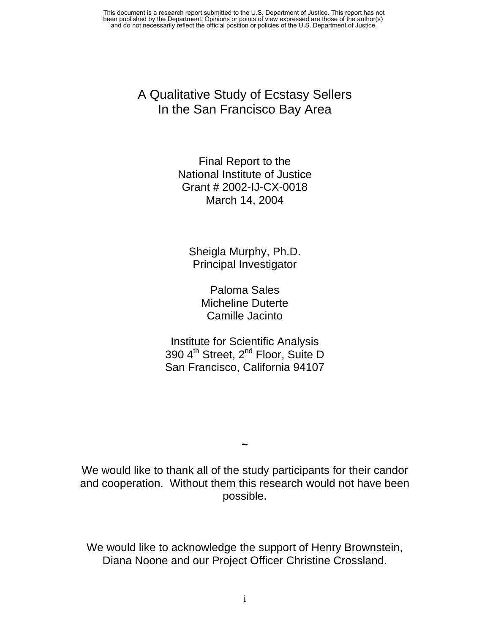> A Qualitative Study of Ecstasy Sellers In the San Francisco Bay Area

> > Final Report to the National Institute of Justice Grant # 2002-IJ-CX-0018 March 14, 2004

Sheigla Murphy, Ph.D. Principal Investigator

> Paloma Sales Micheline Duterte Camille Jacinto

Institute for Scientific Analysis 390 4<sup>th</sup> Street, 2<sup>nd</sup> Floor, Suite D San Francisco, California 94107

We would like to thank all of the study participants for their candor and cooperation. Without them this research would not have been possible.

**~** 

We would like to acknowledge the support of Henry Brownstein, Diana Noone and our Project Officer Christine Crossland.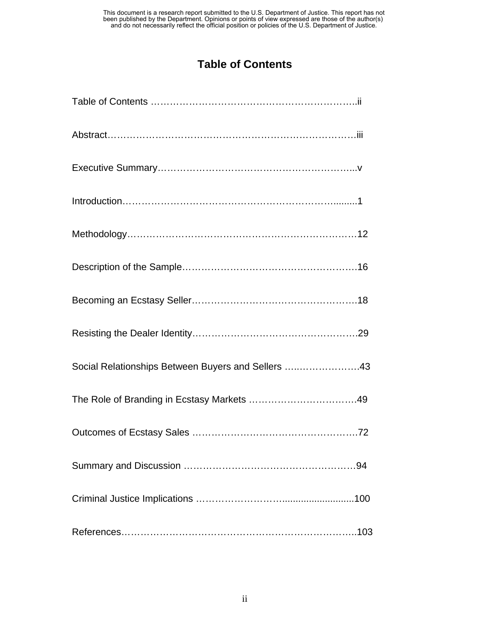## **Table of Contents**

| Social Relationships Between Buyers and Sellers 43 |
|----------------------------------------------------|
|                                                    |
|                                                    |
|                                                    |
|                                                    |
|                                                    |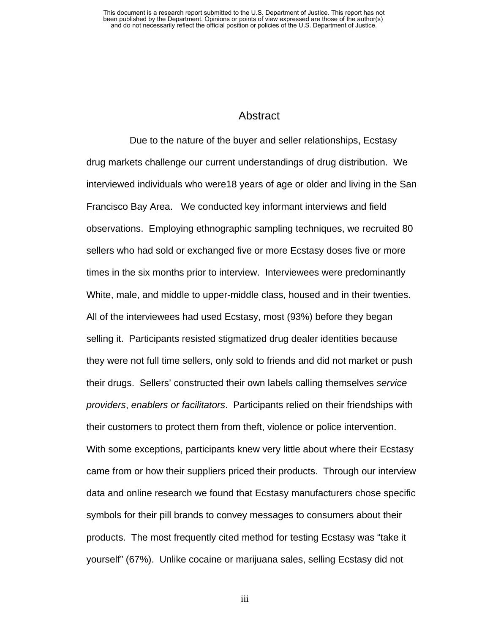### **Abstract**

 Due to the nature of the buyer and seller relationships, Ecstasy drug markets challenge our current understandings of drug distribution. We interviewed individuals who were18 years of age or older and living in the San Francisco Bay Area. We conducted key informant interviews and field observations. Employing ethnographic sampling techniques, we recruited 80 sellers who had sold or exchanged five or more Ecstasy doses five or more times in the six months prior to interview. Interviewees were predominantly White, male, and middle to upper-middle class, housed and in their twenties. All of the interviewees had used Ecstasy, most (93%) before they began selling it. Participants resisted stigmatized drug dealer identities because they were not full time sellers, only sold to friends and did not market or push their drugs. Sellers' constructed their own labels calling themselves *service providers*, *enablers or facilitators*. Participants relied on their friendships with their customers to protect them from theft, violence or police intervention. With some exceptions, participants knew very little about where their Ecstasy came from or how their suppliers priced their products. Through our interview data and online research we found that Ecstasy manufacturers chose specific symbols for their pill brands to convey messages to consumers about their products. The most frequently cited method for testing Ecstasy was "take it yourself" (67%). Unlike cocaine or marijuana sales, selling Ecstasy did not

iii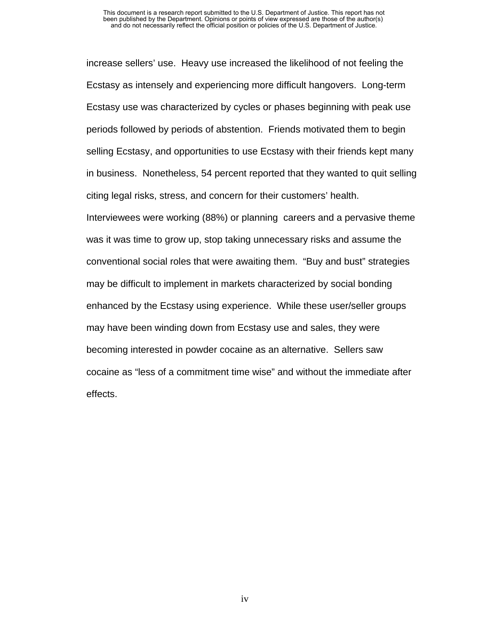increase sellers' use. Heavy use increased the likelihood of not feeling the Ecstasy as intensely and experiencing more difficult hangovers. Long-term Ecstasy use was characterized by cycles or phases beginning with peak use periods followed by periods of abstention. Friends motivated them to begin selling Ecstasy, and opportunities to use Ecstasy with their friends kept many in business. Nonetheless, 54 percent reported that they wanted to quit selling citing legal risks, stress, and concern for their customers' health. Interviewees were working (88%) or planning careers and a pervasive theme was it was time to grow up, stop taking unnecessary risks and assume the conventional social roles that were awaiting them. "Buy and bust" strategies may be difficult to implement in markets characterized by social bonding enhanced by the Ecstasy using experience. While these user/seller groups may have been winding down from Ecstasy use and sales, they were becoming interested in powder cocaine as an alternative. Sellers saw cocaine as "less of a commitment time wise" and without the immediate after effects.

iv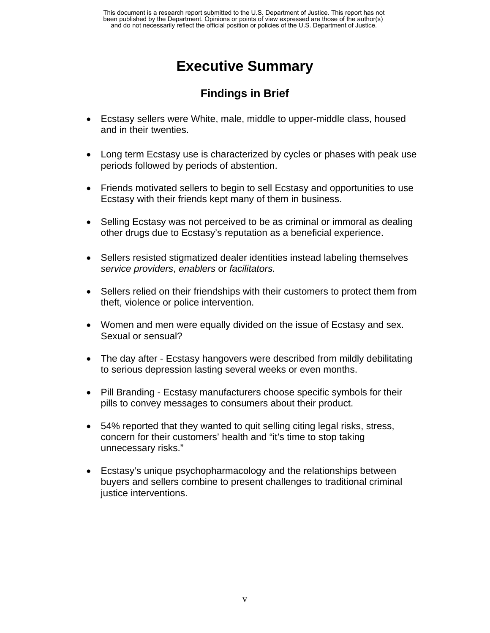# **Executive Summary**

# **Findings in Brief**

- Ecstasy sellers were White, male, middle to upper-middle class, housed and in their twenties.
- Long term Ecstasy use is characterized by cycles or phases with peak use periods followed by periods of abstention.
- Friends motivated sellers to begin to sell Ecstasy and opportunities to use Ecstasy with their friends kept many of them in business.
- Selling Ecstasy was not perceived to be as criminal or immoral as dealing other drugs due to Ecstasy's reputation as a beneficial experience.
- Sellers resisted stigmatized dealer identities instead labeling themselves *service providers*, *enablers* or *facilitators.*
- Sellers relied on their friendships with their customers to protect them from theft, violence or police intervention.
- Women and men were equally divided on the issue of Ecstasy and sex. Sexual or sensual?
- The day after Ecstasy hangovers were described from mildly debilitating to serious depression lasting several weeks or even months.
- Pill Branding Ecstasy manufacturers choose specific symbols for their pills to convey messages to consumers about their product.
- 54% reported that they wanted to quit selling citing legal risks, stress, concern for their customers' health and "it's time to stop taking unnecessary risks."
- Ecstasy's unique psychopharmacology and the relationships between buyers and sellers combine to present challenges to traditional criminal justice interventions.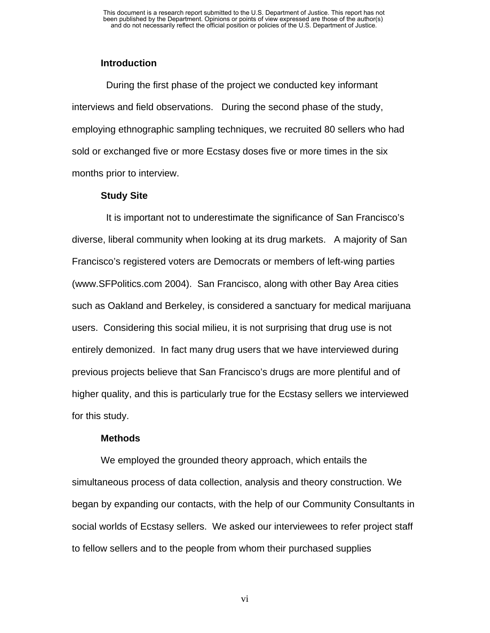### **Introduction**

 During the first phase of the project we conducted key informant interviews and field observations. During the second phase of the study, employing ethnographic sampling techniques, we recruited 80 sellers who had sold or exchanged five or more Ecstasy doses five or more times in the six months prior to interview.

#### **Study Site**

 It is important not to underestimate the significance of San Francisco's diverse, liberal community when looking at its drug markets. A majority of San Francisco's registered voters are Democrats or members of left-wing parties (www.SFPolitics.com 2004). San Francisco, along with other Bay Area cities such as Oakland and Berkeley, is considered a sanctuary for medical marijuana users. Considering this social milieu, it is not surprising that drug use is not entirely demonized. In fact many drug users that we have interviewed during previous projects believe that San Francisco's drugs are more plentiful and of higher quality, and this is particularly true for the Ecstasy sellers we interviewed for this study.

#### **Methods**

We employed the grounded theory approach, which entails the simultaneous process of data collection, analysis and theory construction. We began by expanding our contacts, with the help of our Community Consultants in social worlds of Ecstasy sellers. We asked our interviewees to refer project staff to fellow sellers and to the people from whom their purchased supplies

vi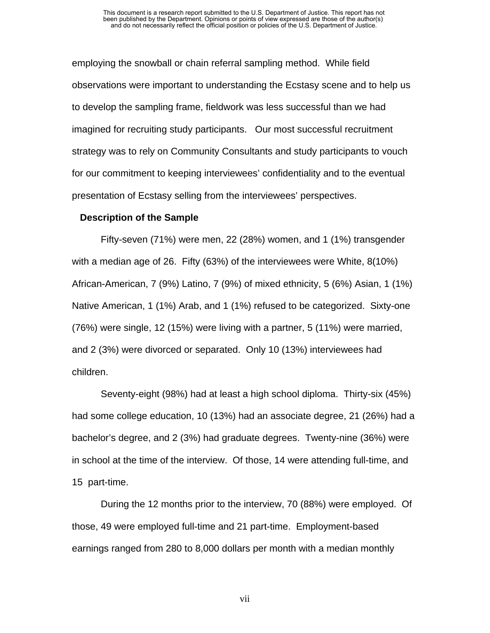employing the snowball or chain referral sampling method. While field observations were important to understanding the Ecstasy scene and to help us to develop the sampling frame, fieldwork was less successful than we had imagined for recruiting study participants. Our most successful recruitment strategy was to rely on Community Consultants and study participants to vouch for our commitment to keeping interviewees' confidentiality and to the eventual presentation of Ecstasy selling from the interviewees' perspectives.

#### **Description of the Sample**

Fifty-seven (71%) were men, 22 (28%) women, and 1 (1%) transgender with a median age of 26. Fifty (63%) of the interviewees were White, 8(10%) African-American, 7 (9%) Latino, 7 (9%) of mixed ethnicity, 5 (6%) Asian, 1 (1%) Native American, 1 (1%) Arab, and 1 (1%) refused to be categorized. Sixty-one (76%) were single, 12 (15%) were living with a partner, 5 (11%) were married, and 2 (3%) were divorced or separated. Only 10 (13%) interviewees had children.

Seventy-eight (98%) had at least a high school diploma. Thirty-six (45%) had some college education, 10 (13%) had an associate degree, 21 (26%) had a bachelor's degree, and 2 (3%) had graduate degrees. Twenty-nine (36%) were in school at the time of the interview. Of those, 14 were attending full-time, and 15 part-time.

During the 12 months prior to the interview, 70 (88%) were employed. Of those, 49 were employed full-time and 21 part-time. Employment-based earnings ranged from 280 to 8,000 dollars per month with a median monthly

vii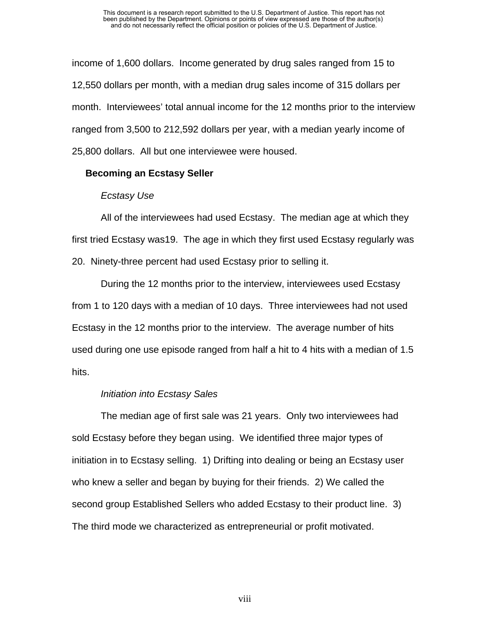income of 1,600 dollars. Income generated by drug sales ranged from 15 to 12,550 dollars per month, with a median drug sales income of 315 dollars per month. Interviewees' total annual income for the 12 months prior to the interview ranged from 3,500 to 212,592 dollars per year, with a median yearly income of 25,800 dollars. All but one interviewee were housed.

#### **Becoming an Ecstasy Seller**

### *Ecstasy Use*

All of the interviewees had used Ecstasy. The median age at which they first tried Ecstasy was19. The age in which they first used Ecstasy regularly was 20. Ninety-three percent had used Ecstasy prior to selling it.

During the 12 months prior to the interview, interviewees used Ecstasy from 1 to 120 days with a median of 10 days. Three interviewees had not used Ecstasy in the 12 months prior to the interview. The average number of hits used during one use episode ranged from half a hit to 4 hits with a median of 1.5 hits.

### *Initiation into Ecstasy Sales*

The median age of first sale was 21 years. Only two interviewees had sold Ecstasy before they began using. We identified three major types of initiation in to Ecstasy selling. 1) Drifting into dealing or being an Ecstasy user who knew a seller and began by buying for their friends. 2) We called the second group Established Sellers who added Ecstasy to their product line. 3) The third mode we characterized as entrepreneurial or profit motivated.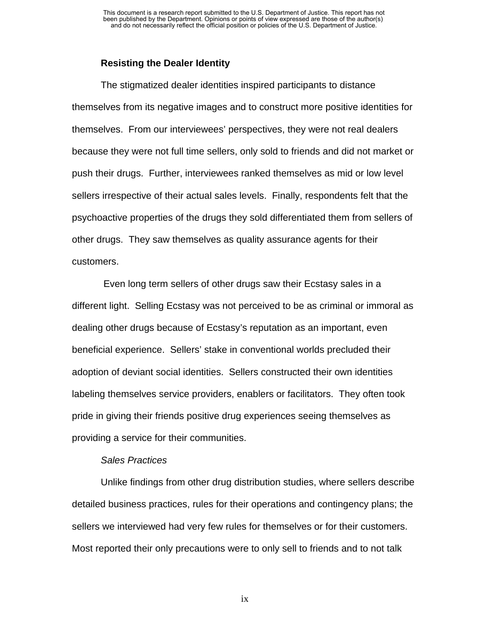#### **Resisting the Dealer Identity**

The stigmatized dealer identities inspired participants to distance themselves from its negative images and to construct more positive identities for themselves. From our interviewees' perspectives, they were not real dealers because they were not full time sellers, only sold to friends and did not market or push their drugs. Further, interviewees ranked themselves as mid or low level sellers irrespective of their actual sales levels. Finally, respondents felt that the psychoactive properties of the drugs they sold differentiated them from sellers of other drugs. They saw themselves as quality assurance agents for their customers.

 Even long term sellers of other drugs saw their Ecstasy sales in a different light. Selling Ecstasy was not perceived to be as criminal or immoral as dealing other drugs because of Ecstasy's reputation as an important, even beneficial experience. Sellers' stake in conventional worlds precluded their adoption of deviant social identities. Sellers constructed their own identities labeling themselves service providers, enablers or facilitators. They often took pride in giving their friends positive drug experiences seeing themselves as providing a service for their communities.

#### *Sales Practices*

Unlike findings from other drug distribution studies, where sellers describe detailed business practices, rules for their operations and contingency plans; the sellers we interviewed had very few rules for themselves or for their customers. Most reported their only precautions were to only sell to friends and to not talk

ix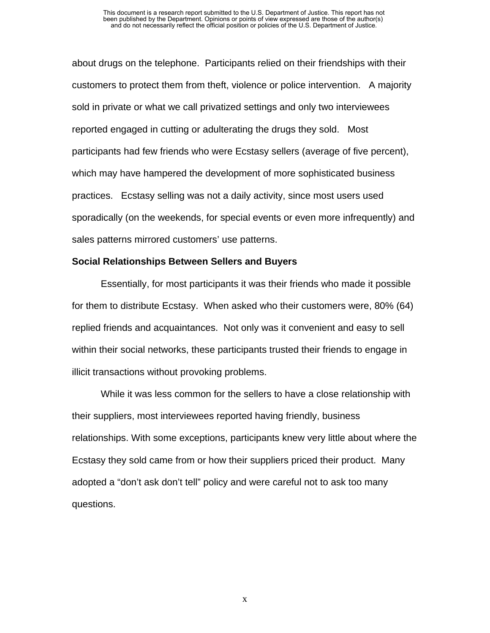about drugs on the telephone. Participants relied on their friendships with their customers to protect them from theft, violence or police intervention. A majority sold in private or what we call privatized settings and only two interviewees reported engaged in cutting or adulterating the drugs they sold. Most participants had few friends who were Ecstasy sellers (average of five percent), which may have hampered the development of more sophisticated business practices. Ecstasy selling was not a daily activity, since most users used sporadically (on the weekends, for special events or even more infrequently) and sales patterns mirrored customers' use patterns.

#### **Social Relationships Between Sellers and Buyers**

Essentially, for most participants it was their friends who made it possible for them to distribute Ecstasy. When asked who their customers were, 80% (64) replied friends and acquaintances. Not only was it convenient and easy to sell within their social networks, these participants trusted their friends to engage in illicit transactions without provoking problems.

While it was less common for the sellers to have a close relationship with their suppliers, most interviewees reported having friendly, business relationships. With some exceptions, participants knew very little about where the Ecstasy they sold came from or how their suppliers priced their product. Many adopted a "don't ask don't tell" policy and were careful not to ask too many questions.

x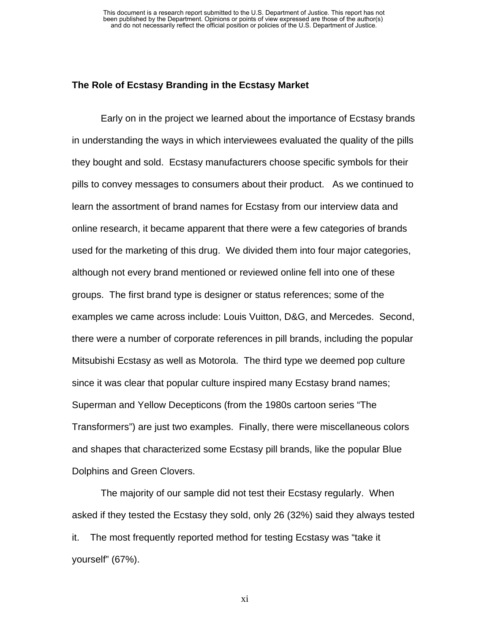#### **The Role of Ecstasy Branding in the Ecstasy Market**

Early on in the project we learned about the importance of Ecstasy brands in understanding the ways in which interviewees evaluated the quality of the pills they bought and sold. Ecstasy manufacturers choose specific symbols for their pills to convey messages to consumers about their product. As we continued to learn the assortment of brand names for Ecstasy from our interview data and online research, it became apparent that there were a few categories of brands used for the marketing of this drug. We divided them into four major categories, although not every brand mentioned or reviewed online fell into one of these groups. The first brand type is designer or status references; some of the examples we came across include: Louis Vuitton, D&G, and Mercedes. Second, there were a number of corporate references in pill brands, including the popular Mitsubishi Ecstasy as well as Motorola. The third type we deemed pop culture since it was clear that popular culture inspired many Ecstasy brand names; Superman and Yellow Decepticons (from the 1980s cartoon series "The Transformers") are just two examples. Finally, there were miscellaneous colors and shapes that characterized some Ecstasy pill brands, like the popular Blue Dolphins and Green Clovers.

The majority of our sample did not test their Ecstasy regularly. When asked if they tested the Ecstasy they sold, only 26 (32%) said they always tested it. The most frequently reported method for testing Ecstasy was "take it yourself" (67%).

xi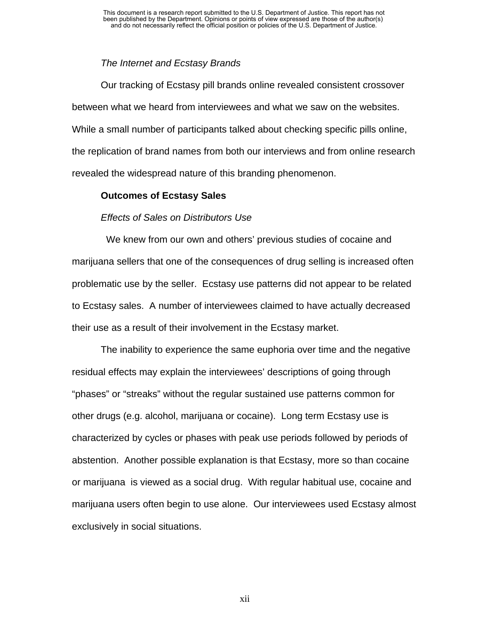### *The Internet and Ecstasy Brands*

Our tracking of Ecstasy pill brands online revealed consistent crossover between what we heard from interviewees and what we saw on the websites. While a small number of participants talked about checking specific pills online, the replication of brand names from both our interviews and from online research revealed the widespread nature of this branding phenomenon.

### **Outcomes of Ecstasy Sales**

### *Effects of Sales on Distributors Use*

 We knew from our own and others' previous studies of cocaine and marijuana sellers that one of the consequences of drug selling is increased often problematic use by the seller. Ecstasy use patterns did not appear to be related to Ecstasy sales. A number of interviewees claimed to have actually decreased their use as a result of their involvement in the Ecstasy market.

The inability to experience the same euphoria over time and the negative residual effects may explain the interviewees' descriptions of going through "phases" or "streaks" without the regular sustained use patterns common for other drugs (e.g. alcohol, marijuana or cocaine). Long term Ecstasy use is characterized by cycles or phases with peak use periods followed by periods of abstention. Another possible explanation is that Ecstasy, more so than cocaine or marijuana is viewed as a social drug. With regular habitual use, cocaine and marijuana users often begin to use alone. Our interviewees used Ecstasy almost exclusively in social situations.

xii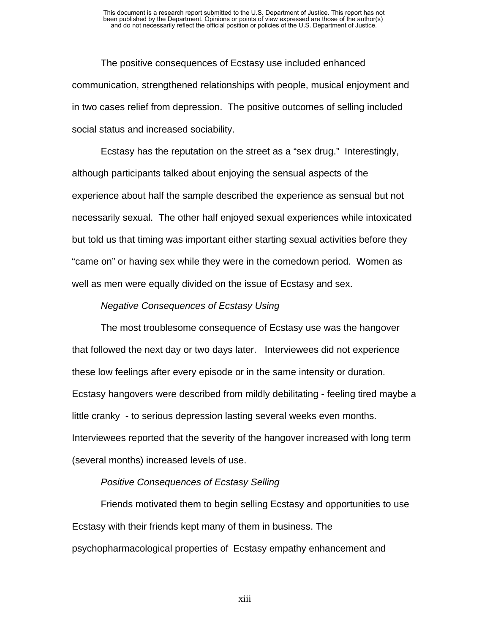The positive consequences of Ecstasy use included enhanced communication, strengthened relationships with people, musical enjoyment and in two cases relief from depression. The positive outcomes of selling included social status and increased sociability.

Ecstasy has the reputation on the street as a "sex drug." Interestingly, although participants talked about enjoying the sensual aspects of the experience about half the sample described the experience as sensual but not necessarily sexual. The other half enjoyed sexual experiences while intoxicated but told us that timing was important either starting sexual activities before they "came on" or having sex while they were in the comedown period. Women as well as men were equally divided on the issue of Ecstasy and sex.

#### *Negative Consequences of Ecstasy Using*

The most troublesome consequence of Ecstasy use was the hangover that followed the next day or two days later. Interviewees did not experience these low feelings after every episode or in the same intensity or duration. Ecstasy hangovers were described from mildly debilitating - feeling tired maybe a little cranky - to serious depression lasting several weeks even months. Interviewees reported that the severity of the hangover increased with long term (several months) increased levels of use.

#### *Positive Consequences of Ecstasy Selling*

Friends motivated them to begin selling Ecstasy and opportunities to use Ecstasy with their friends kept many of them in business. The psychopharmacological properties of Ecstasy empathy enhancement and

xiii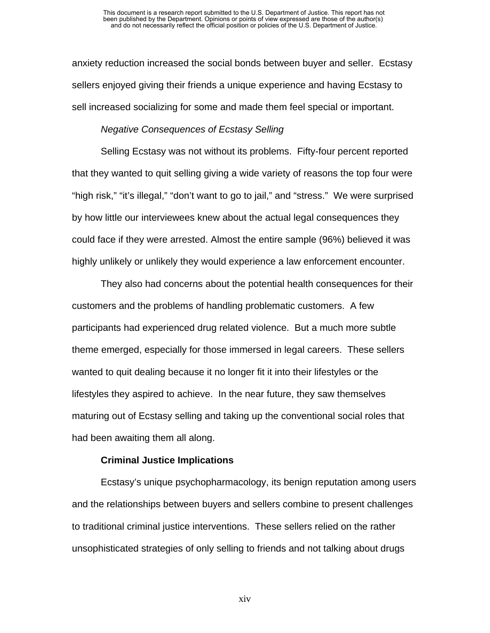anxiety reduction increased the social bonds between buyer and seller. Ecstasy sellers enjoyed giving their friends a unique experience and having Ecstasy to sell increased socializing for some and made them feel special or important.

#### *Negative Consequences of Ecstasy Selling*

Selling Ecstasy was not without its problems. Fifty-four percent reported that they wanted to quit selling giving a wide variety of reasons the top four were "high risk," "it's illegal," "don't want to go to jail," and "stress." We were surprised by how little our interviewees knew about the actual legal consequences they could face if they were arrested. Almost the entire sample (96%) believed it was highly unlikely or unlikely they would experience a law enforcement encounter.

They also had concerns about the potential health consequences for their customers and the problems of handling problematic customers. A few participants had experienced drug related violence. But a much more subtle theme emerged, especially for those immersed in legal careers. These sellers wanted to quit dealing because it no longer fit it into their lifestyles or the lifestyles they aspired to achieve. In the near future, they saw themselves maturing out of Ecstasy selling and taking up the conventional social roles that had been awaiting them all along.

#### **Criminal Justice Implications**

Ecstasy's unique psychopharmacology, its benign reputation among users and the relationships between buyers and sellers combine to present challenges to traditional criminal justice interventions. These sellers relied on the rather unsophisticated strategies of only selling to friends and not talking about drugs

xiv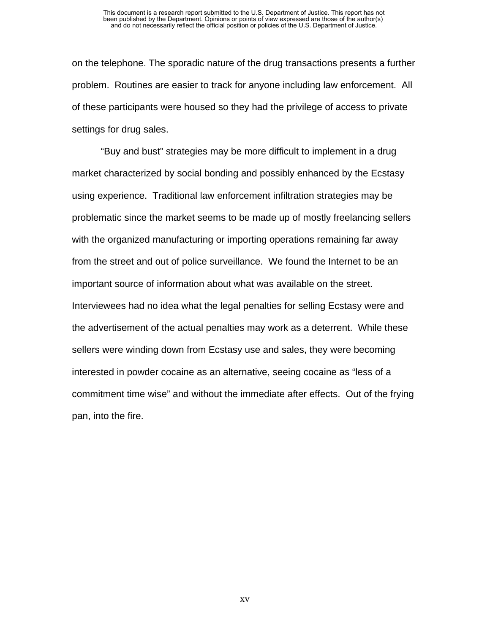on the telephone. The sporadic nature of the drug transactions presents a further problem. Routines are easier to track for anyone including law enforcement. All of these participants were housed so they had the privilege of access to private settings for drug sales.

"Buy and bust" strategies may be more difficult to implement in a drug market characterized by social bonding and possibly enhanced by the Ecstasy using experience. Traditional law enforcement infiltration strategies may be problematic since the market seems to be made up of mostly freelancing sellers with the organized manufacturing or importing operations remaining far away from the street and out of police surveillance. We found the Internet to be an important source of information about what was available on the street. Interviewees had no idea what the legal penalties for selling Ecstasy were and the advertisement of the actual penalties may work as a deterrent. While these sellers were winding down from Ecstasy use and sales, they were becoming interested in powder cocaine as an alternative, seeing cocaine as "less of a commitment time wise" and without the immediate after effects. Out of the frying pan, into the fire.

xv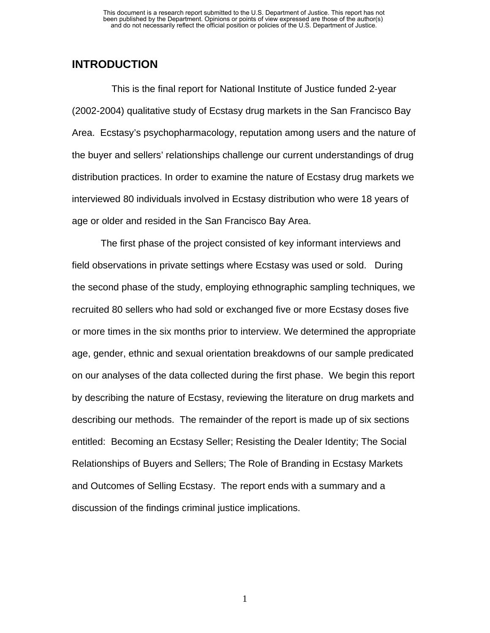### **INTRODUCTION**

 This is the final report for National Institute of Justice funded 2-year (2002-2004) qualitative study of Ecstasy drug markets in the San Francisco Bay Area. Ecstasy's psychopharmacology, reputation among users and the nature of the buyer and sellers' relationships challenge our current understandings of drug distribution practices. In order to examine the nature of Ecstasy drug markets we interviewed 80 individuals involved in Ecstasy distribution who were 18 years of age or older and resided in the San Francisco Bay Area.

The first phase of the project consisted of key informant interviews and field observations in private settings where Ecstasy was used or sold. During the second phase of the study, employing ethnographic sampling techniques, we recruited 80 sellers who had sold or exchanged five or more Ecstasy doses five or more times in the six months prior to interview. We determined the appropriate age, gender, ethnic and sexual orientation breakdowns of our sample predicated on our analyses of the data collected during the first phase. We begin this report by describing the nature of Ecstasy, reviewing the literature on drug markets and describing our methods. The remainder of the report is made up of six sections entitled: Becoming an Ecstasy Seller; Resisting the Dealer Identity; The Social Relationships of Buyers and Sellers; The Role of Branding in Ecstasy Markets and Outcomes of Selling Ecstasy. The report ends with a summary and a discussion of the findings criminal justice implications.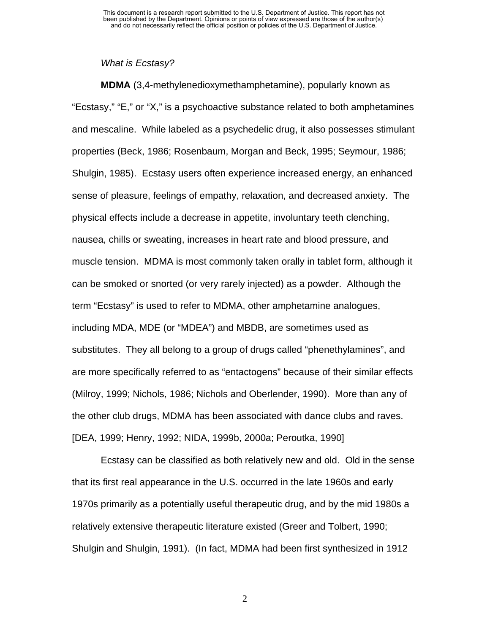#### *What is Ecstasy?*

**MDMA** (3,4-methylenedioxymethamphetamine), popularly known as "Ecstasy," "E," or "X," is a psychoactive substance related to both amphetamines and mescaline. While labeled as a psychedelic drug, it also possesses stimulant properties (Beck, 1986; Rosenbaum, Morgan and Beck, 1995; Seymour, 1986; Shulgin, 1985). Ecstasy users often experience increased energy, an enhanced sense of pleasure, feelings of empathy, relaxation, and decreased anxiety. The physical effects include a decrease in appetite, involuntary teeth clenching, nausea, chills or sweating, increases in heart rate and blood pressure, and muscle tension. MDMA is most commonly taken orally in tablet form, although it can be smoked or snorted (or very rarely injected) as a powder. Although the term "Ecstasy" is used to refer to MDMA, other amphetamine analogues, including MDA, MDE (or "MDEA") and MBDB, are sometimes used as substitutes. They all belong to a group of drugs called "phenethylamines", and are more specifically referred to as "entactogens" because of their similar effects (Milroy, 1999; Nichols, 1986; Nichols and Oberlender, 1990). More than any of the other club drugs, MDMA has been associated with dance clubs and raves. [DEA, 1999; Henry, 1992; NIDA, 1999b, 2000a; Peroutka, 1990]

Ecstasy can be classified as both relatively new and old. Old in the sense that its first real appearance in the U.S. occurred in the late 1960s and early 1970s primarily as a potentially useful therapeutic drug, and by the mid 1980s a relatively extensive therapeutic literature existed (Greer and Tolbert, 1990; Shulgin and Shulgin, 1991). (In fact, MDMA had been first synthesized in 1912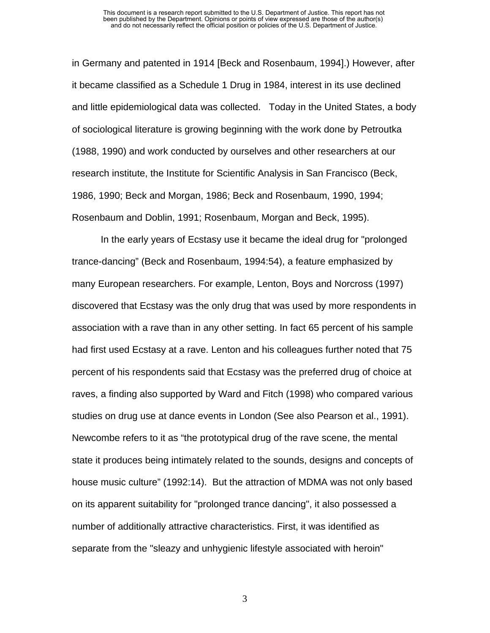in Germany and patented in 1914 [Beck and Rosenbaum, 1994].) However, after it became classified as a Schedule 1 Drug in 1984, interest in its use declined and little epidemiological data was collected. Today in the United States, a body of sociological literature is growing beginning with the work done by Petroutka (1988, 1990) and work conducted by ourselves and other researchers at our research institute, the Institute for Scientific Analysis in San Francisco (Beck, 1986, 1990; Beck and Morgan, 1986; Beck and Rosenbaum, 1990, 1994; Rosenbaum and Doblin, 1991; Rosenbaum, Morgan and Beck, 1995).

In the early years of Ecstasy use it became the ideal drug for "prolonged trance-dancing" (Beck and Rosenbaum, 1994:54), a feature emphasized by many European researchers. For example, Lenton, Boys and Norcross (1997) discovered that Ecstasy was the only drug that was used by more respondents in association with a rave than in any other setting. In fact 65 percent of his sample had first used Ecstasy at a rave. Lenton and his colleagues further noted that 75 percent of his respondents said that Ecstasy was the preferred drug of choice at raves, a finding also supported by Ward and Fitch (1998) who compared various studies on drug use at dance events in London (See also Pearson et al., 1991). Newcombe refers to it as "the prototypical drug of the rave scene, the mental state it produces being intimately related to the sounds, designs and concepts of house music culture" (1992:14). But the attraction of MDMA was not only based on its apparent suitability for "prolonged trance dancing", it also possessed a number of additionally attractive characteristics. First, it was identified as separate from the "sleazy and unhygienic lifestyle associated with heroin"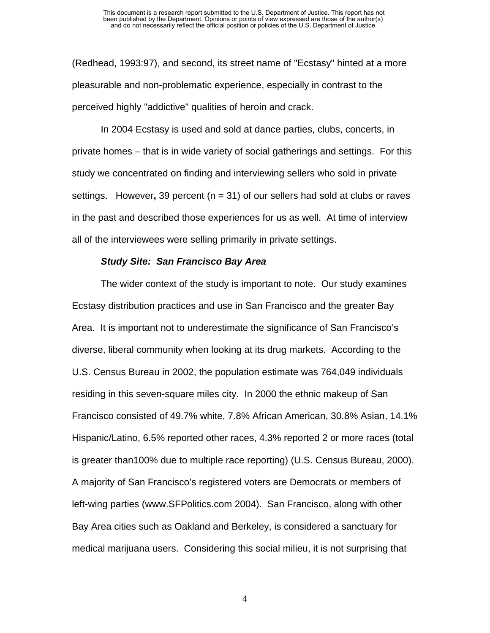(Redhead, 1993:97), and second, its street name of "Ecstasy" hinted at a more pleasurable and non-problematic experience, especially in contrast to the perceived highly "addictive" qualities of heroin and crack.

In 2004 Ecstasy is used and sold at dance parties, clubs, concerts, in private homes – that is in wide variety of social gatherings and settings. For this study we concentrated on finding and interviewing sellers who sold in private settings. However**,** 39 percent (n = 31) of our sellers had sold at clubs or raves in the past and described those experiences for us as well. At time of interview all of the interviewees were selling primarily in private settings.

#### *Study Site: San Francisco Bay Area*

 The wider context of the study is important to note. Our study examines Ecstasy distribution practices and use in San Francisco and the greater Bay Area. It is important not to underestimate the significance of San Francisco's diverse, liberal community when looking at its drug markets. According to the U.S. Census Bureau in 2002, the population estimate was 764,049 individuals residing in this seven-square miles city. In 2000 the ethnic makeup of San Francisco consisted of 49.7% white, 7.8% African American, 30.8% Asian, 14.1% Hispanic/Latino, 6.5% reported other races, 4.3% reported 2 or more races (total is greater than100% due to multiple race reporting) (U.S. Census Bureau, 2000). A majority of San Francisco's registered voters are Democrats or members of left-wing parties (www.SFPolitics.com 2004). San Francisco, along with other Bay Area cities such as Oakland and Berkeley, is considered a sanctuary for medical marijuana users. Considering this social milieu, it is not surprising that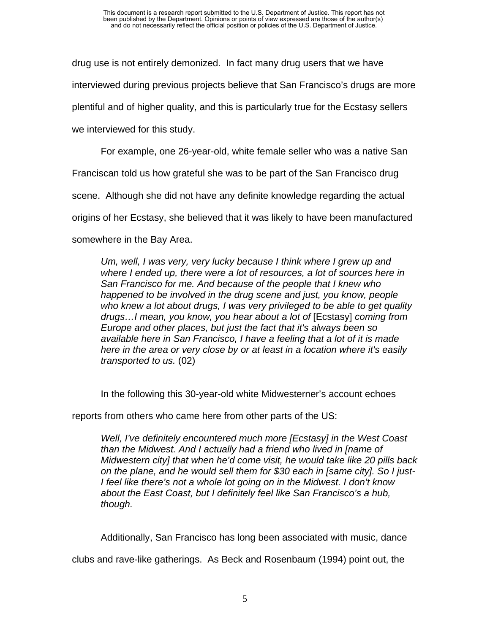drug use is not entirely demonized. In fact many drug users that we have interviewed during previous projects believe that San Francisco's drugs are more plentiful and of higher quality, and this is particularly true for the Ecstasy sellers we interviewed for this study.

For example, one 26-year-old, white female seller who was a native San

Franciscan told us how grateful she was to be part of the San Francisco drug

scene. Although she did not have any definite knowledge regarding the actual

origins of her Ecstasy, she believed that it was likely to have been manufactured

somewhere in the Bay Area.

*Um, well, I was very, very lucky because I think where I grew up and where I ended up, there were a lot of resources, a lot of sources here in San Francisco for me. And because of the people that I knew who happened to be involved in the drug scene and just, you know, people who knew a lot about drugs, I was very privileged to be able to get quality drugs…I mean, you know, you hear about a lot of* [Ecstasy] *coming from Europe and other places, but just the fact that it's always been so available here in San Francisco, I have a feeling that a lot of it is made here in the area or very close by or at least in a location where it's easily transported to us.* (02)

In the following this 30-year-old white Midwesterner's account echoes

reports from others who came here from other parts of the US:

*Well, I've definitely encountered much more [Ecstasy] in the West Coast than the Midwest. And I actually had a friend who lived in [name of Midwestern city] that when he'd come visit, he would take like 20 pills back on the plane, and he would sell them for \$30 each in [same city]. So I just-I feel like there's not a whole lot going on in the Midwest. I don't know about the East Coast, but I definitely feel like San Francisco's a hub, though.* 

Additionally, San Francisco has long been associated with music, dance

clubs and rave-like gatherings. As Beck and Rosenbaum (1994) point out, the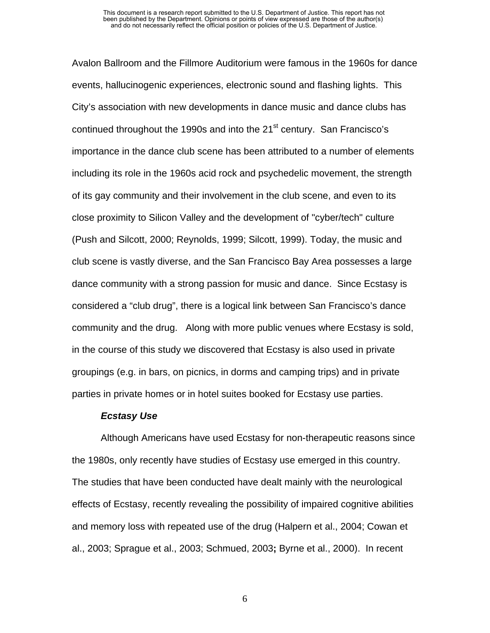Avalon Ballroom and the Fillmore Auditorium were famous in the 1960s for dance events, hallucinogenic experiences, electronic sound and flashing lights. This City's association with new developments in dance music and dance clubs has continued throughout the 1990s and into the  $21<sup>st</sup>$  century. San Francisco's importance in the dance club scene has been attributed to a number of elements including its role in the 1960s acid rock and psychedelic movement, the strength of its gay community and their involvement in the club scene, and even to its close proximity to Silicon Valley and the development of "cyber/tech" culture (Push and Silcott, 2000; Reynolds, 1999; Silcott, 1999). Today, the music and club scene is vastly diverse, and the San Francisco Bay Area possesses a large dance community with a strong passion for music and dance. Since Ecstasy is considered a "club drug", there is a logical link between San Francisco's dance community and the drug. Along with more public venues where Ecstasy is sold, in the course of this study we discovered that Ecstasy is also used in private groupings (e.g. in bars, on picnics, in dorms and camping trips) and in private parties in private homes or in hotel suites booked for Ecstasy use parties.

#### *Ecstasy Use*

Although Americans have used Ecstasy for non-therapeutic reasons since the 1980s, only recently have studies of Ecstasy use emerged in this country. The studies that have been conducted have dealt mainly with the neurological effects of Ecstasy, recently revealing the possibility of impaired cognitive abilities and memory loss with repeated use of the drug (Halpern et al., 2004; Cowan et al., 2003; Sprague et al., 2003; Schmued, 2003**;** Byrne et al., 2000). In recent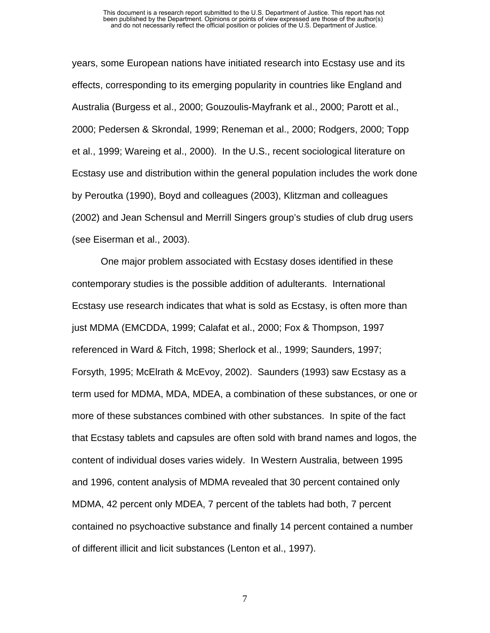years, some European nations have initiated research into Ecstasy use and its effects, corresponding to its emerging popularity in countries like England and Australia (Burgess et al., 2000; Gouzoulis-Mayfrank et al., 2000; Parott et al., 2000; Pedersen & Skrondal, 1999; Reneman et al., 2000; Rodgers, 2000; Topp et al., 1999; Wareing et al., 2000). In the U.S., recent sociological literature on Ecstasy use and distribution within the general population includes the work done by Peroutka (1990), Boyd and colleagues (2003), Klitzman and colleagues (2002) and Jean Schensul and Merrill Singers group's studies of club drug users (see Eiserman et al., 2003).

One major problem associated with Ecstasy doses identified in these contemporary studies is the possible addition of adulterants. International Ecstasy use research indicates that what is sold as Ecstasy, is often more than just MDMA (EMCDDA, 1999; Calafat et al., 2000; Fox & Thompson, 1997 referenced in Ward & Fitch, 1998; Sherlock et al., 1999; Saunders, 1997; Forsyth, 1995; McElrath & McEvoy, 2002). Saunders (1993) saw Ecstasy as a term used for MDMA, MDA, MDEA, a combination of these substances, or one or more of these substances combined with other substances. In spite of the fact that Ecstasy tablets and capsules are often sold with brand names and logos, the content of individual doses varies widely. In Western Australia, between 1995 and 1996, content analysis of MDMA revealed that 30 percent contained only MDMA, 42 percent only MDEA, 7 percent of the tablets had both, 7 percent contained no psychoactive substance and finally 14 percent contained a number of different illicit and licit substances (Lenton et al., 1997).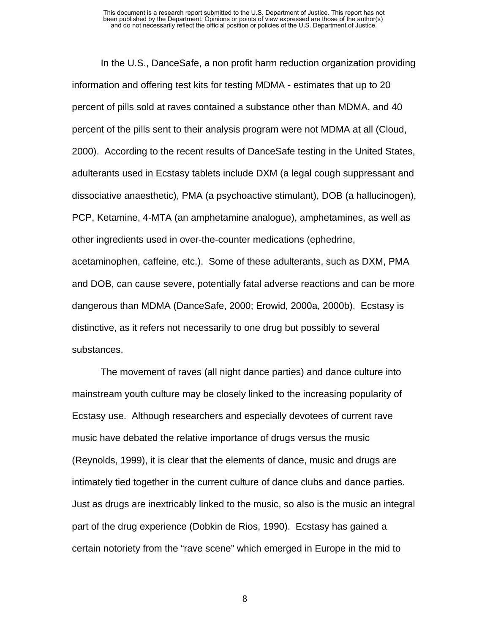In the U.S., DanceSafe, a non profit harm reduction organization providing information and offering test kits for testing MDMA - estimates that up to 20 percent of pills sold at raves contained a substance other than MDMA, and 40 percent of the pills sent to their analysis program were not MDMA at all (Cloud, 2000). According to the recent results of DanceSafe testing in the United States, adulterants used in Ecstasy tablets include DXM (a legal cough suppressant and dissociative anaesthetic), PMA (a psychoactive stimulant), DOB (a hallucinogen), PCP, Ketamine, 4-MTA (an amphetamine analogue), amphetamines, as well as other ingredients used in over-the-counter medications (ephedrine, acetaminophen, caffeine, etc.). Some of these adulterants, such as DXM, PMA and DOB, can cause severe, potentially fatal adverse reactions and can be more dangerous than MDMA (DanceSafe, 2000; Erowid, 2000a, 2000b). Ecstasy is distinctive, as it refers not necessarily to one drug but possibly to several substances.

The movement of raves (all night dance parties) and dance culture into mainstream youth culture may be closely linked to the increasing popularity of Ecstasy use. Although researchers and especially devotees of current rave music have debated the relative importance of drugs versus the music (Reynolds, 1999), it is clear that the elements of dance, music and drugs are intimately tied together in the current culture of dance clubs and dance parties. Just as drugs are inextricably linked to the music, so also is the music an integral part of the drug experience (Dobkin de Rios, 1990). Ecstasy has gained a certain notoriety from the "rave scene" which emerged in Europe in the mid to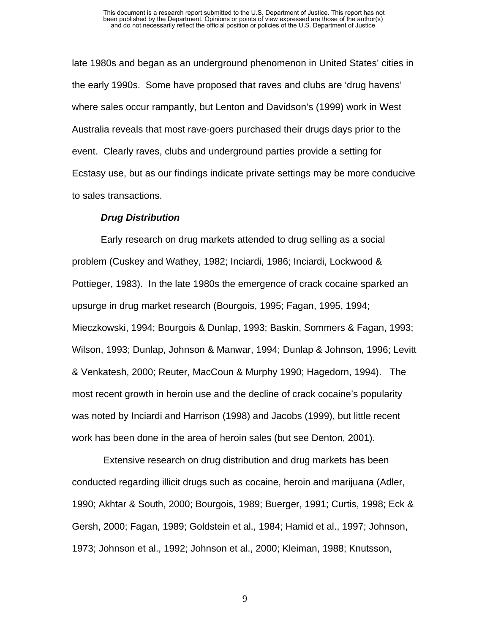late 1980s and began as an underground phenomenon in United States' cities in the early 1990s. Some have proposed that raves and clubs are 'drug havens' where sales occur rampantly, but Lenton and Davidson's (1999) work in West Australia reveals that most rave-goers purchased their drugs days prior to the event. Clearly raves, clubs and underground parties provide a setting for Ecstasy use, but as our findings indicate private settings may be more conducive to sales transactions.

#### *Drug Distribution*

Early research on drug markets attended to drug selling as a social problem (Cuskey and Wathey, 1982; Inciardi, 1986; Inciardi, Lockwood & Pottieger, 1983). In the late 1980s the emergence of crack cocaine sparked an upsurge in drug market research (Bourgois, 1995; Fagan, 1995, 1994; Mieczkowski, 1994; Bourgois & Dunlap, 1993; Baskin, Sommers & Fagan, 1993; Wilson, 1993; Dunlap, Johnson & Manwar, 1994; Dunlap & Johnson, 1996; Levitt & Venkatesh, 2000; Reuter, MacCoun & Murphy 1990; Hagedorn, 1994). The most recent growth in heroin use and the decline of crack cocaine's popularity was noted by Inciardi and Harrison (1998) and Jacobs (1999), but little recent work has been done in the area of heroin sales (but see Denton, 2001).

 Extensive research on drug distribution and drug markets has been conducted regarding illicit drugs such as cocaine, heroin and marijuana (Adler, 1990; Akhtar & South, 2000; Bourgois, 1989; Buerger, 1991; Curtis, 1998; Eck & Gersh, 2000; Fagan, 1989; Goldstein et al., 1984; Hamid et al., 1997; Johnson, 1973; Johnson et al., 1992; Johnson et al., 2000; Kleiman, 1988; Knutsson,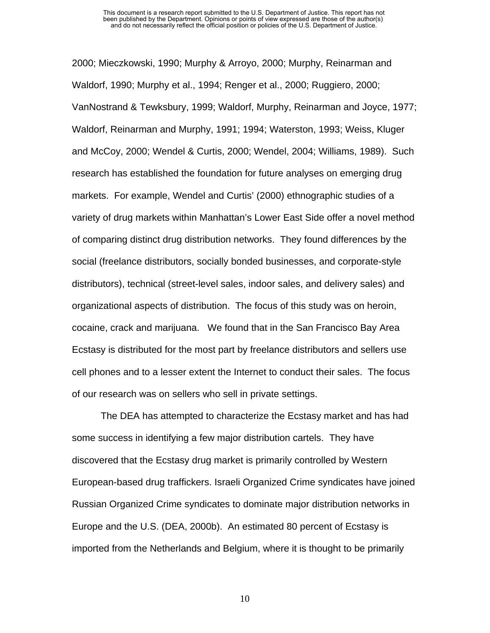2000; Mieczkowski, 1990; Murphy & Arroyo, 2000; Murphy, Reinarman and Waldorf, 1990; Murphy et al., 1994; Renger et al., 2000; Ruggiero, 2000; VanNostrand & Tewksbury, 1999; Waldorf, Murphy, Reinarman and Joyce, 1977; Waldorf, Reinarman and Murphy, 1991; 1994; Waterston, 1993; Weiss, Kluger and McCoy, 2000; Wendel & Curtis, 2000; Wendel, 2004; Williams, 1989). Such research has established the foundation for future analyses on emerging drug markets. For example, Wendel and Curtis' (2000) ethnographic studies of a variety of drug markets within Manhattan's Lower East Side offer a novel method of comparing distinct drug distribution networks. They found differences by the social (freelance distributors, socially bonded businesses, and corporate-style distributors), technical (street-level sales, indoor sales, and delivery sales) and organizational aspects of distribution. The focus of this study was on heroin, cocaine, crack and marijuana. We found that in the San Francisco Bay Area Ecstasy is distributed for the most part by freelance distributors and sellers use cell phones and to a lesser extent the Internet to conduct their sales. The focus of our research was on sellers who sell in private settings.

The DEA has attempted to characterize the Ecstasy market and has had some success in identifying a few major distribution cartels. They have discovered that the Ecstasy drug market is primarily controlled by Western European-based drug traffickers. Israeli Organized Crime syndicates have joined Russian Organized Crime syndicates to dominate major distribution networks in Europe and the U.S. (DEA, 2000b). An estimated 80 percent of Ecstasy is imported from the Netherlands and Belgium, where it is thought to be primarily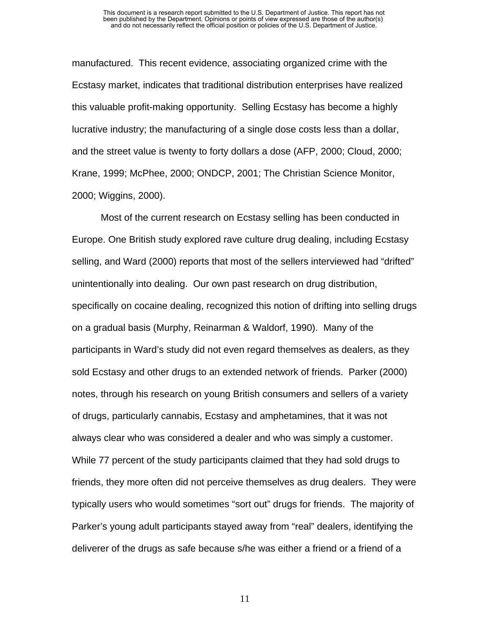manufactured. This recent evidence, associating organized crime with the Ecstasy market, indicates that traditional distribution enterprises have realized this valuable profit-making opportunity. Selling Ecstasy has become a highly lucrative industry; the manufacturing of a single dose costs less than a dollar, and the street value is twenty to forty dollars a dose (AFP, 2000; Cloud, 2000; Krane, 1999; McPhee, 2000; ONDCP, 2001; The Christian Science Monitor, 2000; Wiggins, 2000).

Most of the current research on Ecstasy selling has been conducted in Europe. One British study explored rave culture drug dealing, including Ecstasy selling, and Ward (2000) reports that most of the sellers interviewed had "drifted" unintentionally into dealing. Our own past research on drug distribution, specifically on cocaine dealing, recognized this notion of drifting into selling drugs on a gradual basis (Murphy, Reinarman & Waldorf, 1990). Many of the participants in Ward's study did not even regard themselves as dealers, as they sold Ecstasy and other drugs to an extended network of friends. Parker (2000) notes, through his research on young British consumers and sellers of a variety of drugs, particularly cannabis, Ecstasy and amphetamines, that it was not always clear who was considered a dealer and who was simply a customer. While 77 percent of the study participants claimed that they had sold drugs to friends, they more often did not perceive themselves as drug dealers. They were typically users who would sometimes "sort out" drugs for friends. The majority of Parker's young adult participants stayed away from "real" dealers, identifying the deliverer of the drugs as safe because s/he was either a friend or a friend of a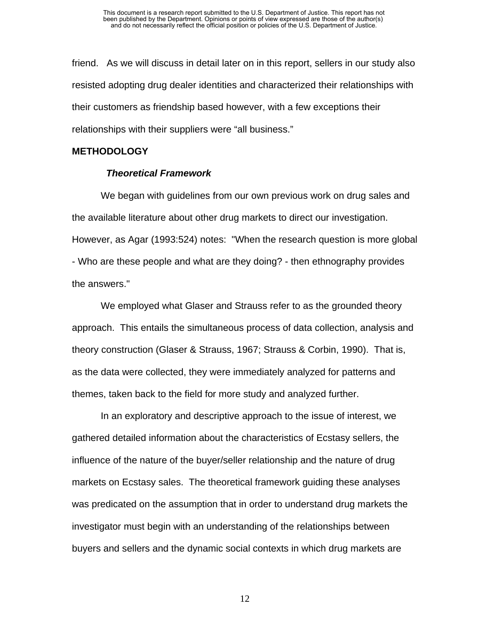friend. As we will discuss in detail later on in this report, sellers in our study also resisted adopting drug dealer identities and characterized their relationships with their customers as friendship based however, with a few exceptions their relationships with their suppliers were "all business."

#### **METHODOLOGY**

#### *Theoretical Framework*

We began with guidelines from our own previous work on drug sales and the available literature about other drug markets to direct our investigation. However, as Agar (1993:524) notes: "When the research question is more global - Who are these people and what are they doing? - then ethnography provides the answers."

We employed what Glaser and Strauss refer to as the grounded theory approach. This entails the simultaneous process of data collection, analysis and theory construction (Glaser & Strauss, 1967; Strauss & Corbin, 1990). That is, as the data were collected, they were immediately analyzed for patterns and themes, taken back to the field for more study and analyzed further.

In an exploratory and descriptive approach to the issue of interest, we gathered detailed information about the characteristics of Ecstasy sellers, the influence of the nature of the buyer/seller relationship and the nature of drug markets on Ecstasy sales. The theoretical framework guiding these analyses was predicated on the assumption that in order to understand drug markets the investigator must begin with an understanding of the relationships between buyers and sellers and the dynamic social contexts in which drug markets are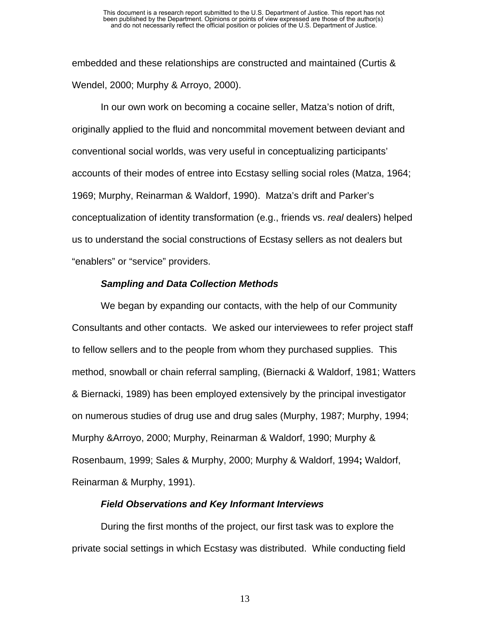embedded and these relationships are constructed and maintained (Curtis & Wendel, 2000; Murphy & Arroyo, 2000).

In our own work on becoming a cocaine seller, Matza's notion of drift, originally applied to the fluid and noncommital movement between deviant and conventional social worlds, was very useful in conceptualizing participants' accounts of their modes of entree into Ecstasy selling social roles (Matza, 1964; 1969; Murphy, Reinarman & Waldorf, 1990). Matza's drift and Parker's conceptualization of identity transformation (e.g., friends vs. *real* dealers) helped us to understand the social constructions of Ecstasy sellers as not dealers but "enablers" or "service" providers.

#### *Sampling and Data Collection Methods*

 We began by expanding our contacts, with the help of our Community Consultants and other contacts. We asked our interviewees to refer project staff to fellow sellers and to the people from whom they purchased supplies. This method, snowball or chain referral sampling, (Biernacki & Waldorf, 1981; Watters & Biernacki, 1989) has been employed extensively by the principal investigator on numerous studies of drug use and drug sales (Murphy, 1987; Murphy, 1994; Murphy &Arroyo, 2000; Murphy, Reinarman & Waldorf, 1990; Murphy & Rosenbaum, 1999; Sales & Murphy, 2000; Murphy & Waldorf, 1994**;** Waldorf, Reinarman & Murphy, 1991).

#### *Field Observations and Key Informant Interviews*

During the first months of the project, our first task was to explore the private social settings in which Ecstasy was distributed. While conducting field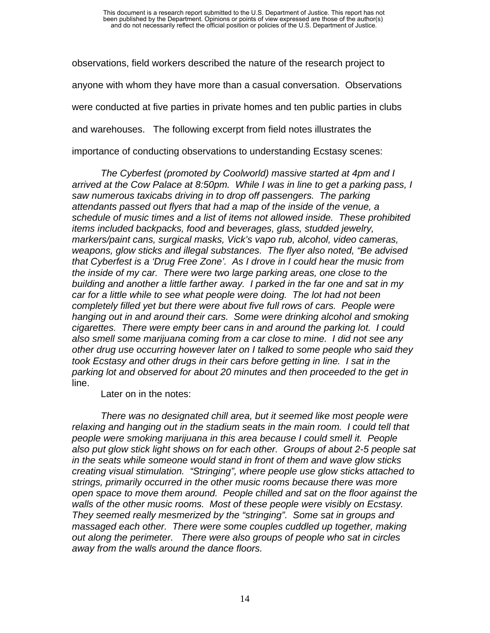observations, field workers described the nature of the research project to anyone with whom they have more than a casual conversation. Observations were conducted at five parties in private homes and ten public parties in clubs and warehouses. The following excerpt from field notes illustrates the importance of conducting observations to understanding Ecstasy scenes:

*The Cyberfest (promoted by Coolworld) massive started at 4pm and I arrived at the Cow Palace at 8:50pm. While I was in line to get a parking pass, I saw numerous taxicabs driving in to drop off passengers. The parking attendants passed out flyers that had a map of the inside of the venue, a schedule of music times and a list of items not allowed inside. These prohibited items included backpacks, food and beverages, glass, studded jewelry, markers/paint cans, surgical masks, Vick's vapo rub, alcohol, video cameras, weapons, glow sticks and illegal substances. The flyer also noted, "Be advised that Cyberfest is a 'Drug Free Zone'. As I drove in I could hear the music from the inside of my car. There were two large parking areas, one close to the building and another a little farther away. I parked in the far one and sat in my car for a little while to see what people were doing. The lot had not been completely filled yet but there were about five full rows of cars. People were hanging out in and around their cars. Some were drinking alcohol and smoking cigarettes. There were empty beer cans in and around the parking lot. I could also smell some marijuana coming from a car close to mine. I did not see any other drug use occurring however later on I talked to some people who said they took Ecstasy and other drugs in their cars before getting in line. I sat in the parking lot and observed for about 20 minutes and then proceeded to the get in* line.

Later on in the notes:

*There was no designated chill area, but it seemed like most people were relaxing and hanging out in the stadium seats in the main room. I could tell that people were smoking marijuana in this area because I could smell it. People also put glow stick light shows on for each other. Groups of about 2-5 people sat in the seats while someone would stand in front of them and wave glow sticks creating visual stimulation. "Stringing", where people use glow sticks attached to strings, primarily occurred in the other music rooms because there was more open space to move them around. People chilled and sat on the floor against the walls of the other music rooms. Most of these people were visibly on Ecstasy. They seemed really mesmerized by the "stringing". Some sat in groups and massaged each other. There were some couples cuddled up together, making out along the perimeter. There were also groups of people who sat in circles away from the walls around the dance floors.*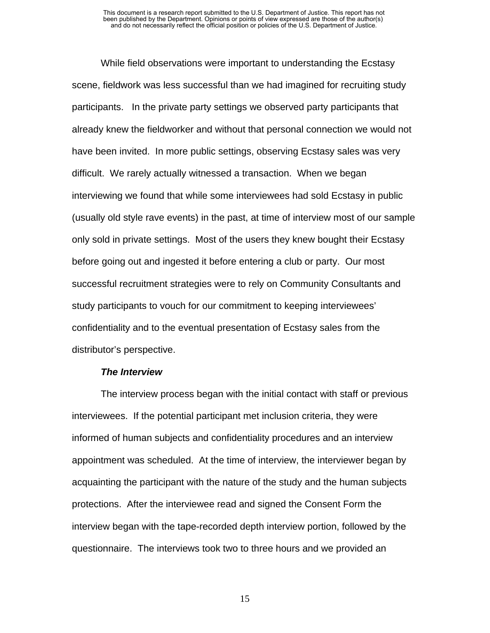While field observations were important to understanding the Ecstasy scene, fieldwork was less successful than we had imagined for recruiting study participants. In the private party settings we observed party participants that already knew the fieldworker and without that personal connection we would not have been invited. In more public settings, observing Ecstasy sales was very difficult. We rarely actually witnessed a transaction. When we began interviewing we found that while some interviewees had sold Ecstasy in public (usually old style rave events) in the past, at time of interview most of our sample only sold in private settings. Most of the users they knew bought their Ecstasy before going out and ingested it before entering a club or party. Our most successful recruitment strategies were to rely on Community Consultants and study participants to vouch for our commitment to keeping interviewees' confidentiality and to the eventual presentation of Ecstasy sales from the distributor's perspective.

#### *The Interview*

The interview process began with the initial contact with staff or previous interviewees. If the potential participant met inclusion criteria, they were informed of human subjects and confidentiality procedures and an interview appointment was scheduled. At the time of interview, the interviewer began by acquainting the participant with the nature of the study and the human subjects protections. After the interviewee read and signed the Consent Form the interview began with the tape-recorded depth interview portion, followed by the questionnaire. The interviews took two to three hours and we provided an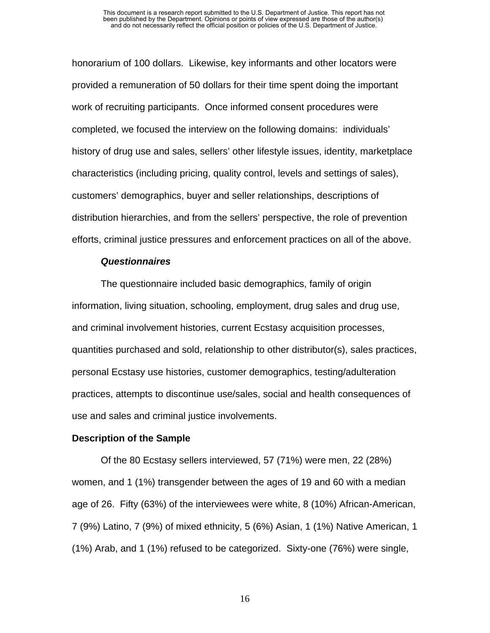honorarium of 100 dollars. Likewise, key informants and other locators were provided a remuneration of 50 dollars for their time spent doing the important work of recruiting participants. Once informed consent procedures were completed, we focused the interview on the following domains: individuals' history of drug use and sales, sellers' other lifestyle issues, identity, marketplace characteristics (including pricing, quality control, levels and settings of sales), customers' demographics, buyer and seller relationships, descriptions of distribution hierarchies, and from the sellers' perspective, the role of prevention efforts, criminal justice pressures and enforcement practices on all of the above.

#### *Questionnaires*

The questionnaire included basic demographics, family of origin information, living situation, schooling, employment, drug sales and drug use, and criminal involvement histories, current Ecstasy acquisition processes, quantities purchased and sold, relationship to other distributor(s), sales practices, personal Ecstasy use histories, customer demographics, testing/adulteration practices, attempts to discontinue use/sales, social and health consequences of use and sales and criminal justice involvements.

#### **Description of the Sample**

Of the 80 Ecstasy sellers interviewed, 57 (71%) were men, 22 (28%) women, and 1 (1%) transgender between the ages of 19 and 60 with a median age of 26. Fifty (63%) of the interviewees were white, 8 (10%) African-American, 7 (9%) Latino, 7 (9%) of mixed ethnicity, 5 (6%) Asian, 1 (1%) Native American, 1 (1%) Arab, and 1 (1%) refused to be categorized. Sixty-one (76%) were single,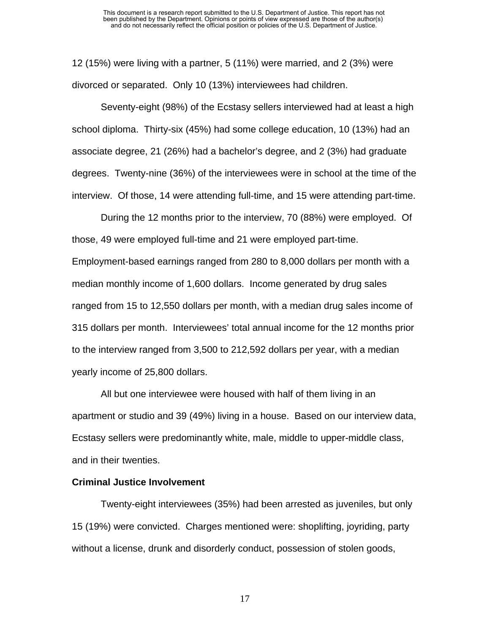12 (15%) were living with a partner, 5 (11%) were married, and 2 (3%) were divorced or separated. Only 10 (13%) interviewees had children.

Seventy-eight (98%) of the Ecstasy sellers interviewed had at least a high school diploma. Thirty-six (45%) had some college education, 10 (13%) had an associate degree, 21 (26%) had a bachelor's degree, and 2 (3%) had graduate degrees. Twenty-nine (36%) of the interviewees were in school at the time of the interview. Of those, 14 were attending full-time, and 15 were attending part-time.

During the 12 months prior to the interview, 70 (88%) were employed. Of those, 49 were employed full-time and 21 were employed part-time.

Employment-based earnings ranged from 280 to 8,000 dollars per month with a median monthly income of 1,600 dollars. Income generated by drug sales ranged from 15 to 12,550 dollars per month, with a median drug sales income of 315 dollars per month. Interviewees' total annual income for the 12 months prior to the interview ranged from 3,500 to 212,592 dollars per year, with a median yearly income of 25,800 dollars.

All but one interviewee were housed with half of them living in an apartment or studio and 39 (49%) living in a house. Based on our interview data, Ecstasy sellers were predominantly white, male, middle to upper-middle class, and in their twenties.

#### **Criminal Justice Involvement**

Twenty-eight interviewees (35%) had been arrested as juveniles, but only 15 (19%) were convicted. Charges mentioned were: shoplifting, joyriding, party without a license, drunk and disorderly conduct, possession of stolen goods,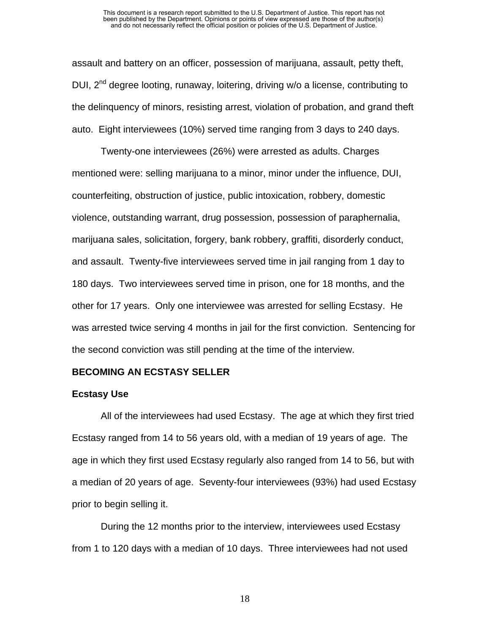assault and battery on an officer, possession of marijuana, assault, petty theft, DUI,  $2^{nd}$  degree looting, runaway, loitering, driving w/o a license, contributing to the delinquency of minors, resisting arrest, violation of probation, and grand theft auto. Eight interviewees (10%) served time ranging from 3 days to 240 days.

Twenty-one interviewees (26%) were arrested as adults. Charges mentioned were: selling marijuana to a minor, minor under the influence, DUI, counterfeiting, obstruction of justice, public intoxication, robbery, domestic violence, outstanding warrant, drug possession, possession of paraphernalia, marijuana sales, solicitation, forgery, bank robbery, graffiti, disorderly conduct, and assault. Twenty-five interviewees served time in jail ranging from 1 day to 180 days. Two interviewees served time in prison, one for 18 months, and the other for 17 years. Only one interviewee was arrested for selling Ecstasy. He was arrested twice serving 4 months in jail for the first conviction. Sentencing for the second conviction was still pending at the time of the interview.

#### **BECOMING AN ECSTASY SELLER**

#### **Ecstasy Use**

All of the interviewees had used Ecstasy. The age at which they first tried Ecstasy ranged from 14 to 56 years old, with a median of 19 years of age. The age in which they first used Ecstasy regularly also ranged from 14 to 56, but with a median of 20 years of age. Seventy-four interviewees (93%) had used Ecstasy prior to begin selling it.

During the 12 months prior to the interview, interviewees used Ecstasy from 1 to 120 days with a median of 10 days. Three interviewees had not used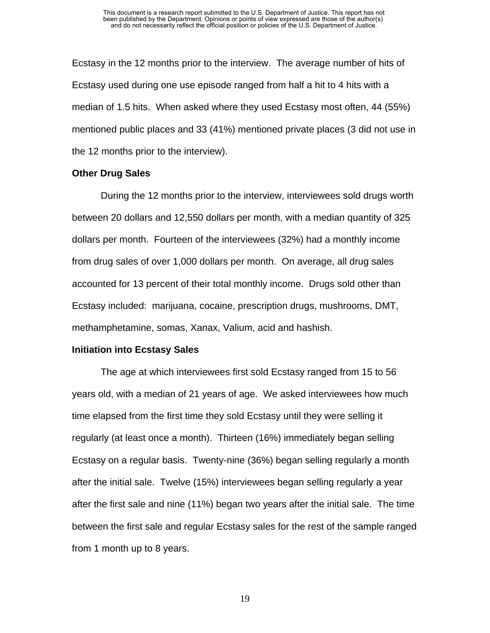Ecstasy in the 12 months prior to the interview. The average number of hits of Ecstasy used during one use episode ranged from half a hit to 4 hits with a median of 1.5 hits. When asked where they used Ecstasy most often, 44 (55%) mentioned public places and 33 (41%) mentioned private places (3 did not use in the 12 months prior to the interview).

#### **Other Drug Sales**

During the 12 months prior to the interview, interviewees sold drugs worth between 20 dollars and 12,550 dollars per month, with a median quantity of 325 dollars per month. Fourteen of the interviewees (32%) had a monthly income from drug sales of over 1,000 dollars per month. On average, all drug sales accounted for 13 percent of their total monthly income. Drugs sold other than Ecstasy included: marijuana, cocaine, prescription drugs, mushrooms, DMT, methamphetamine, somas, Xanax, Valium, acid and hashish.

#### **Initiation into Ecstasy Sales**

The age at which interviewees first sold Ecstasy ranged from 15 to 56 years old, with a median of 21 years of age. We asked interviewees how much time elapsed from the first time they sold Ecstasy until they were selling it regularly (at least once a month). Thirteen (16%) immediately began selling Ecstasy on a regular basis. Twenty-nine (36%) began selling regularly a month after the initial sale. Twelve (15%) interviewees began selling regularly a year after the first sale and nine (11%) began two years after the initial sale. The time between the first sale and regular Ecstasy sales for the rest of the sample ranged from 1 month up to 8 years.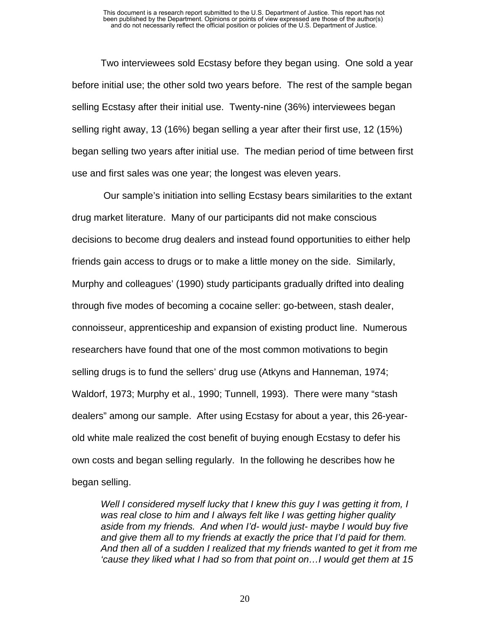Two interviewees sold Ecstasy before they began using. One sold a year before initial use; the other sold two years before. The rest of the sample began selling Ecstasy after their initial use. Twenty-nine (36%) interviewees began selling right away, 13 (16%) began selling a year after their first use, 12 (15%) began selling two years after initial use. The median period of time between first use and first sales was one year; the longest was eleven years.

 Our sample's initiation into selling Ecstasy bears similarities to the extant drug market literature. Many of our participants did not make conscious decisions to become drug dealers and instead found opportunities to either help friends gain access to drugs or to make a little money on the side. Similarly, Murphy and colleagues' (1990) study participants gradually drifted into dealing through five modes of becoming a cocaine seller: go-between, stash dealer, connoisseur, apprenticeship and expansion of existing product line. Numerous researchers have found that one of the most common motivations to begin selling drugs is to fund the sellers' drug use (Atkyns and Hanneman, 1974; Waldorf, 1973; Murphy et al., 1990; Tunnell, 1993). There were many "stash dealers" among our sample. After using Ecstasy for about a year, this 26-yearold white male realized the cost benefit of buying enough Ecstasy to defer his own costs and began selling regularly. In the following he describes how he began selling.

*Well I considered myself lucky that I knew this guy I was getting it from, I was real close to him and I always felt like I was getting higher quality aside from my friends. And when I'd- would just- maybe I would buy five and give them all to my friends at exactly the price that I'd paid for them. And then all of a sudden I realized that my friends wanted to get it from me 'cause they liked what I had so from that point on…I would get them at 15*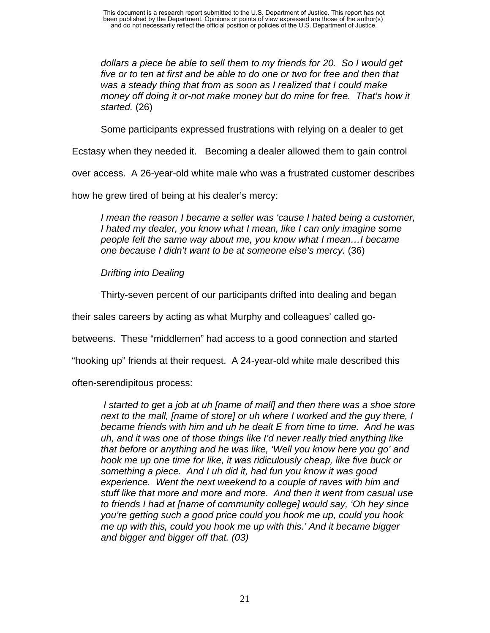*dollars a piece be able to sell them to my friends for 20. So I would get five or to ten at first and be able to do one or two for free and then that was a steady thing that from as soon as I realized that I could make money off doing it or-not make money but do mine for free. That's how it started.* (26)

Some participants expressed frustrations with relying on a dealer to get

Ecstasy when they needed it. Becoming a dealer allowed them to gain control

over access. A 26-year-old white male who was a frustrated customer describes

how he grew tired of being at his dealer's mercy:

*I mean the reason I became a seller was 'cause I hated being a customer, I hated my dealer, you know what I mean, like I can only imagine some people felt the same way about me, you know what I mean…I became one because I didn't want to be at someone else's mercy.* (36)

*Drifting into Dealing* 

Thirty-seven percent of our participants drifted into dealing and began

their sales careers by acting as what Murphy and colleagues' called go-

betweens. These "middlemen" had access to a good connection and started

"hooking up" friends at their request. A 24-year-old white male described this

often-serendipitous process:

*I* started to get a job at uh [name of mall] and then there was a shoe store *next to the mall, [name of store] or uh where I worked and the guy there, I became friends with him and uh he dealt E from time to time. And he was uh, and it was one of those things like I'd never really tried anything like that before or anything and he was like, 'Well you know here you go' and hook me up one time for like, it was ridiculously cheap, like five buck or something a piece. And I uh did it, had fun you know it was good experience. Went the next weekend to a couple of raves with him and stuff like that more and more and more. And then it went from casual use to friends I had at [name of community college] would say, 'Oh hey since you're getting such a good price could you hook me up, could you hook me up with this, could you hook me up with this.' And it became bigger and bigger and bigger off that. (03)*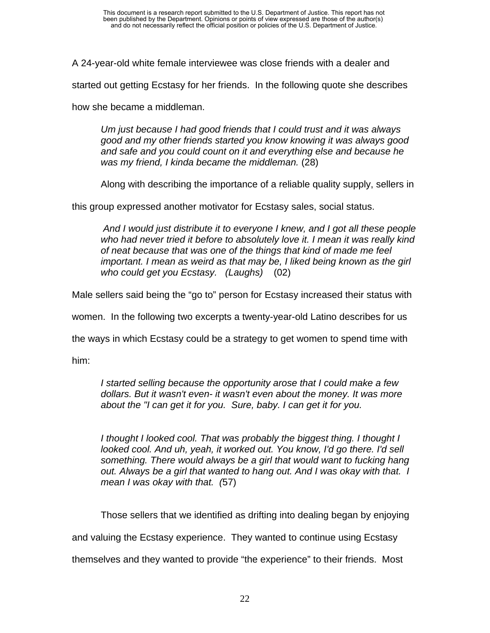A 24-year-old white female interviewee was close friends with a dealer and

started out getting Ecstasy for her friends. In the following quote she describes

how she became a middleman.

*Um just because I had good friends that I could trust and it was always good and my other friends started you know knowing it was always good and safe and you could count on it and everything else and because he was my friend, I kinda became the middleman.* (28)

Along with describing the importance of a reliable quality supply, sellers in

this group expressed another motivator for Ecstasy sales, social status.

*And I would just distribute it to everyone I knew, and I got all these people who had never tried it before to absolutely love it. I mean it was really kind of neat because that was one of the things that kind of made me feel important. I mean as weird as that may be, I liked being known as the girl who could get you Ecstasy. (Laughs)* (02)

Male sellers said being the "go to" person for Ecstasy increased their status with

women. In the following two excerpts a twenty-year-old Latino describes for us

the ways in which Ecstasy could be a strategy to get women to spend time with

him:

*I started selling because the opportunity arose that I could make a few dollars. But it wasn't even- it wasn't even about the money. It was more about the "I can get it for you. Sure, baby. I can get it for you.* 

*I thought I looked cool. That was probably the biggest thing. I thought I looked cool. And uh, yeah, it worked out. You know, I'd go there. I'd sell something. There would always be a girl that would want to fucking hang out. Always be a girl that wanted to hang out. And I was okay with that. I mean I was okay with that. (*57)

Those sellers that we identified as drifting into dealing began by enjoying

and valuing the Ecstasy experience. They wanted to continue using Ecstasy

themselves and they wanted to provide "the experience" to their friends. Most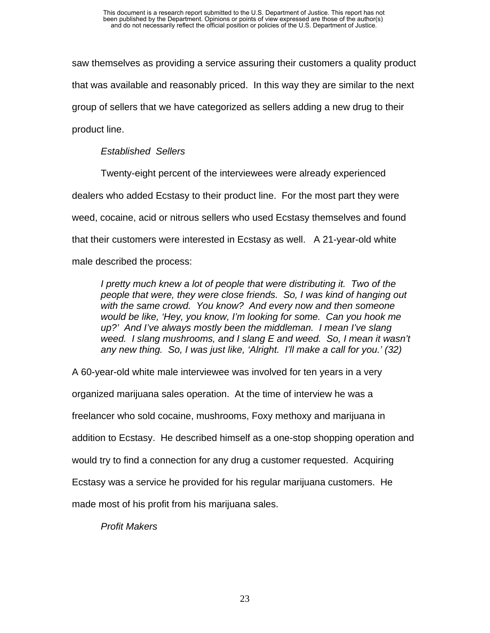saw themselves as providing a service assuring their customers a quality product that was available and reasonably priced. In this way they are similar to the next group of sellers that we have categorized as sellers adding a new drug to their product line.

### *Established Sellers*

Twenty-eight percent of the interviewees were already experienced dealers who added Ecstasy to their product line. For the most part they were weed, cocaine, acid or nitrous sellers who used Ecstasy themselves and found that their customers were interested in Ecstasy as well. A 21-year-old white male described the process:

*I pretty much knew a lot of people that were distributing it. Two of the people that were, they were close friends. So, I was kind of hanging out with the same crowd. You know? And every now and then someone would be like, 'Hey, you know, I'm looking for some. Can you hook me up?' And I've always mostly been the middleman. I mean I've slang weed. I slang mushrooms, and I slang E and weed. So, I mean it wasn't any new thing. So, I was just like, 'Alright. I'll make a call for you.' (32)* 

A 60-year-old white male interviewee was involved for ten years in a very organized marijuana sales operation. At the time of interview he was a freelancer who sold cocaine, mushrooms, Foxy methoxy and marijuana in addition to Ecstasy. He described himself as a one-stop shopping operation and would try to find a connection for any drug a customer requested. Acquiring Ecstasy was a service he provided for his regular marijuana customers. He made most of his profit from his marijuana sales.

*Profit Makers*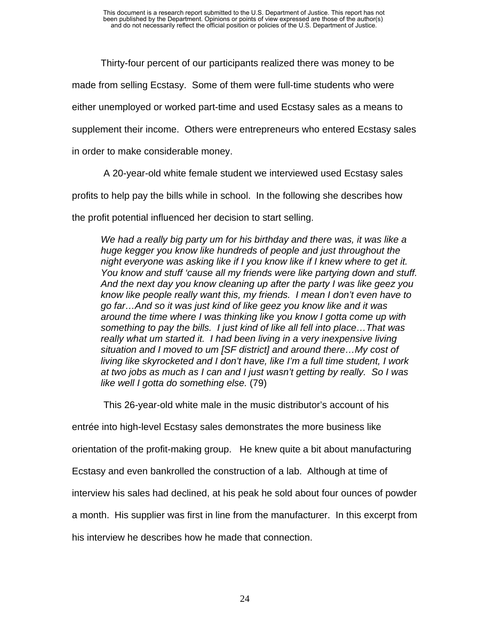Thirty-four percent of our participants realized there was money to be

made from selling Ecstasy. Some of them were full-time students who were

either unemployed or worked part-time and used Ecstasy sales as a means to

supplement their income. Others were entrepreneurs who entered Ecstasy sales

in order to make considerable money.

A 20-year-old white female student we interviewed used Ecstasy sales

profits to help pay the bills while in school. In the following she describes how

the profit potential influenced her decision to start selling.

*We had a really big party um for his birthday and there was, it was like a huge kegger you know like hundreds of people and just throughout the night everyone was asking like if I you know like if I knew where to get it. You know and stuff 'cause all my friends were like partying down and stuff. And the next day you know cleaning up after the party I was like geez you know like people really want this, my friends. I mean I don't even have to go far…And so it was just kind of like geez you know like and it was around the time where I was thinking like you know I gotta come up with something to pay the bills. I just kind of like all fell into place…That was really what um started it. I had been living in a very inexpensive living situation and I moved to um [SF district] and around there…My cost of living like skyrocketed and I don't have, like I'm a full time student, I work at two jobs as much as I can and I just wasn't getting by really. So I was like well I gotta do something else.* (79)

This 26-year-old white male in the music distributor's account of his

entrée into high-level Ecstasy sales demonstrates the more business like

orientation of the profit-making group. He knew quite a bit about manufacturing

Ecstasy and even bankrolled the construction of a lab. Although at time of

interview his sales had declined, at his peak he sold about four ounces of powder

a month. His supplier was first in line from the manufacturer. In this excerpt from

his interview he describes how he made that connection.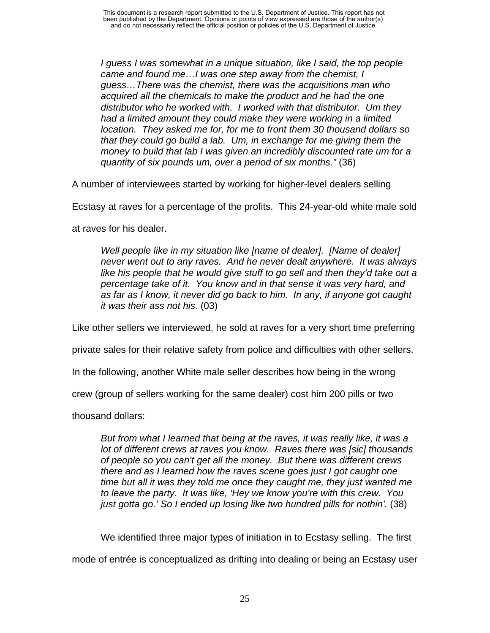*I guess I was somewhat in a unique situation, like I said, the top people came and found me…I was one step away from the chemist, I guess…There was the chemist, there was the acquisitions man who acquired all the chemicals to make the product and he had the one distributor who he worked with. I worked with that distributor. Um they had a limited amount they could make they were working in a limited location. They asked me for, for me to front them 30 thousand dollars so that they could go build a lab. Um, in exchange for me giving them the money to build that lab I was given an incredibly discounted rate um for a quantity of six pounds um, over a period of six months."* (36)

A number of interviewees started by working for higher-level dealers selling

Ecstasy at raves for a percentage of the profits. This 24-year-old white male sold

at raves for his dealer.

*Well people like in my situation like [name of dealer]. [Name of dealer] never went out to any raves. And he never dealt anywhere. It was always*  like his people that he would give stuff to go sell and then they'd take out a *percentage take of it. You know and in that sense it was very hard, and as far as I know, it never did go back to him. In any, if anyone got caught it was their ass not his.* (03)

Like other sellers we interviewed, he sold at raves for a very short time preferring

private sales for their relative safety from police and difficulties with other sellers.

In the following, another White male seller describes how being in the wrong

crew (group of sellers working for the same dealer) cost him 200 pills or two

thousand dollars:

*But from what I learned that being at the raves, it was really like, it was a lot of different crews at raves you know. Raves there was [sic] thousands of people so you can't get all the money. But there was different crews there and as I learned how the raves scene goes just I got caught one time but all it was they told me once they caught me, they just wanted me to leave the party. It was like, 'Hey we know you're with this crew. You*  just gotta go.' So I ended up losing like two hundred pills for nothin'. (38)

We identified three major types of initiation in to Ecstasy selling. The first

mode of entrée is conceptualized as drifting into dealing or being an Ecstasy user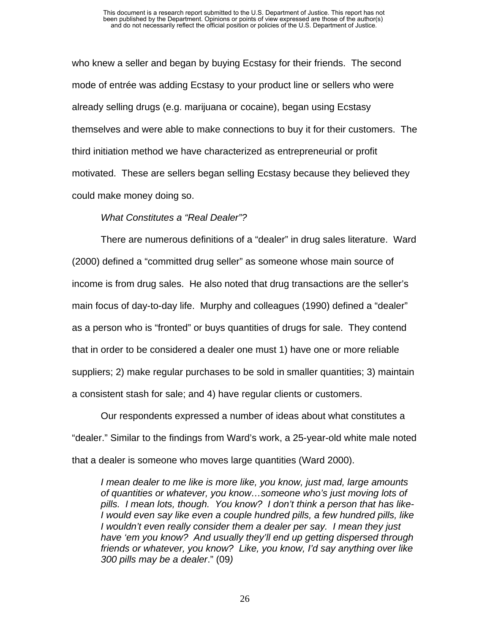who knew a seller and began by buying Ecstasy for their friends. The second mode of entrée was adding Ecstasy to your product line or sellers who were already selling drugs (e.g. marijuana or cocaine), began using Ecstasy themselves and were able to make connections to buy it for their customers. The third initiation method we have characterized as entrepreneurial or profit motivated. These are sellers began selling Ecstasy because they believed they could make money doing so.

#### *What Constitutes a "Real Dealer"?*

There are numerous definitions of a "dealer" in drug sales literature. Ward (2000) defined a "committed drug seller" as someone whose main source of income is from drug sales. He also noted that drug transactions are the seller's main focus of day-to-day life. Murphy and colleagues (1990) defined a "dealer" as a person who is "fronted" or buys quantities of drugs for sale. They contend that in order to be considered a dealer one must 1) have one or more reliable suppliers; 2) make regular purchases to be sold in smaller quantities; 3) maintain a consistent stash for sale; and 4) have regular clients or customers.

Our respondents expressed a number of ideas about what constitutes a "dealer." Similar to the findings from Ward's work, a 25-year-old white male noted that a dealer is someone who moves large quantities (Ward 2000).

*I mean dealer to me like is more like, you know, just mad, large amounts of quantities or whatever, you know…someone who's just moving lots of pills. I mean lots, though. You know? I don't think a person that has like-I would even say like even a couple hundred pills, a few hundred pills, like I wouldn't even really consider them a dealer per say. I mean they just have 'em you know? And usually they'll end up getting dispersed through friends or whatever, you know? Like, you know, I'd say anything over like 300 pills may be a dealer*." (09*)*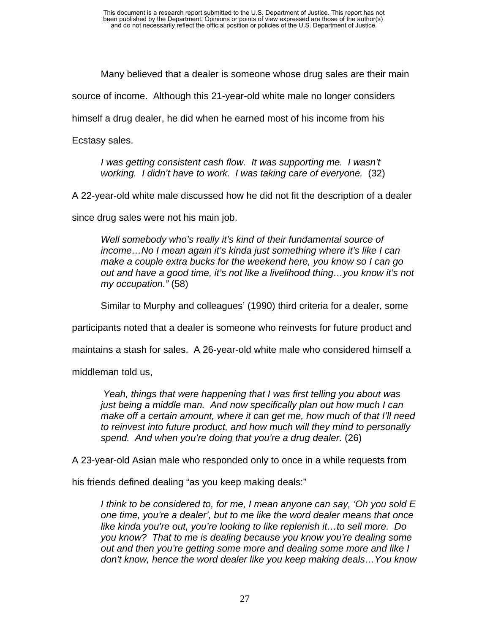Many believed that a dealer is someone whose drug sales are their main

source of income. Although this 21-year-old white male no longer considers

himself a drug dealer, he did when he earned most of his income from his

Ecstasy sales.

*I was getting consistent cash flow. It was supporting me. I wasn't working. I didn't have to work. I was taking care of everyone.* (32)

A 22-year-old white male discussed how he did not fit the description of a dealer

since drug sales were not his main job.

*Well somebody who's really it's kind of their fundamental source of income…No I mean again it's kinda just something where it's like I can make a couple extra bucks for the weekend here, you know so I can go out and have a good time, it's not like a livelihood thing…you know it's not my occupation."* (58)

Similar to Murphy and colleagues' (1990) third criteria for a dealer, some

participants noted that a dealer is someone who reinvests for future product and

maintains a stash for sales. A 26-year-old white male who considered himself a

middleman told us,

*Yeah, things that were happening that I was first telling you about was just being a middle man. And now specifically plan out how much I can make off a certain amount, where it can get me, how much of that I'll need to reinvest into future product, and how much will they mind to personally spend. And when you're doing that you're a drug dealer.* (26)

A 23-year-old Asian male who responded only to once in a while requests from

his friends defined dealing "as you keep making deals:"

*I think to be considered to, for me, I mean anyone can say, 'Oh you sold E one time, you're a dealer', but to me like the word dealer means that once like kinda you're out, you're looking to like replenish it…to sell more. Do you know? That to me is dealing because you know you're dealing some out and then you're getting some more and dealing some more and like I don't know, hence the word dealer like you keep making deals…You know*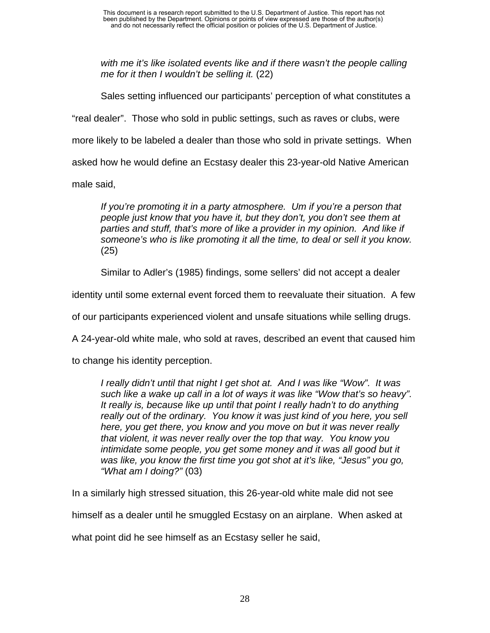*with me it's like isolated events like and if there wasn't the people calling me for it then I wouldn't be selling it.* (22)

Sales setting influenced our participants' perception of what constitutes a "real dealer". Those who sold in public settings, such as raves or clubs, were more likely to be labeled a dealer than those who sold in private settings. When asked how he would define an Ecstasy dealer this 23-year-old Native American male said,

*If you're promoting it in a party atmosphere. Um if you're a person that people just know that you have it, but they don't, you don't see them at*  parties and stuff, that's more of like a provider in my opinion. And like if *someone's who is like promoting it all the time, to deal or sell it you know.*  (25)

Similar to Adler's (1985) findings, some sellers' did not accept a dealer

identity until some external event forced them to reevaluate their situation. A few

of our participants experienced violent and unsafe situations while selling drugs.

A 24-year-old white male, who sold at raves, described an event that caused him

to change his identity perception.

*I really didn't until that night I get shot at. And I was like "Wow". It was such like a wake up call in a lot of ways it was like "Wow that's so heavy". It really is, because like up until that point I really hadn't to do anything really out of the ordinary. You know it was just kind of you here, you sell here, you get there, you know and you move on but it was never really that violent, it was never really over the top that way. You know you*  intimidate some people, you get some money and it was all good but it *was like, you know the first time you got shot at it's like, "Jesus" you go, "What am I doing?"* (03)

In a similarly high stressed situation, this 26-year-old white male did not see

himself as a dealer until he smuggled Ecstasy on an airplane. When asked at

what point did he see himself as an Ecstasy seller he said,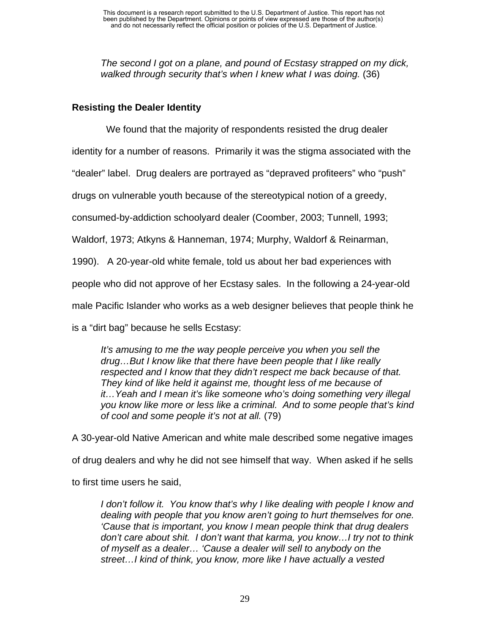*The second I got on a plane, and pound of Ecstasy strapped on my dick, walked through security that's when I knew what I was doing.* (36)

# **Resisting the Dealer Identity**

We found that the majority of respondents resisted the drug dealer

identity for a number of reasons. Primarily it was the stigma associated with the

"dealer" label. Drug dealers are portrayed as "depraved profiteers" who "push"

drugs on vulnerable youth because of the stereotypical notion of a greedy,

consumed-by-addiction schoolyard dealer (Coomber, 2003; Tunnell, 1993;

Waldorf, 1973; Atkyns & Hanneman, 1974; Murphy, Waldorf & Reinarman,

1990). A 20-year-old white female, told us about her bad experiences with

people who did not approve of her Ecstasy sales. In the following a 24-year-old

male Pacific Islander who works as a web designer believes that people think he

is a "dirt bag" because he sells Ecstasy:

*It's amusing to me the way people perceive you when you sell the drug…But I know like that there have been people that I like really respected and I know that they didn't respect me back because of that. They kind of like held it against me, thought less of me because of it…Yeah and I mean it's like someone who's doing something very illegal you know like more or less like a criminal. And to some people that's kind of cool and some people it's not at all.* (79)

A 30-year-old Native American and white male described some negative images of drug dealers and why he did not see himself that way. When asked if he sells to first time users he said,

*I don't follow it. You know that's why I like dealing with people I know and dealing with people that you know aren't going to hurt themselves for one. 'Cause that is important, you know I mean people think that drug dealers don't care about shit. I don't want that karma, you know…I try not to think of myself as a dealer… 'Cause a dealer will sell to anybody on the street…I kind of think, you know, more like I have actually a vested*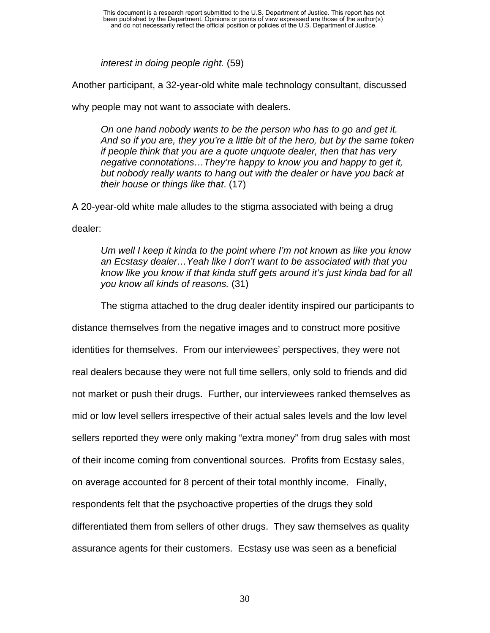*interest in doing people right.* (59)

Another participant, a 32-year-old white male technology consultant, discussed

why people may not want to associate with dealers.

*On one hand nobody wants to be the person who has to go and get it. And so if you are, they you're a little bit of the hero, but by the same token if people think that you are a quote unquote dealer, then that has very negative connotations…They're happy to know you and happy to get it, but nobody really wants to hang out with the dealer or have you back at their house or things like that*. (17)

A 20-year-old white male alludes to the stigma associated with being a drug

dealer:

*Um well I keep it kinda to the point where I'm not known as like you know an Ecstasy dealer…Yeah like I don't want to be associated with that you know like you know if that kinda stuff gets around it's just kinda bad for all you know all kinds of reasons.* (31)

The stigma attached to the drug dealer identity inspired our participants to

distance themselves from the negative images and to construct more positive identities for themselves. From our interviewees' perspectives, they were not real dealers because they were not full time sellers, only sold to friends and did not market or push their drugs. Further, our interviewees ranked themselves as mid or low level sellers irrespective of their actual sales levels and the low level sellers reported they were only making "extra money" from drug sales with most of their income coming from conventional sources. Profits from Ecstasy sales, on average accounted for 8 percent of their total monthly income. Finally, respondents felt that the psychoactive properties of the drugs they sold differentiated them from sellers of other drugs. They saw themselves as quality assurance agents for their customers. Ecstasy use was seen as a beneficial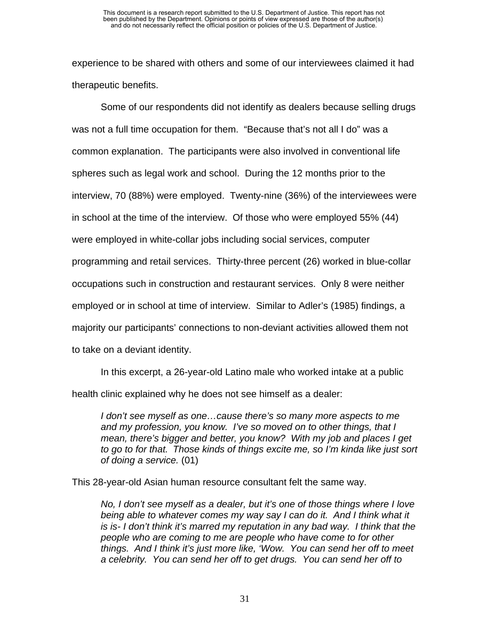experience to be shared with others and some of our interviewees claimed it had therapeutic benefits.

Some of our respondents did not identify as dealers because selling drugs was not a full time occupation for them. "Because that's not all I do" was a common explanation. The participants were also involved in conventional life spheres such as legal work and school. During the 12 months prior to the interview, 70 (88%) were employed. Twenty-nine (36%) of the interviewees were in school at the time of the interview. Of those who were employed 55% (44) were employed in white-collar jobs including social services, computer programming and retail services. Thirty-three percent (26) worked in blue-collar occupations such in construction and restaurant services. Only 8 were neither employed or in school at time of interview. Similar to Adler's (1985) findings, a majority our participants' connections to non-deviant activities allowed them not to take on a deviant identity.

In this excerpt, a 26-year-old Latino male who worked intake at a public health clinic explained why he does not see himself as a dealer:

*I* don't see myself as one...cause there's so many more aspects to me *and my profession, you know. I've so moved on to other things, that I mean, there's bigger and better, you know? With my job and places I get to go to for that. Those kinds of things excite me, so I'm kinda like just sort of doing a service.* (01)

This 28-year-old Asian human resource consultant felt the same way.

*No, I don't see myself as a dealer, but it's one of those things where I love being able to whatever comes my way say I can do it. And I think what it is is- I don't think it's marred my reputation in any bad way. I think that the people who are coming to me are people who have come to for other things. And I think it's just more like, 'Wow. You can send her off to meet a celebrity. You can send her off to get drugs. You can send her off to*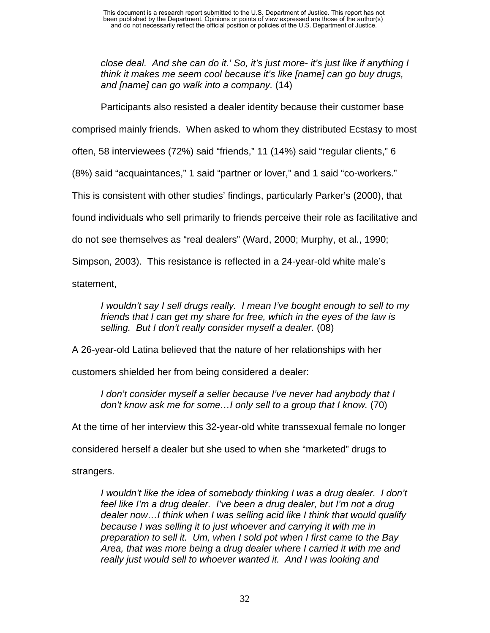*close deal. And she can do it.' So, it's just more- it's just like if anything I think it makes me seem cool because it's like [name] can go buy drugs, and [name] can go walk into a company.* (14)

Participants also resisted a dealer identity because their customer base

comprised mainly friends. When asked to whom they distributed Ecstasy to most

often, 58 interviewees (72%) said "friends," 11 (14%) said "regular clients," 6

(8%) said "acquaintances," 1 said "partner or lover," and 1 said "co-workers."

This is consistent with other studies' findings, particularly Parker's (2000), that

found individuals who sell primarily to friends perceive their role as facilitative and

do not see themselves as "real dealers" (Ward, 2000; Murphy, et al., 1990;

Simpson, 2003). This resistance is reflected in a 24-year-old white male's

statement,

*I wouldn't say I sell drugs really. I mean I've bought enough to sell to my friends that I can get my share for free, which in the eyes of the law is selling. But I don't really consider myself a dealer.* (08)

A 26-year-old Latina believed that the nature of her relationships with her

customers shielded her from being considered a dealer:

*I don't consider myself a seller because I've never had anybody that I*  don't know ask me for some...I only sell to a group that I know. (70)

At the time of her interview this 32-year-old white transsexual female no longer

considered herself a dealer but she used to when she "marketed" drugs to

strangers.

*I wouldn't like the idea of somebody thinking I was a drug dealer. I don't feel like I'm a drug dealer. I've been a drug dealer, but I'm not a drug dealer now…I think when I was selling acid like I think that would qualify because I was selling it to just whoever and carrying it with me in preparation to sell it. Um, when I sold pot when I first came to the Bay Area, that was more being a drug dealer where I carried it with me and really just would sell to whoever wanted it. And I was looking and*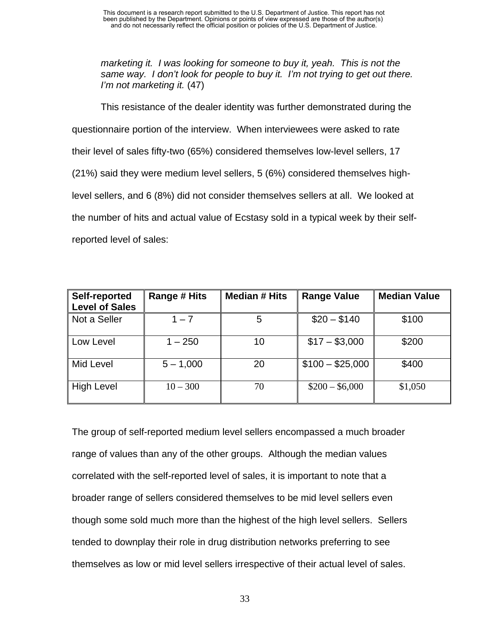*marketing it. I was looking for someone to buy it, yeah. This is not the same way. I don't look for people to buy it. I'm not trying to get out there. I'm not marketing it.* (47)

This resistance of the dealer identity was further demonstrated during the questionnaire portion of the interview. When interviewees were asked to rate their level of sales fifty-two (65%) considered themselves low-level sellers, 17 (21%) said they were medium level sellers, 5 (6%) considered themselves highlevel sellers, and 6 (8%) did not consider themselves sellers at all. We looked at the number of hits and actual value of Ecstasy sold in a typical week by their selfreported level of sales:

| <b>Self-reported</b><br>Level of Sales | Range # Hits | <b>Median # Hits</b> | <b>Range Value</b> | <b>Median Value</b> |
|----------------------------------------|--------------|----------------------|--------------------|---------------------|
| Not a Seller                           | $1 - 7$      | 5                    | $$20 - $140$       | \$100               |
| Low Level                              | $1 - 250$    | 10                   | $$17 - $3,000$     | \$200               |
| Mid Level                              | $5 - 1,000$  | 20                   | $$100 - $25,000$   | \$400               |
| High Level                             | $10 - 300$   | 70                   | $$200 - $6,000$    | \$1,050             |

The group of self-reported medium level sellers encompassed a much broader range of values than any of the other groups. Although the median values correlated with the self-reported level of sales, it is important to note that a broader range of sellers considered themselves to be mid level sellers even though some sold much more than the highest of the high level sellers. Sellers tended to downplay their role in drug distribution networks preferring to see themselves as low or mid level sellers irrespective of their actual level of sales.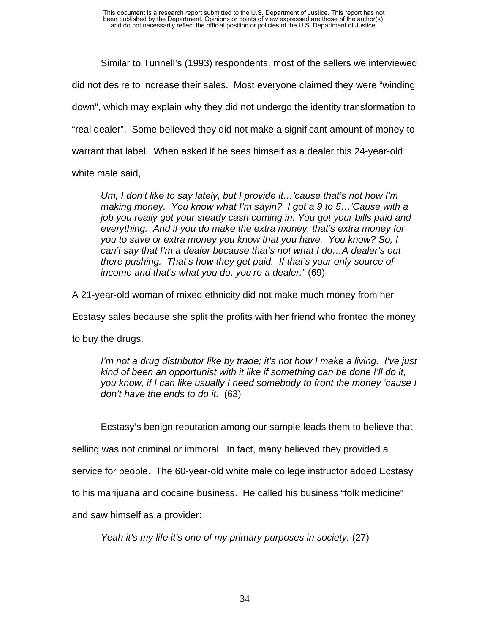Similar to Tunnell's (1993) respondents, most of the sellers we interviewed did not desire to increase their sales. Most everyone claimed they were "winding down", which may explain why they did not undergo the identity transformation to "real dealer". Some believed they did not make a significant amount of money to warrant that label. When asked if he sees himself as a dealer this 24-year-old white male said,

*Um, I don't like to say lately, but I provide it…'cause that's not how I'm making money. You know what I'm sayin? I got a 9 to 5…'Cause with a job you really got your steady cash coming in. You got your bills paid and everything. And if you do make the extra money, that's extra money for you to save or extra money you know that you have. You know? So, I can't say that I'm a dealer because that's not what I do…A dealer's out there pushing. That's how they get paid. If that's your only source of income and that's what you do, you're a dealer."* (69)

A 21-year-old woman of mixed ethnicity did not make much money from her

Ecstasy sales because she split the profits with her friend who fronted the money

to buy the drugs.

*I'm not a drug distributor like by trade; it's not how I make a living. I've just kind of been an opportunist with it like if something can be done I'll do it, you know, if I can like usually I need somebody to front the money 'cause I don't have the ends to do it.* (63)

Ecstasy's benign reputation among our sample leads them to believe that

selling was not criminal or immoral. In fact, many believed they provided a

service for people. The 60-year-old white male college instructor added Ecstasy

to his marijuana and cocaine business. He called his business "folk medicine"

and saw himself as a provider:

*Yeah it's my life it's one of my primary purposes in society.* (27)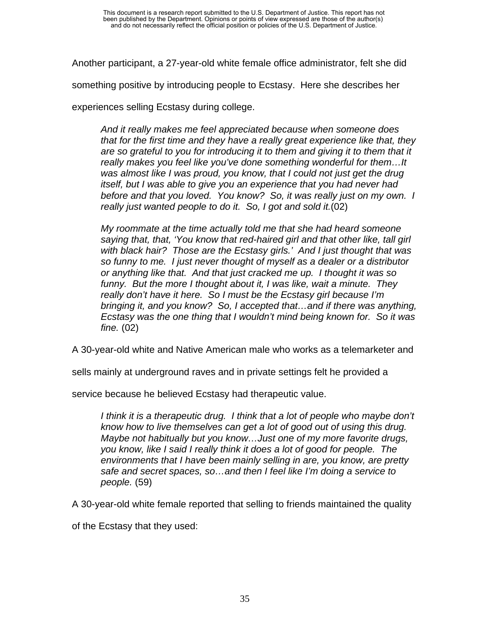Another participant, a 27-year-old white female office administrator, felt she did

something positive by introducing people to Ecstasy. Here she describes her

experiences selling Ecstasy during college.

*And it really makes me feel appreciated because when someone does that for the first time and they have a really great experience like that, they are so grateful to you for introducing it to them and giving it to them that it really makes you feel like you've done something wonderful for them…It was almost like I was proud, you know, that I could not just get the drug itself, but I was able to give you an experience that you had never had before and that you loved. You know? So, it was really just on my own. I really just wanted people to do it. So, I got and sold it.*(02)

*My roommate at the time actually told me that she had heard someone saying that, that, 'You know that red-haired girl and that other like, tall girl with black hair? Those are the Ecstasy girls.' And I just thought that was so funny to me. I just never thought of myself as a dealer or a distributor or anything like that. And that just cracked me up. I thought it was so funny. But the more I thought about it, I was like, wait a minute. They really don't have it here. So I must be the Ecstasy girl because I'm bringing it, and you know? So, I accepted that…and if there was anything, Ecstasy was the one thing that I wouldn't mind being known for. So it was fine.* (02)

A 30-year-old white and Native American male who works as a telemarketer and

sells mainly at underground raves and in private settings felt he provided a

service because he believed Ecstasy had therapeutic value.

*I think it is a therapeutic drug. I think that a lot of people who maybe don't know how to live themselves can get a lot of good out of using this drug. Maybe not habitually but you know…Just one of my more favorite drugs, you know, like I said I really think it does a lot of good for people. The environments that I have been mainly selling in are, you know, are pretty safe and secret spaces, so…and then I feel like I'm doing a service to people.* (59)

A 30-year-old white female reported that selling to friends maintained the quality

of the Ecstasy that they used: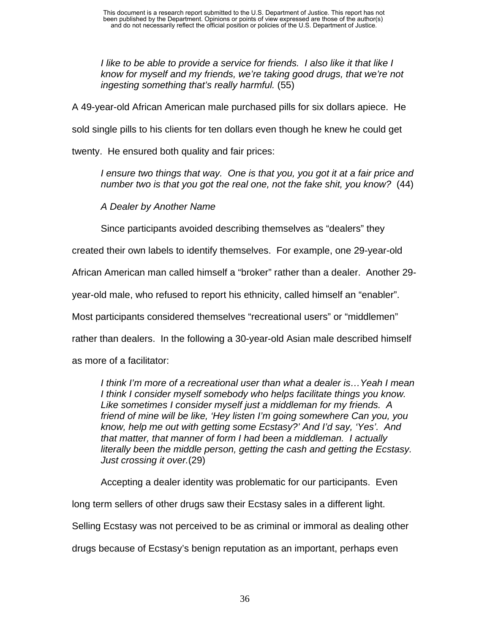*I like to be able to provide a service for friends. I also like it that like I know for myself and my friends, we're taking good drugs, that we're not ingesting something that's really harmful.* (55)

A 49-year-old African American male purchased pills for six dollars apiece. He

sold single pills to his clients for ten dollars even though he knew he could get

twenty. He ensured both quality and fair prices:

*I ensure two things that way. One is that you, you got it at a fair price and number two is that you got the real one, not the fake shit, you know?* (44)

*A Dealer by Another Name*

Since participants avoided describing themselves as "dealers" they

created their own labels to identify themselves. For example, one 29-year-old

African American man called himself a "broker" rather than a dealer. Another 29-

year-old male, who refused to report his ethnicity, called himself an "enabler".

Most participants considered themselves "recreational users" or "middlemen"

rather than dealers. In the following a 30-year-old Asian male described himself

as more of a facilitator:

*I think I'm more of a recreational user than what a dealer is…Yeah I mean I think I consider myself somebody who helps facilitate things you know. Like sometimes I consider myself just a middleman for my friends. A friend of mine will be like, 'Hey listen I'm going somewhere Can you, you know, help me out with getting some Ecstasy?' And I'd say, 'Yes'. And that matter, that manner of form I had been a middleman. I actually literally been the middle person, getting the cash and getting the Ecstasy. Just crossing it over.*(29)

Accepting a dealer identity was problematic for our participants. Even

long term sellers of other drugs saw their Ecstasy sales in a different light.

Selling Ecstasy was not perceived to be as criminal or immoral as dealing other

drugs because of Ecstasy's benign reputation as an important, perhaps even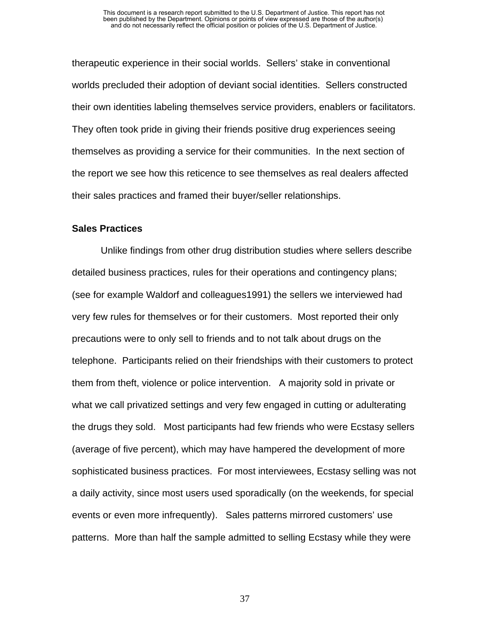therapeutic experience in their social worlds. Sellers' stake in conventional worlds precluded their adoption of deviant social identities. Sellers constructed their own identities labeling themselves service providers, enablers or facilitators. They often took pride in giving their friends positive drug experiences seeing themselves as providing a service for their communities. In the next section of the report we see how this reticence to see themselves as real dealers affected their sales practices and framed their buyer/seller relationships.

#### **Sales Practices**

Unlike findings from other drug distribution studies where sellers describe detailed business practices, rules for their operations and contingency plans; (see for example Waldorf and colleagues1991) the sellers we interviewed had very few rules for themselves or for their customers. Most reported their only precautions were to only sell to friends and to not talk about drugs on the telephone. Participants relied on their friendships with their customers to protect them from theft, violence or police intervention. A majority sold in private or what we call privatized settings and very few engaged in cutting or adulterating the drugs they sold. Most participants had few friends who were Ecstasy sellers (average of five percent), which may have hampered the development of more sophisticated business practices. For most interviewees, Ecstasy selling was not a daily activity, since most users used sporadically (on the weekends, for special events or even more infrequently). Sales patterns mirrored customers' use patterns. More than half the sample admitted to selling Ecstasy while they were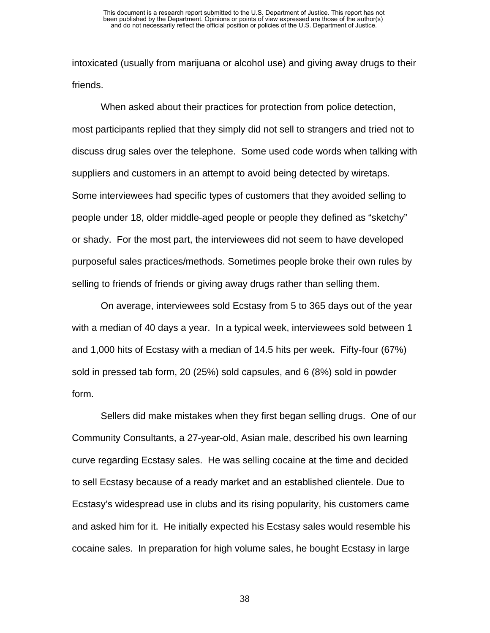intoxicated (usually from marijuana or alcohol use) and giving away drugs to their friends.

When asked about their practices for protection from police detection, most participants replied that they simply did not sell to strangers and tried not to discuss drug sales over the telephone. Some used code words when talking with suppliers and customers in an attempt to avoid being detected by wiretaps. Some interviewees had specific types of customers that they avoided selling to people under 18, older middle-aged people or people they defined as "sketchy" or shady. For the most part, the interviewees did not seem to have developed purposeful sales practices/methods. Sometimes people broke their own rules by selling to friends of friends or giving away drugs rather than selling them.

On average, interviewees sold Ecstasy from 5 to 365 days out of the year with a median of 40 days a year. In a typical week, interviewees sold between 1 and 1,000 hits of Ecstasy with a median of 14.5 hits per week. Fifty-four (67%) sold in pressed tab form, 20 (25%) sold capsules, and 6 (8%) sold in powder form.

Sellers did make mistakes when they first began selling drugs. One of our Community Consultants, a 27-year-old, Asian male, described his own learning curve regarding Ecstasy sales. He was selling cocaine at the time and decided to sell Ecstasy because of a ready market and an established clientele. Due to Ecstasy's widespread use in clubs and its rising popularity, his customers came and asked him for it. He initially expected his Ecstasy sales would resemble his cocaine sales. In preparation for high volume sales, he bought Ecstasy in large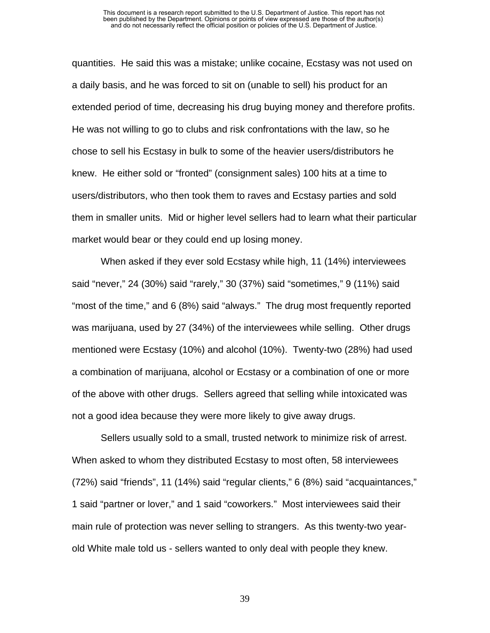#### This document is a research report submitted to the U.S. Department of Justice. This report has not been published by the Department. Opinions or points of view expressed are those of the author(s) and do not necessarily reflect the official position or policies of the U.S. Department of Justice.

quantities. He said this was a mistake; unlike cocaine, Ecstasy was not used on a daily basis, and he was forced to sit on (unable to sell) his product for an extended period of time, decreasing his drug buying money and therefore profits. He was not willing to go to clubs and risk confrontations with the law, so he chose to sell his Ecstasy in bulk to some of the heavier users/distributors he knew. He either sold or "fronted" (consignment sales) 100 hits at a time to users/distributors, who then took them to raves and Ecstasy parties and sold them in smaller units. Mid or higher level sellers had to learn what their particular market would bear or they could end up losing money.

When asked if they ever sold Ecstasy while high, 11 (14%) interviewees said "never," 24 (30%) said "rarely," 30 (37%) said "sometimes," 9 (11%) said "most of the time," and 6 (8%) said "always." The drug most frequently reported was marijuana, used by 27 (34%) of the interviewees while selling. Other drugs mentioned were Ecstasy (10%) and alcohol (10%). Twenty-two (28%) had used a combination of marijuana, alcohol or Ecstasy or a combination of one or more of the above with other drugs. Sellers agreed that selling while intoxicated was not a good idea because they were more likely to give away drugs.

Sellers usually sold to a small, trusted network to minimize risk of arrest. When asked to whom they distributed Ecstasy to most often, 58 interviewees (72%) said "friends", 11 (14%) said "regular clients," 6 (8%) said "acquaintances," 1 said "partner or lover," and 1 said "coworkers." Most interviewees said their main rule of protection was never selling to strangers. As this twenty-two yearold White male told us - sellers wanted to only deal with people they knew.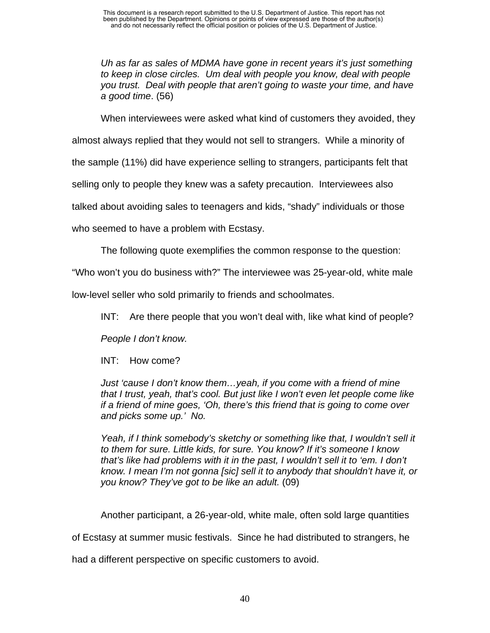*Uh as far as sales of MDMA have gone in recent years it's just something to keep in close circles. Um deal with people you know, deal with people you trust. Deal with people that aren't going to waste your time, and have a good time*. (56)

When interviewees were asked what kind of customers they avoided, they

almost always replied that they would not sell to strangers. While a minority of

the sample (11%) did have experience selling to strangers, participants felt that

selling only to people they knew was a safety precaution. Interviewees also

talked about avoiding sales to teenagers and kids, "shady" individuals or those

who seemed to have a problem with Ecstasy.

The following quote exemplifies the common response to the question:

"Who won't you do business with?" The interviewee was 25-year-old, white male

low-level seller who sold primarily to friends and schoolmates.

INT: Are there people that you won't deal with, like what kind of people?

*People I don't know.*

INT: How come?

*Just 'cause I don't know them…yeah, if you come with a friend of mine that I trust, yeah, that's cool. But just like I won't even let people come like if a friend of mine goes, 'Oh, there's this friend that is going to come over and picks some up.' No.* 

*Yeah, if I think somebody's sketchy or something like that, I wouldn't sell it to them for sure. Little kids, for sure. You know? If it's someone I know that's like had problems with it in the past, I wouldn't sell it to 'em. I don't know. I mean I'm not gonna [sic] sell it to anybody that shouldn't have it, or you know? They've got to be like an adult.* (09)

Another participant, a 26-year-old, white male, often sold large quantities

of Ecstasy at summer music festivals. Since he had distributed to strangers, he

had a different perspective on specific customers to avoid.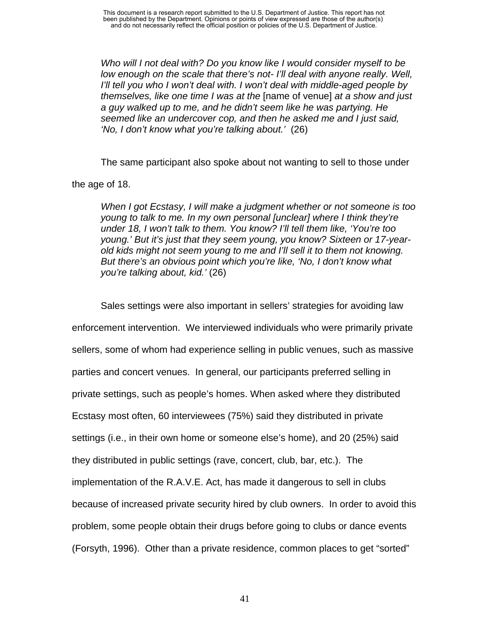*Who will I not deal with? Do you know like I would consider myself to be low enough on the scale that there's not- I'll deal with anyone really. Well, I'll tell you who I won't deal with. I won't deal with middle-aged people by themselves, like one time I was at the* [name of venue] *at a show and just a guy walked up to me, and he didn't seem like he was partying. He seemed like an undercover cop, and then he asked me and I just said, 'No, I don't know what you're talking about.'* (26)

The same participant also spoke about not wanting to sell to those under

the age of 18.

*When I got Ecstasy, I will make a judgment whether or not someone is too young to talk to me. In my own personal [unclear] where I think they're under 18, I won't talk to them. You know? I'll tell them like, 'You're too young.' But it's just that they seem young, you know? Sixteen or 17-yearold kids might not seem young to me and I'll sell it to them not knowing. But there's an obvious point which you're like, 'No, I don't know what you're talking about, kid.'* (26)

Sales settings were also important in sellers' strategies for avoiding law enforcement intervention. We interviewed individuals who were primarily private sellers, some of whom had experience selling in public venues, such as massive parties and concert venues. In general, our participants preferred selling in private settings, such as people's homes. When asked where they distributed Ecstasy most often, 60 interviewees (75%) said they distributed in private settings (i.e., in their own home or someone else's home), and 20 (25%) said they distributed in public settings (rave, concert, club, bar, etc.). The implementation of the R.A.V.E. Act, has made it dangerous to sell in clubs because of increased private security hired by club owners. In order to avoid this problem, some people obtain their drugs before going to clubs or dance events (Forsyth, 1996). Other than a private residence, common places to get "sorted"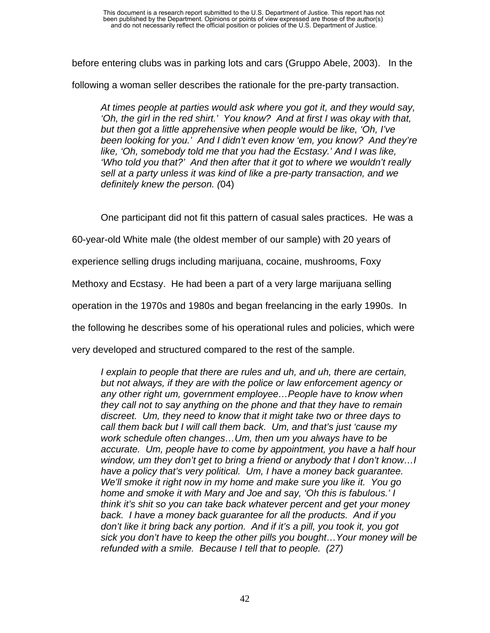before entering clubs was in parking lots and cars (Gruppo Abele, 2003). In the

following a woman seller describes the rationale for the pre-party transaction.

*At times people at parties would ask where you got it, and they would say, 'Oh, the girl in the red shirt.' You know? And at first I was okay with that, but then got a little apprehensive when people would be like, 'Oh, I've been looking for you.' And I didn't even know 'em, you know? And they're like, 'Oh, somebody told me that you had the Ecstasy.' And I was like, 'Who told you that?' And then after that it got to where we wouldn't really sell at a party unless it was kind of like a pre-party transaction, and we definitely knew the person. (*04)

One participant did not fit this pattern of casual sales practices. He was a

60-year-old White male (the oldest member of our sample) with 20 years of

experience selling drugs including marijuana, cocaine, mushrooms, Foxy

Methoxy and Ecstasy. He had been a part of a very large marijuana selling

operation in the 1970s and 1980s and began freelancing in the early 1990s. In

the following he describes some of his operational rules and policies, which were

very developed and structured compared to the rest of the sample.

*I* explain to people that there are rules and uh, and uh, there are certain, *but not always, if they are with the police or law enforcement agency or any other right um, government employee…People have to know when they call not to say anything on the phone and that they have to remain discreet. Um, they need to know that it might take two or three days to call them back but I will call them back. Um, and that's just 'cause my work schedule often changes…Um, then um you always have to be accurate. Um, people have to come by appointment, you have a half hour window, um they don't get to bring a friend or anybody that I don't know…I have a policy that's very political. Um, I have a money back guarantee. We'll smoke it right now in my home and make sure you like it. You go home and smoke it with Mary and Joe and say, 'Oh this is fabulous.' I think it's shit so you can take back whatever percent and get your money back. I have a money back guarantee for all the products. And if you don't like it bring back any portion. And if it's a pill, you took it, you got sick you don't have to keep the other pills you bought…Your money will be refunded with a smile. Because I tell that to people. (27)*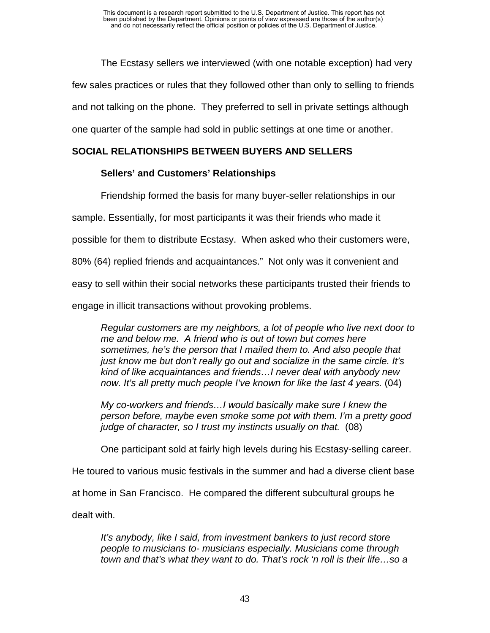The Ecstasy sellers we interviewed (with one notable exception) had very few sales practices or rules that they followed other than only to selling to friends and not talking on the phone. They preferred to sell in private settings although one quarter of the sample had sold in public settings at one time or another.

# **SOCIAL RELATIONSHIPS BETWEEN BUYERS AND SELLERS**

# **Sellers' and Customers' Relationships**

Friendship formed the basis for many buyer-seller relationships in our sample. Essentially, for most participants it was their friends who made it possible for them to distribute Ecstasy. When asked who their customers were, 80% (64) replied friends and acquaintances." Not only was it convenient and easy to sell within their social networks these participants trusted their friends to engage in illicit transactions without provoking problems.

*Regular customers are my neighbors, a lot of people who live next door to me and below me. A friend who is out of town but comes here sometimes, he's the person that I mailed them to. And also people that just know me but don't really go out and socialize in the same circle. It's kind of like acquaintances and friends…I never deal with anybody new now. It's all pretty much people I've known for like the last 4 years.* (04)

*My co-workers and friends…I would basically make sure I knew the person before, maybe even smoke some pot with them. I'm a pretty good judge of character, so I trust my instincts usually on that.* (08)

One participant sold at fairly high levels during his Ecstasy-selling career.

He toured to various music festivals in the summer and had a diverse client base

at home in San Francisco. He compared the different subcultural groups he

dealt with.

*It's anybody, like I said, from investment bankers to just record store people to musicians to- musicians especially. Musicians come through town and that's what they want to do. That's rock 'n roll is their life…so a*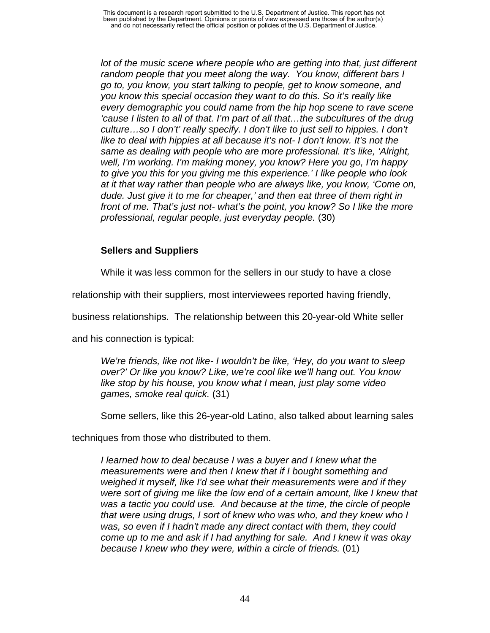lot of the music scene where people who are getting into that, just different *random people that you meet along the way. You know, different bars I go to, you know, you start talking to people, get to know someone, and you know this special occasion they want to do this. So it's really like every demographic you could name from the hip hop scene to rave scene 'cause I listen to all of that. I'm part of all that…the subcultures of the drug culture…so I don't' really specify. I don't like to just sell to hippies. I don't like to deal with hippies at all because it's not- I don't know. It's not the same as dealing with people who are more professional. It's like, 'Alright, well, I'm working. I'm making money, you know? Here you go, I'm happy to give you this for you giving me this experience.' I like people who look at it that way rather than people who are always like, you know, 'Come on, dude. Just give it to me for cheaper,' and then eat three of them right in front of me. That's just not- what's the point, you know? So I like the more professional, regular people, just everyday people.* (30)

# **Sellers and Suppliers**

While it was less common for the sellers in our study to have a close

relationship with their suppliers, most interviewees reported having friendly,

business relationships. The relationship between this 20-year-old White seller

and his connection is typical:

*We're friends, like not like- I wouldn't be like, 'Hey, do you want to sleep over?' Or like you know? Like, we're cool like we'll hang out. You know like stop by his house, you know what I mean, just play some video games, smoke real quick.* (31)

Some sellers, like this 26-year-old Latino, also talked about learning sales

techniques from those who distributed to them.

*I learned how to deal because I was a buyer and I knew what the measurements were and then I knew that if I bought something and weighed it myself, like I'd see what their measurements were and if they were sort of giving me like the low end of a certain amount, like I knew that was a tactic you could use. And because at the time, the circle of people that were using drugs, I sort of knew who was who, and they knew who I was, so even if I hadn't made any direct contact with them, they could come up to me and ask if I had anything for sale. And I knew it was okay because I knew who they were, within a circle of friends.* (01)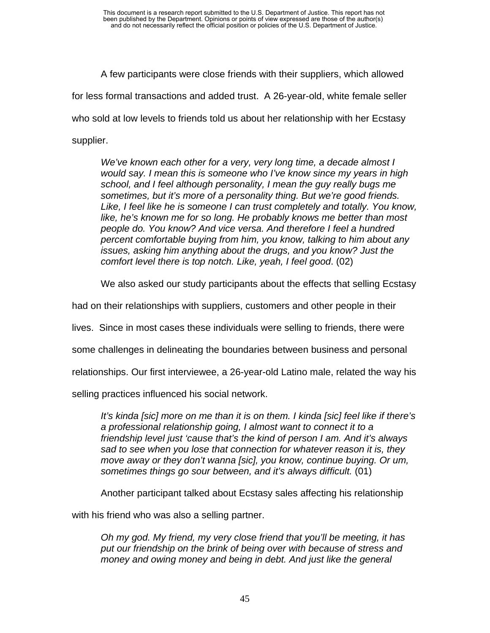A few participants were close friends with their suppliers, which allowed for less formal transactions and added trust. A 26-year-old, white female seller who sold at low levels to friends told us about her relationship with her Ecstasy supplier.

*We've known each other for a very, very long time, a decade almost I would say. I mean this is someone who I've know since my years in high school, and I feel although personality, I mean the guy really bugs me sometimes, but it's more of a personality thing. But we're good friends. Like, I feel like he is someone I can trust completely and totally. You know, like, he's known me for so long. He probably knows me better than most people do. You know? And vice versa. And therefore I feel a hundred percent comfortable buying from him, you know, talking to him about any issues, asking him anything about the drugs, and you know? Just the comfort level there is top notch. Like, yeah, I feel good*. (02)

We also asked our study participants about the effects that selling Ecstasy

had on their relationships with suppliers, customers and other people in their

lives. Since in most cases these individuals were selling to friends, there were

some challenges in delineating the boundaries between business and personal

relationships. Our first interviewee, a 26-year-old Latino male, related the way his

selling practices influenced his social network.

*It's kinda [sic] more on me than it is on them. I kinda [sic] feel like if there's a professional relationship going, I almost want to connect it to a friendship level just 'cause that's the kind of person I am. And it's always sad to see when you lose that connection for whatever reason it is, they move away or they don't wanna [sic], you know, continue buying. Or um, sometimes things go sour between, and it's always difficult.* (01)

Another participant talked about Ecstasy sales affecting his relationship

with his friend who was also a selling partner.

*Oh my god. My friend, my very close friend that you'll be meeting, it has put our friendship on the brink of being over with because of stress and money and owing money and being in debt. And just like the general*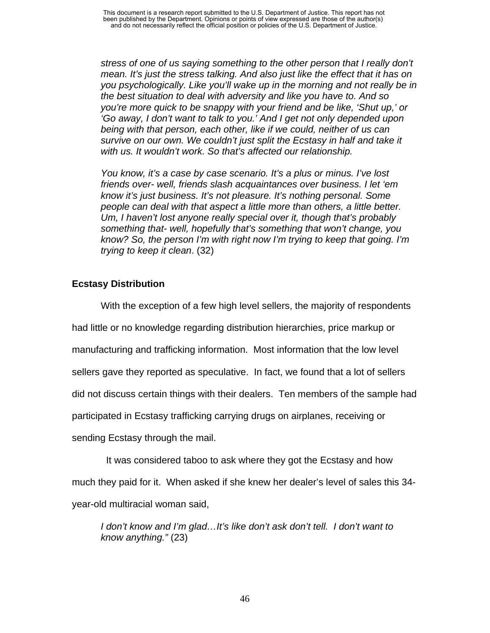*stress of one of us saying something to the other person that I really don't mean. It's just the stress talking. And also just like the effect that it has on you psychologically. Like you'll wake up in the morning and not really be in the best situation to deal with adversity and like you have to. And so you're more quick to be snappy with your friend and be like, 'Shut up,' or 'Go away, I don't want to talk to you.' And I get not only depended upon being with that person, each other, like if we could, neither of us can survive on our own. We couldn't just split the Ecstasy in half and take it with us. It wouldn't work. So that's affected our relationship.* 

*You know, it's a case by case scenario. It's a plus or minus. I've lost friends over- well, friends slash acquaintances over business. I let 'em know it's just business. It's not pleasure. It's nothing personal. Some people can deal with that aspect a little more than others, a little better. Um, I haven't lost anyone really special over it, though that's probably something that- well, hopefully that's something that won't change, you know? So, the person I'm with right now I'm trying to keep that going. I'm trying to keep it clean*. (32)

# **Ecstasy Distribution**

With the exception of a few high level sellers, the majority of respondents had little or no knowledge regarding distribution hierarchies, price markup or manufacturing and trafficking information. Most information that the low level sellers gave they reported as speculative. In fact, we found that a lot of sellers did not discuss certain things with their dealers. Ten members of the sample had participated in Ecstasy trafficking carrying drugs on airplanes, receiving or sending Ecstasy through the mail.

 It was considered taboo to ask where they got the Ecstasy and how much they paid for it. When asked if she knew her dealer's level of sales this 34 year-old multiracial woman said,

*I don't know and I'm glad…It's like don't ask don't tell. I don't want to know anything."* (23)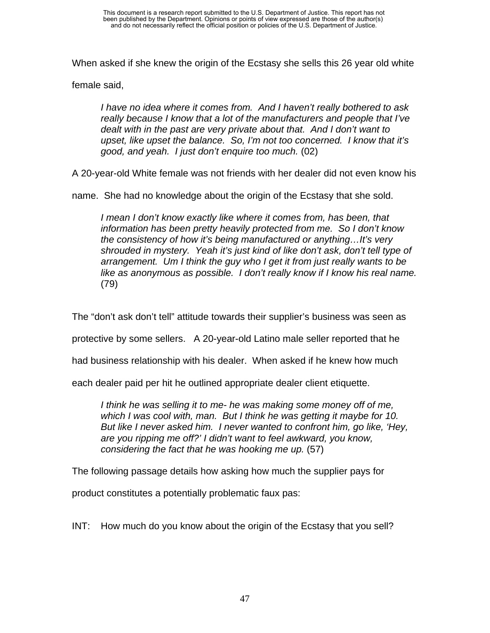When asked if she knew the origin of the Ecstasy she sells this 26 year old white

female said,

*I have no idea where it comes from. And I haven't really bothered to ask really because I know that a lot of the manufacturers and people that I've dealt with in the past are very private about that. And I don't want to upset, like upset the balance. So, I'm not too concerned. I know that it's good, and yeah. I just don't enquire too much.* (02)

A 20-year-old White female was not friends with her dealer did not even know his

name. She had no knowledge about the origin of the Ecstasy that she sold.

*I mean I don't know exactly like where it comes from, has been, that information has been pretty heavily protected from me. So I don't know the consistency of how it's being manufactured or anything…It's very shrouded in mystery. Yeah it's just kind of like don't ask, don't tell type of arrangement. Um I think the guy who I get it from just really wants to be like as anonymous as possible. I don't really know if I know his real name.* (79)

The "don't ask don't tell" attitude towards their supplier's business was seen as

protective by some sellers. A 20-year-old Latino male seller reported that he

had business relationship with his dealer. When asked if he knew how much

each dealer paid per hit he outlined appropriate dealer client etiquette.

*I think he was selling it to me- he was making some money off of me, which I was cool with, man. But I think he was getting it maybe for 10. But like I never asked him. I never wanted to confront him, go like, 'Hey, are you ripping me off?' I didn't want to feel awkward, you know, considering the fact that he was hooking me up.* (57)

The following passage details how asking how much the supplier pays for

product constitutes a potentially problematic faux pas:

INT: How much do you know about the origin of the Ecstasy that you sell?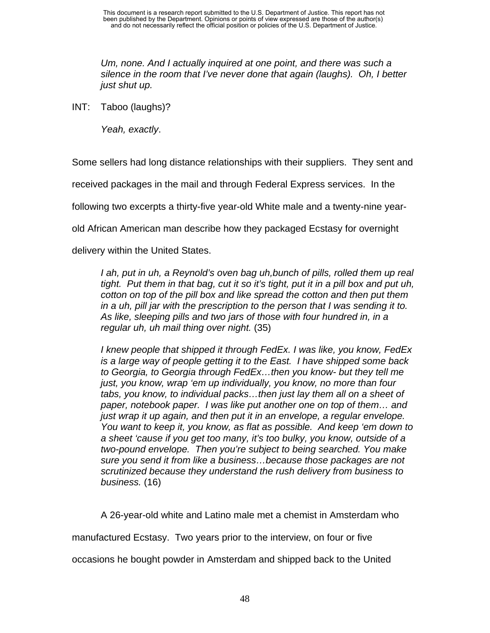*Um, none. And I actually inquired at one point, and there was such a silence in the room that I've never done that again (laughs). Oh, I better just shut up.* 

INT: Taboo (laughs)?

*Yeah, exactly*.

Some sellers had long distance relationships with their suppliers. They sent and

received packages in the mail and through Federal Express services. In the

following two excerpts a thirty-five year-old White male and a twenty-nine year-

old African American man describe how they packaged Ecstasy for overnight

delivery within the United States.

*I ah, put in uh, a Reynold's oven bag uh, bunch of pills, rolled them up real tight. Put them in that bag, cut it so it's tight, put it in a pill box and put uh, cotton on top of the pill box and like spread the cotton and then put them in a uh, pill jar with the prescription to the person that I was sending it to. As like, sleeping pills and two jars of those with four hundred in, in a regular uh, uh mail thing over night.* (35)

*I knew people that shipped it through FedEx. I was like, you know, FedEx is a large way of people getting it to the East. I have shipped some back to Georgia, to Georgia through FedEx…then you know- but they tell me just, you know, wrap 'em up individually, you know, no more than four tabs, you know, to individual packs…then just lay them all on a sheet of paper, notebook paper. I was like put another one on top of them… and just wrap it up again, and then put it in an envelope, a regular envelope. You want to keep it, you know, as flat as possible. And keep 'em down to a sheet 'cause if you get too many, it's too bulky, you know, outside of a two-pound envelope. Then you're subject to being searched. You make sure you send it from like a business…because those packages are not scrutinized because they understand the rush delivery from business to business.* (16)

A 26-year-old white and Latino male met a chemist in Amsterdam who

manufactured Ecstasy. Two years prior to the interview, on four or five

occasions he bought powder in Amsterdam and shipped back to the United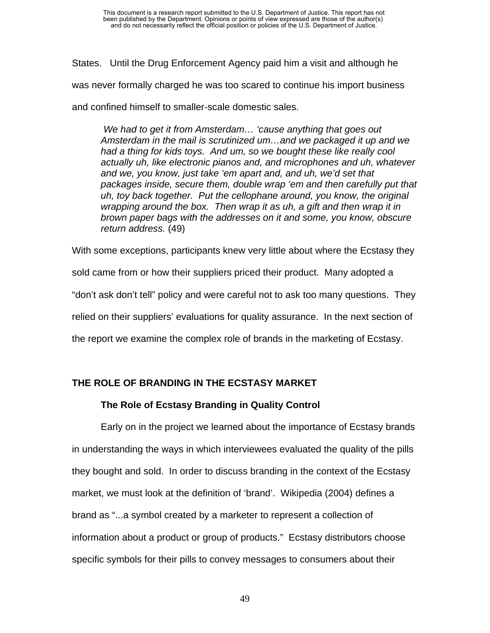States. Until the Drug Enforcement Agency paid him a visit and although he was never formally charged he was too scared to continue his import business and confined himself to smaller-scale domestic sales.

 *We had to get it from Amsterdam… 'cause anything that goes out Amsterdam in the mail is scrutinized um…and we packaged it up and we had a thing for kids toys. And um, so we bought these like really cool actually uh, like electronic pianos and, and microphones and uh, whatever and we, you know, just take 'em apart and, and uh, we'd set that packages inside, secure them, double wrap 'em and then carefully put that uh, toy back together. Put the cellophane around, you know, the original wrapping around the box. Then wrap it as uh, a gift and then wrap it in brown paper bags with the addresses on it and some, you know, obscure return address.* (49)

With some exceptions, participants knew very little about where the Ecstasy they sold came from or how their suppliers priced their product. Many adopted a "don't ask don't tell" policy and were careful not to ask too many questions. They relied on their suppliers' evaluations for quality assurance. In the next section of the report we examine the complex role of brands in the marketing of Ecstasy.

# **THE ROLE OF BRANDING IN THE ECSTASY MARKET**

### **The Role of Ecstasy Branding in Quality Control**

Early on in the project we learned about the importance of Ecstasy brands in understanding the ways in which interviewees evaluated the quality of the pills they bought and sold. In order to discuss branding in the context of the Ecstasy market, we must look at the definition of 'brand'. Wikipedia (2004) defines a brand as "...a symbol created by a marketer to represent a collection of information about a product or group of products." Ecstasy distributors choose specific symbols for their pills to convey messages to consumers about their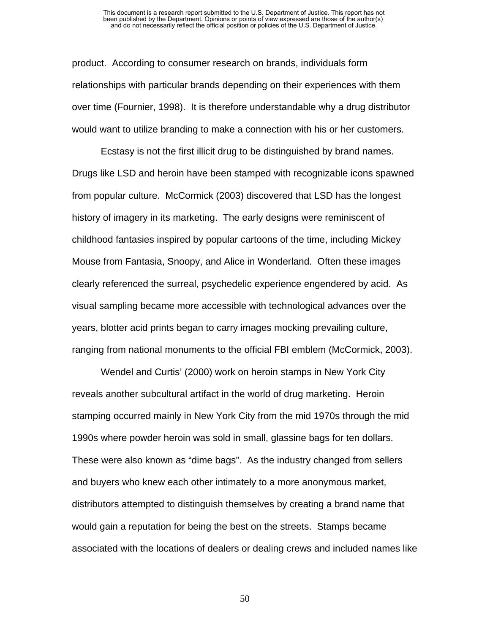#### This document is a research report submitted to the U.S. Department of Justice. This report has not been published by the Department. Opinions or points of view expressed are those of the author(s) and do not necessarily reflect the official position or policies of the U.S. Department of Justice.

product. According to consumer research on brands, individuals form relationships with particular brands depending on their experiences with them over time (Fournier, 1998). It is therefore understandable why a drug distributor would want to utilize branding to make a connection with his or her customers.

Ecstasy is not the first illicit drug to be distinguished by brand names. Drugs like LSD and heroin have been stamped with recognizable icons spawned from popular culture. McCormick (2003) discovered that LSD has the longest history of imagery in its marketing. The early designs were reminiscent of childhood fantasies inspired by popular cartoons of the time, including Mickey Mouse from Fantasia, Snoopy, and Alice in Wonderland. Often these images clearly referenced the surreal, psychedelic experience engendered by acid. As visual sampling became more accessible with technological advances over the years, blotter acid prints began to carry images mocking prevailing culture, ranging from national monuments to the official FBI emblem (McCormick, 2003).

Wendel and Curtis' (2000) work on heroin stamps in New York City reveals another subcultural artifact in the world of drug marketing. Heroin stamping occurred mainly in New York City from the mid 1970s through the mid 1990s where powder heroin was sold in small, glassine bags for ten dollars. These were also known as "dime bags". As the industry changed from sellers and buyers who knew each other intimately to a more anonymous market, distributors attempted to distinguish themselves by creating a brand name that would gain a reputation for being the best on the streets. Stamps became associated with the locations of dealers or dealing crews and included names like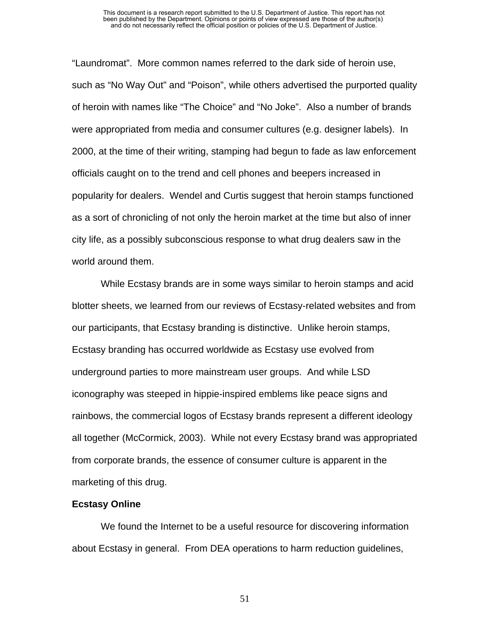#### This document is a research report submitted to the U.S. Department of Justice. This report has not been published by the Department. Opinions or points of view expressed are those of the author(s) and do not necessarily reflect the official position or policies of the U.S. Department of Justice.

"Laundromat". More common names referred to the dark side of heroin use, such as "No Way Out" and "Poison", while others advertised the purported quality of heroin with names like "The Choice" and "No Joke". Also a number of brands were appropriated from media and consumer cultures (e.g. designer labels). In 2000, at the time of their writing, stamping had begun to fade as law enforcement officials caught on to the trend and cell phones and beepers increased in popularity for dealers. Wendel and Curtis suggest that heroin stamps functioned as a sort of chronicling of not only the heroin market at the time but also of inner city life, as a possibly subconscious response to what drug dealers saw in the world around them.

While Ecstasy brands are in some ways similar to heroin stamps and acid blotter sheets, we learned from our reviews of Ecstasy-related websites and from our participants, that Ecstasy branding is distinctive. Unlike heroin stamps, Ecstasy branding has occurred worldwide as Ecstasy use evolved from underground parties to more mainstream user groups. And while LSD iconography was steeped in hippie-inspired emblems like peace signs and rainbows, the commercial logos of Ecstasy brands represent a different ideology all together (McCormick, 2003). While not every Ecstasy brand was appropriated from corporate brands, the essence of consumer culture is apparent in the marketing of this drug.

#### **Ecstasy Online**

We found the Internet to be a useful resource for discovering information about Ecstasy in general. From DEA operations to harm reduction guidelines,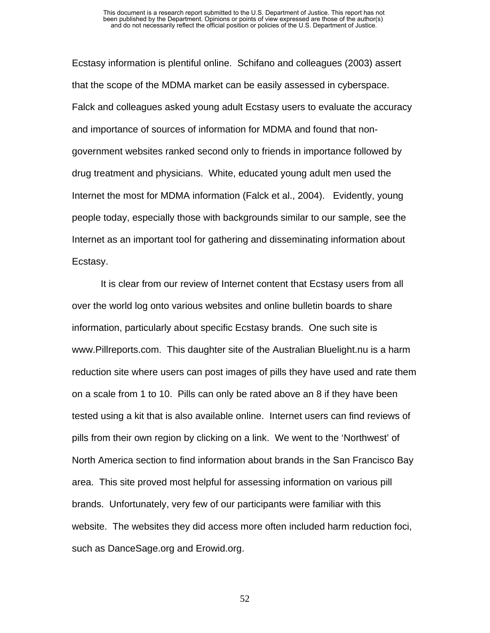Ecstasy information is plentiful online. Schifano and colleagues (2003) assert that the scope of the MDMA market can be easily assessed in cyberspace. Falck and colleagues asked young adult Ecstasy users to evaluate the accuracy and importance of sources of information for MDMA and found that nongovernment websites ranked second only to friends in importance followed by drug treatment and physicians. White, educated young adult men used the Internet the most for MDMA information (Falck et al., 2004). Evidently, young people today, especially those with backgrounds similar to our sample, see the Internet as an important tool for gathering and disseminating information about Ecstasy.

It is clear from our review of Internet content that Ecstasy users from all over the world log onto various websites and online bulletin boards to share information, particularly about specific Ecstasy brands. One such site is www.Pillreports.com. This daughter site of the Australian Bluelight.nu is a harm reduction site where users can post images of pills they have used and rate them on a scale from 1 to 10. Pills can only be rated above an 8 if they have been tested using a kit that is also available online. Internet users can find reviews of pills from their own region by clicking on a link. We went to the 'Northwest' of North America section to find information about brands in the San Francisco Bay area. This site proved most helpful for assessing information on various pill brands. Unfortunately, very few of our participants were familiar with this website. The websites they did access more often included harm reduction foci, such as DanceSage.org and Erowid.org.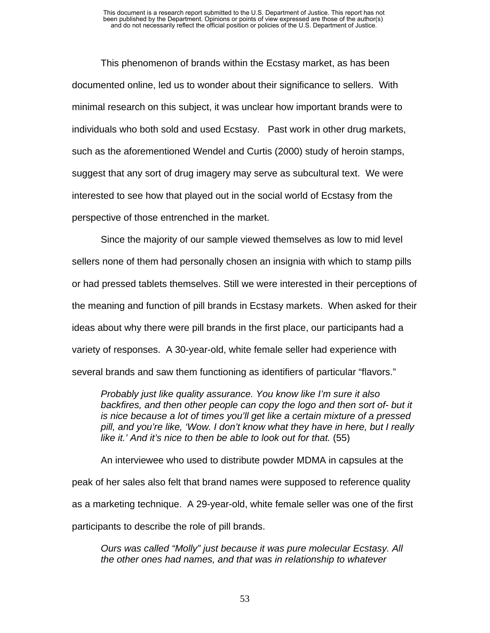This phenomenon of brands within the Ecstasy market, as has been documented online, led us to wonder about their significance to sellers. With minimal research on this subject, it was unclear how important brands were to individuals who both sold and used Ecstasy. Past work in other drug markets, such as the aforementioned Wendel and Curtis (2000) study of heroin stamps, suggest that any sort of drug imagery may serve as subcultural text. We were interested to see how that played out in the social world of Ecstasy from the perspective of those entrenched in the market.

Since the majority of our sample viewed themselves as low to mid level sellers none of them had personally chosen an insignia with which to stamp pills or had pressed tablets themselves. Still we were interested in their perceptions of the meaning and function of pill brands in Ecstasy markets. When asked for their ideas about why there were pill brands in the first place, our participants had a variety of responses. A 30-year-old, white female seller had experience with several brands and saw them functioning as identifiers of particular "flavors."

*Probably just like quality assurance. You know like I'm sure it also*  backfires, and then other people can copy the logo and then sort of- but it *is nice because a lot of times you'll get like a certain mixture of a pressed pill, and you're like, 'Wow. I don't know what they have in here, but I really like it.' And it's nice to then be able to look out for that.* (55)

An interviewee who used to distribute powder MDMA in capsules at the peak of her sales also felt that brand names were supposed to reference quality as a marketing technique. A 29-year-old, white female seller was one of the first participants to describe the role of pill brands.

*Ours was called "Molly" just because it was pure molecular Ecstasy. All the other ones had names, and that was in relationship to whatever*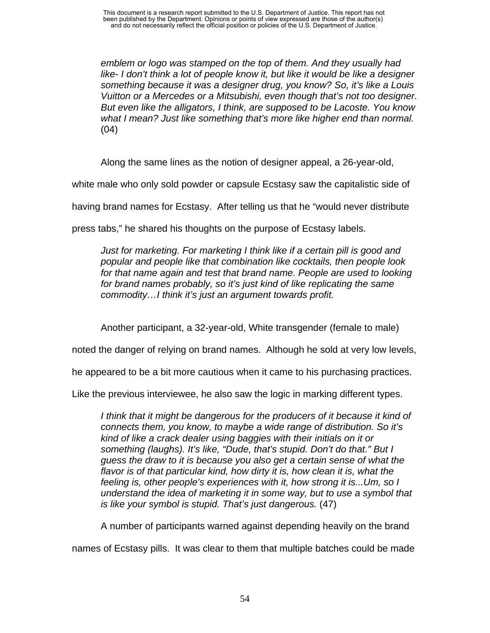*emblem or logo was stamped on the top of them. And they usually had*  like- I don't think a lot of people know it, but like it would be like a designer *something because it was a designer drug, you know? So, it's like a Louis Vuitton or a Mercedes or a Mitsubishi, even though that's not too designer. But even like the alligators, I think, are supposed to be Lacoste. You know what I mean? Just like something that's more like higher end than normal.*  (04)

Along the same lines as the notion of designer appeal, a 26-year-old,

white male who only sold powder or capsule Ecstasy saw the capitalistic side of

having brand names for Ecstasy. After telling us that he "would never distribute

press tabs," he shared his thoughts on the purpose of Ecstasy labels.

*Just for marketing. For marketing I think like if a certain pill is good and popular and people like that combination like cocktails, then people look*  for that name again and test that brand name. People are used to looking *for brand names probably, so it's just kind of like replicating the same commodity…I think it's just an argument towards profit.*

Another participant, a 32-year-old, White transgender (female to male)

noted the danger of relying on brand names. Although he sold at very low levels,

he appeared to be a bit more cautious when it came to his purchasing practices.

Like the previous interviewee, he also saw the logic in marking different types.

*I think that it might be dangerous for the producers of it because it kind of connects them, you know, to maybe a wide range of distribution. So it's kind of like a crack dealer using baggies with their initials on it or something (laughs). It's like, "Dude, that's stupid. Don't do that." But I guess the draw to it is because you also get a certain sense of what the flavor is of that particular kind, how dirty it is, how clean it is, what the feeling is, other people's experiences with it, how strong it is...Um, so I understand the idea of marketing it in some way, but to use a symbol that is like your symbol is stupid. That's just dangerous.* (47)

A number of participants warned against depending heavily on the brand

names of Ecstasy pills. It was clear to them that multiple batches could be made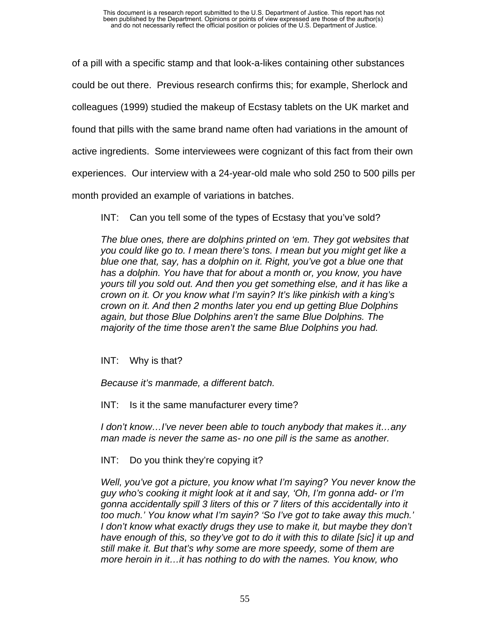of a pill with a specific stamp and that look-a-likes containing other substances

could be out there. Previous research confirms this; for example, Sherlock and

colleagues (1999) studied the makeup of Ecstasy tablets on the UK market and

found that pills with the same brand name often had variations in the amount of

active ingredients. Some interviewees were cognizant of this fact from their own

experiences. Our interview with a 24-year-old male who sold 250 to 500 pills per

month provided an example of variations in batches.

INT: Can you tell some of the types of Ecstasy that you've sold?

*The blue ones, there are dolphins printed on 'em. They got websites that you could like go to. I mean there's tons. I mean but you might get like a blue one that, say, has a dolphin on it. Right, you've got a blue one that has a dolphin. You have that for about a month or, you know, you have yours till you sold out. And then you get something else, and it has like a crown on it. Or you know what I'm sayin? It's like pinkish with a king's crown on it. And then 2 months later you end up getting Blue Dolphins again, but those Blue Dolphins aren't the same Blue Dolphins. The majority of the time those aren't the same Blue Dolphins you had.*

INT: Why is that?

*Because it's manmade, a different batch.* 

INT: Is it the same manufacturer every time?

*I don't know…I've never been able to touch anybody that makes it…any man made is never the same as- no one pill is the same as another.* 

INT: Do you think they're copying it?

*Well, you've got a picture, you know what I'm saying? You never know the guy who's cooking it might look at it and say, 'Oh, I'm gonna add- or I'm gonna accidentally spill 3 liters of this or 7 liters of this accidentally into it too much.' You know what I'm sayin? 'So I've got to take away this much.' I don't know what exactly drugs they use to make it, but maybe they don't have enough of this, so they've got to do it with this to dilate [sic] it up and still make it. But that's why some are more speedy, some of them are more heroin in it…it has nothing to do with the names. You know, who*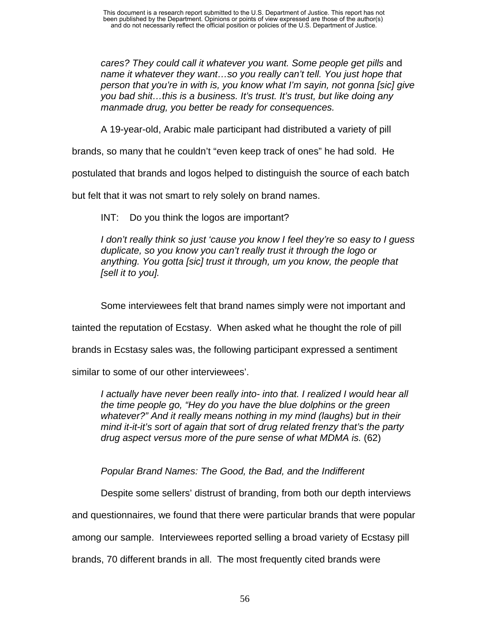*cares? They could call it whatever you want. Some people get pills* and *name it whatever they want…so you really can't tell. You just hope that person that you're in with is, you know what I'm sayin, not gonna [sic] give you bad shit…this is a business. It's trust. It's trust, but like doing any manmade drug, you better be ready for consequences.* 

A 19-year-old, Arabic male participant had distributed a variety of pill

brands, so many that he couldn't "even keep track of ones" he had sold. He

postulated that brands and logos helped to distinguish the source of each batch

but felt that it was not smart to rely solely on brand names.

INT: Do you think the logos are important?

*I don't really think so just 'cause you know I feel they're so easy to I guess duplicate, so you know you can't really trust it through the logo or anything. You gotta [sic] trust it through, um you know, the people that [sell it to you].* 

Some interviewees felt that brand names simply were not important and

tainted the reputation of Ecstasy. When asked what he thought the role of pill

brands in Ecstasy sales was, the following participant expressed a sentiment

similar to some of our other interviewees'.

*I actually have never been really into- into that. I realized I would hear all the time people go, "Hey do you have the blue dolphins or the green whatever?" And it really means nothing in my mind (laughs) but in their mind it-it-it's sort of again that sort of drug related frenzy that's the party drug aspect versus more of the pure sense of what MDMA is.* (62)

*Popular Brand Names: The Good, the Bad, and the Indifferent* 

Despite some sellers' distrust of branding, from both our depth interviews

and questionnaires, we found that there were particular brands that were popular

among our sample. Interviewees reported selling a broad variety of Ecstasy pill

brands, 70 different brands in all. The most frequently cited brands were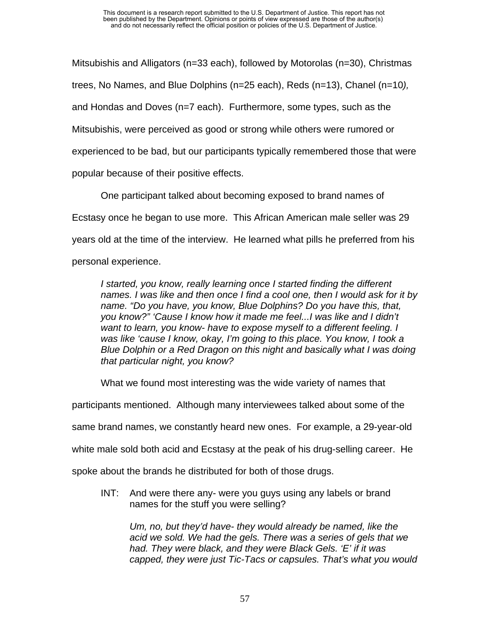Mitsubishis and Alligators (n=33 each), followed by Motorolas (n=30), Christmas trees, No Names, and Blue Dolphins (n=25 each), Reds (n=13), Chanel (n=10*),*  and Hondas and Doves (n=7 each). Furthermore, some types, such as the Mitsubishis, were perceived as good or strong while others were rumored or experienced to be bad, but our participants typically remembered those that were popular because of their positive effects.

One participant talked about becoming exposed to brand names of Ecstasy once he began to use more. This African American male seller was 29 years old at the time of the interview. He learned what pills he preferred from his personal experience.

*I* started, you know, really learning once I started finding the different *names. I was like and then once I find a cool one, then I would ask for it by name. "Do you have, you know, Blue Dolphins? Do you have this, that, you know?" 'Cause I know how it made me feel...I was like and I didn't want to learn, you know- have to expose myself to a different feeling. I was like 'cause I know, okay, I'm going to this place. You know, I took a Blue Dolphin or a Red Dragon on this night and basically what I was doing that particular night, you know?* 

What we found most interesting was the wide variety of names that

participants mentioned. Although many interviewees talked about some of the

same brand names, we constantly heard new ones. For example, a 29-year-old

white male sold both acid and Ecstasy at the peak of his drug-selling career. He

spoke about the brands he distributed for both of those drugs.

INT: And were there any- were you guys using any labels or brand names for the stuff you were selling?

*Um, no, but they'd have- they would already be named, like the acid we sold. We had the gels. There was a series of gels that we had. They were black, and they were Black Gels. 'E' if it was capped, they were just Tic-Tacs or capsules. That's what you would*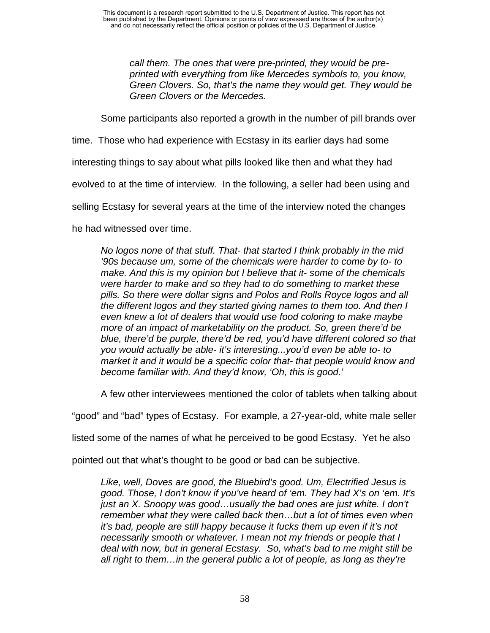*call them. The ones that were pre-printed, they would be preprinted with everything from like Mercedes symbols to, you know, Green Clovers. So, that's the name they would get. They would be Green Clovers or the Mercedes.* 

Some participants also reported a growth in the number of pill brands over

time. Those who had experience with Ecstasy in its earlier days had some

interesting things to say about what pills looked like then and what they had

evolved to at the time of interview. In the following, a seller had been using and

selling Ecstasy for several years at the time of the interview noted the changes

he had witnessed over time.

*No logos none of that stuff. That- that started I think probably in the mid '90s because um, some of the chemicals were harder to come by to- to make. And this is my opinion but I believe that it- some of the chemicals were harder to make and so they had to do something to market these pills. So there were dollar signs and Polos and Rolls Royce logos and all the different logos and they started giving names to them too. And then I even knew a lot of dealers that would use food coloring to make maybe more of an impact of marketability on the product. So, green there'd be blue, there'd be purple, there'd be red, you'd have different colored so that you would actually be able- it's interesting...you'd even be able to- to market it and it would be a specific color that- that people would know and become familiar with. And they'd know, 'Oh, this is good.'* 

A few other interviewees mentioned the color of tablets when talking about

"good" and "bad" types of Ecstasy. For example, a 27-year-old, white male seller

listed some of the names of what he perceived to be good Ecstasy. Yet he also

pointed out that what's thought to be good or bad can be subjective.

*Like, well, Doves are good, the Bluebird's good. Um, Electrified Jesus is good. Those, I don't know if you've heard of 'em. They had X's on 'em. It's just an X. Snoopy was good…usually the bad ones are just white. I don't remember what they were called back then…but a lot of times even when it's bad, people are still happy because it fucks them up even if it's not necessarily smooth or whatever. I mean not my friends or people that I deal with now, but in general Ecstasy. So, what's bad to me might still be all right to them…in the general public a lot of people, as long as they're*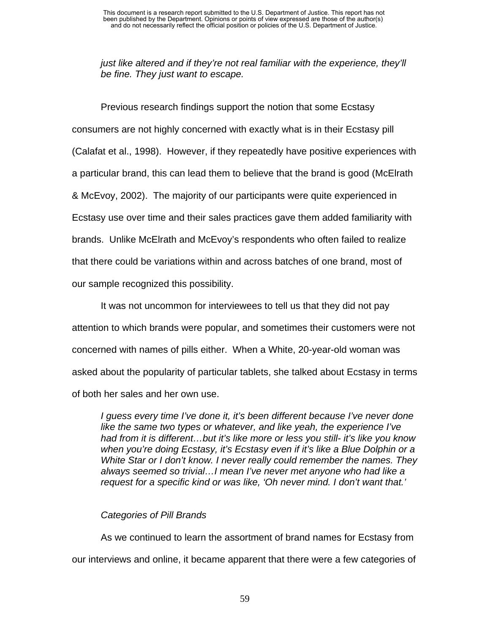*just like altered and if they're not real familiar with the experience, they'll be fine. They just want to escape.* 

Previous research findings support the notion that some Ecstasy consumers are not highly concerned with exactly what is in their Ecstasy pill (Calafat et al., 1998). However, if they repeatedly have positive experiences with a particular brand, this can lead them to believe that the brand is good (McElrath & McEvoy, 2002). The majority of our participants were quite experienced in Ecstasy use over time and their sales practices gave them added familiarity with brands. Unlike McElrath and McEvoy's respondents who often failed to realize that there could be variations within and across batches of one brand, most of our sample recognized this possibility.

It was not uncommon for interviewees to tell us that they did not pay attention to which brands were popular, and sometimes their customers were not concerned with names of pills either. When a White, 20-year-old woman was asked about the popularity of particular tablets, she talked about Ecstasy in terms of both her sales and her own use.

*I guess every time I've done it, it's been different because I've never done like the same two types or whatever, and like yeah, the experience I've had from it is different…but it's like more or less you still- it's like you know when you're doing Ecstasy, it's Ecstasy even if it's like a Blue Dolphin or a White Star or I don't know. I never really could remember the names. They always seemed so trivial…I mean I've never met anyone who had like a request for a specific kind or was like, 'Oh never mind. I don't want that.'*

## *Categories of Pill Brands*

As we continued to learn the assortment of brand names for Ecstasy from our interviews and online, it became apparent that there were a few categories of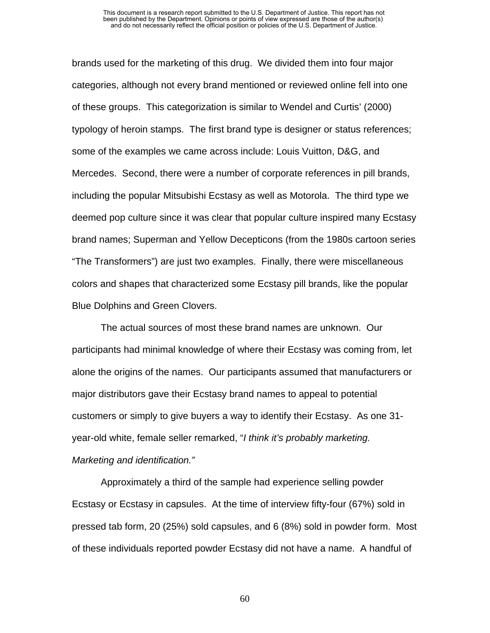#### This document is a research report submitted to the U.S. Department of Justice. This report has not been published by the Department. Opinions or points of view expressed are those of the author(s) and do not necessarily reflect the official position or policies of the U.S. Department of Justice.

brands used for the marketing of this drug. We divided them into four major categories, although not every brand mentioned or reviewed online fell into one of these groups. This categorization is similar to Wendel and Curtis' (2000) typology of heroin stamps. The first brand type is designer or status references; some of the examples we came across include: Louis Vuitton, D&G, and Mercedes. Second, there were a number of corporate references in pill brands, including the popular Mitsubishi Ecstasy as well as Motorola. The third type we deemed pop culture since it was clear that popular culture inspired many Ecstasy brand names; Superman and Yellow Decepticons (from the 1980s cartoon series "The Transformers") are just two examples. Finally, there were miscellaneous colors and shapes that characterized some Ecstasy pill brands, like the popular Blue Dolphins and Green Clovers.

The actual sources of most these brand names are unknown. Our participants had minimal knowledge of where their Ecstasy was coming from, let alone the origins of the names. Our participants assumed that manufacturers or major distributors gave their Ecstasy brand names to appeal to potential customers or simply to give buyers a way to identify their Ecstasy. As one 31 year-old white, female seller remarked, "*I think it's probably marketing. Marketing and identification."* 

Approximately a third of the sample had experience selling powder Ecstasy or Ecstasy in capsules. At the time of interview fifty-four (67%) sold in pressed tab form, 20 (25%) sold capsules, and 6 (8%) sold in powder form. Most of these individuals reported powder Ecstasy did not have a name. A handful of

60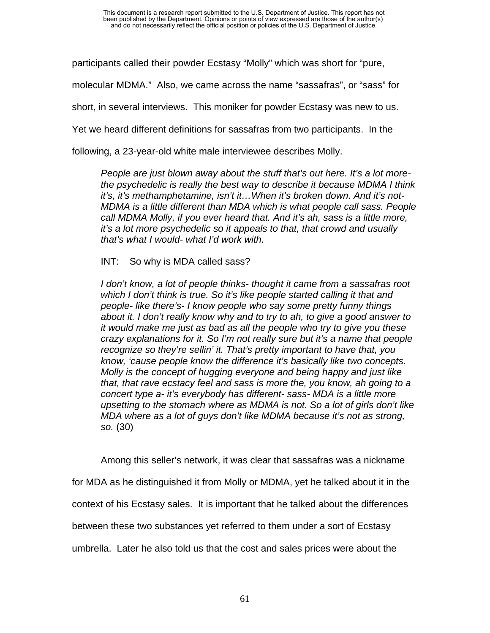participants called their powder Ecstasy "Molly" which was short for "pure,

molecular MDMA." Also, we came across the name "sassafras", or "sass" for

short, in several interviews. This moniker for powder Ecstasy was new to us.

Yet we heard different definitions for sassafras from two participants. In the

following, a 23-year-old white male interviewee describes Molly.

*People are just blown away about the stuff that's out here. It's a lot morethe psychedelic is really the best way to describe it because MDMA I think it's, it's methamphetamine, isn't it…When it's broken down. And it's not-MDMA is a little different than MDA which is what people call sass. People call MDMA Molly, if you ever heard that. And it's ah, sass is a little more, it's a lot more psychedelic so it appeals to that, that crowd and usually that's what I would- what I'd work with.* 

INT: So why is MDA called sass?

*I don't know, a lot of people thinks- thought it came from a sassafras root which I don't think is true. So it's like people started calling it that and people- like there's- I know people who say some pretty funny things about it. I don't really know why and to try to ah, to give a good answer to it would make me just as bad as all the people who try to give you these crazy explanations for it. So I'm not really sure but it's a name that people recognize so they're sellin' it. That's pretty important to have that, you know, 'cause people know the difference it's basically like two concepts. Molly is the concept of hugging everyone and being happy and just like that, that rave ecstacy feel and sass is more the, you know, ah going to a concert type a- it's everybody has different- sass- MDA is a little more upsetting to the stomach where as MDMA is not. So a lot of girls don't like MDA where as a lot of guys don't like MDMA because it's not as strong, so.* (30)

Among this seller's network, it was clear that sassafras was a nickname for MDA as he distinguished it from Molly or MDMA, yet he talked about it in the context of his Ecstasy sales. It is important that he talked about the differences between these two substances yet referred to them under a sort of Ecstasy umbrella. Later he also told us that the cost and sales prices were about the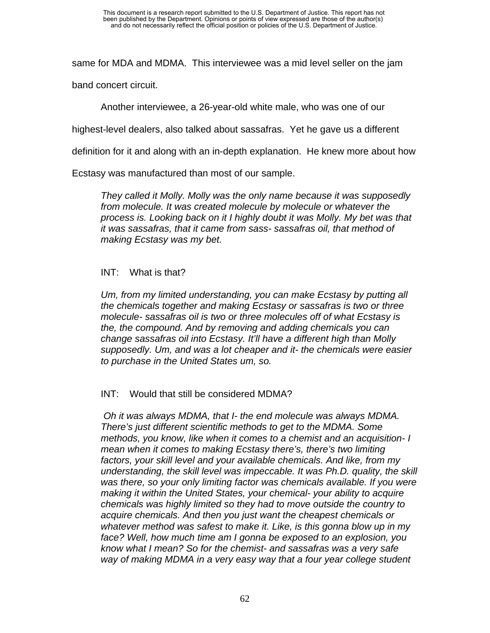same for MDA and MDMA. This interviewee was a mid level seller on the jam

band concert circuit.

Another interviewee, a 26-year-old white male, who was one of our

highest-level dealers, also talked about sassafras. Yet he gave us a different

definition for it and along with an in-depth explanation. He knew more about how

Ecstasy was manufactured than most of our sample.

*They called it Molly. Molly was the only name because it was supposedly from molecule. It was created molecule by molecule or whatever the process is. Looking back on it I highly doubt it was Molly. My bet was that it was sassafras, that it came from sass- sassafras oil, that method of making Ecstasy was my bet.* 

## INT: What is that?

*Um, from my limited understanding, you can make Ecstasy by putting all the chemicals together and making Ecstasy or sassafras is two or three molecule- sassafras oil is two or three molecules off of what Ecstasy is the, the compound. And by removing and adding chemicals you can change sassafras oil into Ecstasy. It'll have a different high than Molly supposedly. Um, and was a lot cheaper and it- the chemicals were easier to purchase in the United States um, so.* 

INT: Would that still be considered MDMA?

 *Oh it was always MDMA, that I- the end molecule was always MDMA. There's just different scientific methods to get to the MDMA. Some methods, you know, like when it comes to a chemist and an acquisition- I mean when it comes to making Ecstasy there's, there's two limiting factors, your skill level and your available chemicals. And like, from my understanding, the skill level was impeccable. It was Ph.D. quality, the skill was there, so your only limiting factor was chemicals available. If you were making it within the United States, your chemical- your ability to acquire chemicals was highly limited so they had to move outside the country to acquire chemicals. And then you just want the cheapest chemicals or whatever method was safest to make it. Like, is this gonna blow up in my face? Well, how much time am I gonna be exposed to an explosion, you know what I mean? So for the chemist- and sassafras was a very safe way of making MDMA in a very easy way that a four year college student*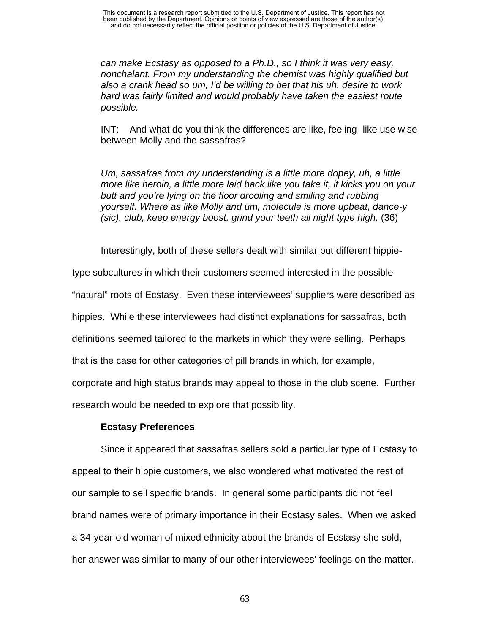*can make Ecstasy as opposed to a Ph.D., so I think it was very easy, nonchalant. From my understanding the chemist was highly qualified but also a crank head so um, I'd be willing to bet that his uh, desire to work hard was fairly limited and would probably have taken the easiest route possible.* 

INT: And what do you think the differences are like, feeling- like use wise between Molly and the sassafras?

*Um, sassafras from my understanding is a little more dopey, uh, a little more like heroin, a little more laid back like you take it, it kicks you on your butt and you're lying on the floor drooling and smiling and rubbing yourself. Where as like Molly and um, molecule is more upbeat, dance-y (sic), club, keep energy boost, grind your teeth all night type high.* (36)

Interestingly, both of these sellers dealt with similar but different hippie-

type subcultures in which their customers seemed interested in the possible "natural" roots of Ecstasy. Even these interviewees' suppliers were described as hippies. While these interviewees had distinct explanations for sassafras, both definitions seemed tailored to the markets in which they were selling. Perhaps that is the case for other categories of pill brands in which, for example, corporate and high status brands may appeal to those in the club scene. Further research would be needed to explore that possibility.

## **Ecstasy Preferences**

Since it appeared that sassafras sellers sold a particular type of Ecstasy to appeal to their hippie customers, we also wondered what motivated the rest of our sample to sell specific brands. In general some participants did not feel brand names were of primary importance in their Ecstasy sales. When we asked a 34-year-old woman of mixed ethnicity about the brands of Ecstasy she sold, her answer was similar to many of our other interviewees' feelings on the matter.

63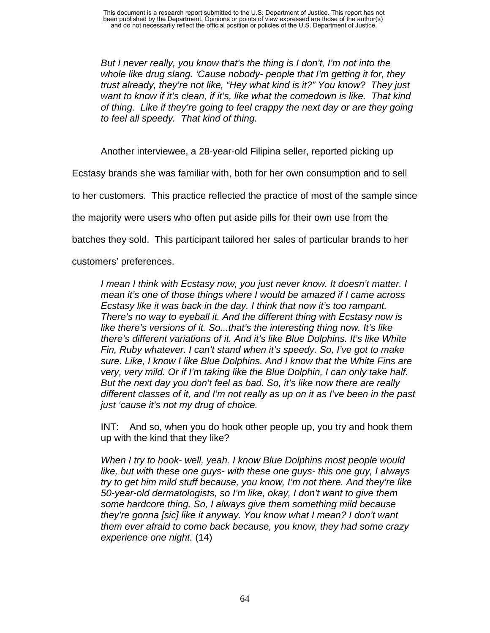*But I never really, you know that's the thing is I don't, I'm not into the whole like drug slang. 'Cause nobody- people that I'm getting it for, they trust already, they're not like, "Hey what kind is it?" You know? They just want to know if it's clean, if it's, like what the comedown is like. That kind of thing. Like if they're going to feel crappy the next day or are they going to feel all speedy. That kind of thing.* 

Another interviewee, a 28-year-old Filipina seller, reported picking up

Ecstasy brands she was familiar with, both for her own consumption and to sell

to her customers. This practice reflected the practice of most of the sample since

the majority were users who often put aside pills for their own use from the

batches they sold. This participant tailored her sales of particular brands to her

customers' preferences.

*I mean I think with Ecstasy now, you just never know. It doesn't matter. I mean it's one of those things where I would be amazed if I came across Ecstasy like it was back in the day. I think that now it's too rampant. There's no way to eyeball it. And the different thing with Ecstasy now is like there's versions of it. So...that's the interesting thing now. It's like there's different variations of it. And it's like Blue Dolphins. It's like White Fin, Ruby whatever. I can't stand when it's speedy. So, I've got to make sure. Like, I know I like Blue Dolphins. And I know that the White Fins are very, very mild. Or if I'm taking like the Blue Dolphin, I can only take half. But the next day you don't feel as bad. So, it's like now there are really different classes of it, and I'm not really as up on it as I've been in the past just 'cause it's not my drug of choice.* 

INT: And so, when you do hook other people up, you try and hook them up with the kind that they like?

*When I try to hook- well, yeah. I know Blue Dolphins most people would like, but with these one guys- with these one guys- this one guy, I always try to get him mild stuff because, you know, I'm not there. And they're like 50-year-old dermatologists, so I'm like, okay, I don't want to give them some hardcore thing. So, I always give them something mild because they're gonna [sic] like it anyway. You know what I mean? I don't want them ever afraid to come back because, you know, they had some crazy experience one night.* (14)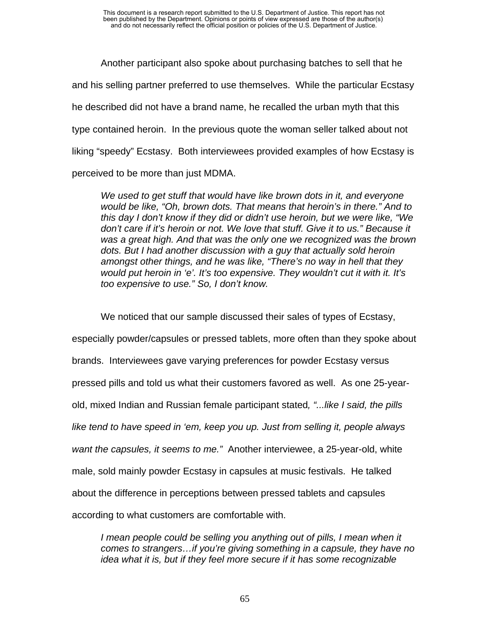Another participant also spoke about purchasing batches to sell that he and his selling partner preferred to use themselves. While the particular Ecstasy he described did not have a brand name, he recalled the urban myth that this type contained heroin. In the previous quote the woman seller talked about not liking "speedy" Ecstasy. Both interviewees provided examples of how Ecstasy is perceived to be more than just MDMA.

*We used to get stuff that would have like brown dots in it, and everyone would be like, "Oh, brown dots. That means that heroin's in there." And to this day I don't know if they did or didn't use heroin, but we were like, "We don't care if it's heroin or not. We love that stuff. Give it to us." Because it was a great high. And that was the only one we recognized was the brown dots. But I had another discussion with a guy that actually sold heroin amongst other things, and he was like, "There's no way in hell that they would put heroin in 'e'. It's too expensive. They wouldn't cut it with it. It's too expensive to use." So, I don't know.* 

We noticed that our sample discussed their sales of types of Ecstasy, especially powder/capsules or pressed tablets, more often than they spoke about brands. Interviewees gave varying preferences for powder Ecstasy versus pressed pills and told us what their customers favored as well. As one 25-yearold, mixed Indian and Russian female participant stated*, "...like I said, the pills like tend to have speed in 'em, keep you up. Just from selling it, people always want the capsules, it seems to me."* Another interviewee, a 25-year-old, white male, sold mainly powder Ecstasy in capsules at music festivals. He talked about the difference in perceptions between pressed tablets and capsules according to what customers are comfortable with.

*I* mean people could be selling you anything out of pills, I mean when it *comes to strangers…if you're giving something in a capsule, they have no idea what it is, but if they feel more secure if it has some recognizable*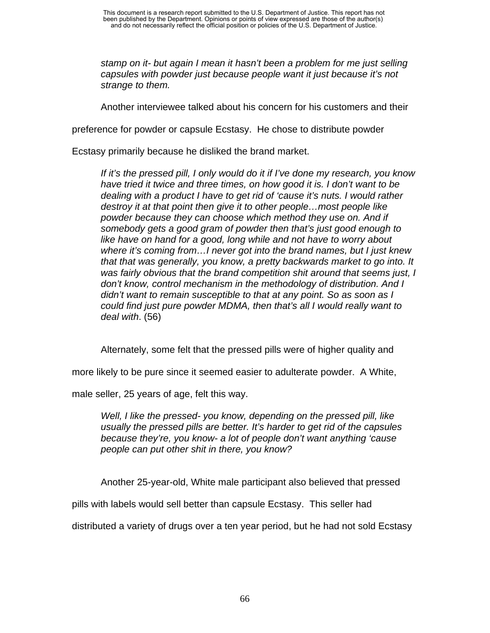*stamp on it- but again I mean it hasn't been a problem for me just selling capsules with powder just because people want it just because it's not strange to them.* 

Another interviewee talked about his concern for his customers and their

preference for powder or capsule Ecstasy. He chose to distribute powder

Ecstasy primarily because he disliked the brand market.

*If it's the pressed pill, I only would do it if I've done my research, you know have tried it twice and three times, on how good it is. I don't want to be dealing with a product I have to get rid of 'cause it's nuts. I would rather destroy it at that point then give it to other people…most people like powder because they can choose which method they use on. And if somebody gets a good gram of powder then that's just good enough to like have on hand for a good, long while and not have to worry about where it's coming from…I never got into the brand names, but I just knew that that was generally, you know, a pretty backwards market to go into. It was fairly obvious that the brand competition shit around that seems just, I don't know, control mechanism in the methodology of distribution. And I didn't want to remain susceptible to that at any point. So as soon as I could find just pure powder MDMA, then that's all I would really want to deal with*. (56)

Alternately, some felt that the pressed pills were of higher quality and

more likely to be pure since it seemed easier to adulterate powder. A White,

male seller, 25 years of age, felt this way.

*Well, I like the pressed- you know, depending on the pressed pill, like usually the pressed pills are better. It's harder to get rid of the capsules because they're, you know- a lot of people don't want anything 'cause people can put other shit in there, you know?* 

Another 25-year-old, White male participant also believed that pressed

pills with labels would sell better than capsule Ecstasy. This seller had

distributed a variety of drugs over a ten year period, but he had not sold Ecstasy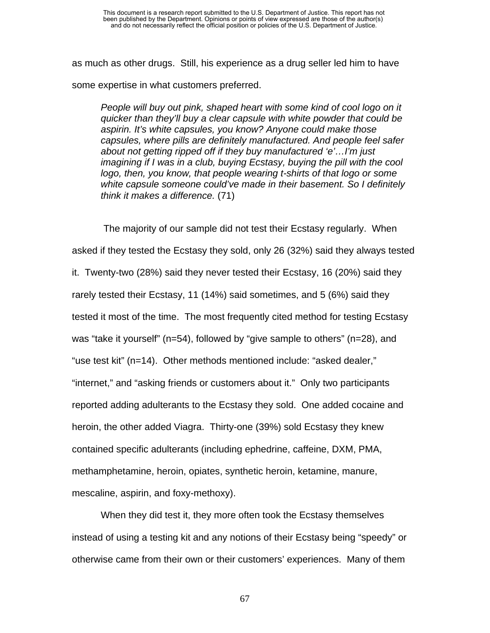as much as other drugs. Still, his experience as a drug seller led him to have some expertise in what customers preferred.

*People will buy out pink, shaped heart with some kind of cool logo on it quicker than they'll buy a clear capsule with white powder that could be aspirin. It's white capsules, you know? Anyone could make those capsules, where pills are definitely manufactured. And people feel safer about not getting ripped off if they buy manufactured 'e'…I'm just imagining if I was in a club, buying Ecstasy, buying the pill with the cool logo, then, you know, that people wearing t-shirts of that logo or some white capsule someone could've made in their basement. So I definitely think it makes a difference.* (71)

 The majority of our sample did not test their Ecstasy regularly. When asked if they tested the Ecstasy they sold, only 26 (32%) said they always tested it. Twenty-two (28%) said they never tested their Ecstasy, 16 (20%) said they rarely tested their Ecstasy, 11 (14%) said sometimes, and 5 (6%) said they tested it most of the time. The most frequently cited method for testing Ecstasy was "take it yourself" (n=54), followed by "give sample to others" (n=28), and "use test kit" (n=14). Other methods mentioned include: "asked dealer," "internet," and "asking friends or customers about it." Only two participants reported adding adulterants to the Ecstasy they sold. One added cocaine and heroin, the other added Viagra. Thirty-one (39%) sold Ecstasy they knew contained specific adulterants (including ephedrine, caffeine, DXM, PMA, methamphetamine, heroin, opiates, synthetic heroin, ketamine, manure, mescaline, aspirin, and foxy-methoxy).

When they did test it, they more often took the Ecstasy themselves instead of using a testing kit and any notions of their Ecstasy being "speedy" or otherwise came from their own or their customers' experiences. Many of them

67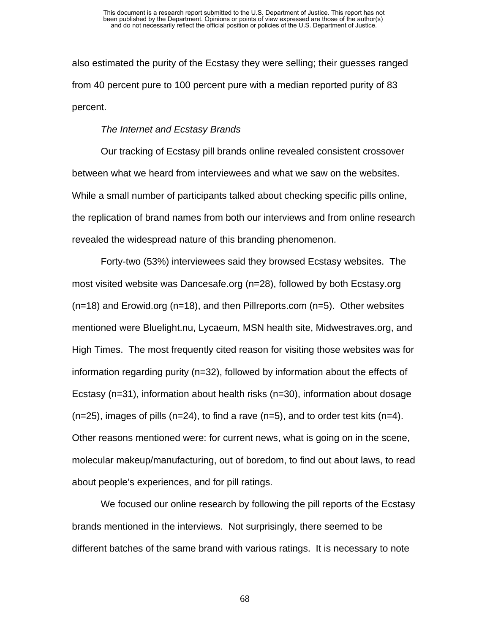also estimated the purity of the Ecstasy they were selling; their guesses ranged from 40 percent pure to 100 percent pure with a median reported purity of 83 percent.

#### *The Internet and Ecstasy Brands*

Our tracking of Ecstasy pill brands online revealed consistent crossover between what we heard from interviewees and what we saw on the websites. While a small number of participants talked about checking specific pills online, the replication of brand names from both our interviews and from online research revealed the widespread nature of this branding phenomenon.

Forty-two (53%) interviewees said they browsed Ecstasy websites. The most visited website was Dancesafe.org (n=28), followed by both Ecstasy.org  $(n=18)$  and Erowid.org  $(n=18)$ , and then Pillreports.com  $(n=5)$ . Other websites mentioned were Bluelight.nu, Lycaeum, MSN health site, Midwestraves.org, and High Times. The most frequently cited reason for visiting those websites was for information regarding purity (n=32), followed by information about the effects of Ecstasy (n=31), information about health risks (n=30), information about dosage  $(n=25)$ , images of pills  $(n=24)$ , to find a rave  $(n=5)$ , and to order test kits  $(n=4)$ . Other reasons mentioned were: for current news, what is going on in the scene, molecular makeup/manufacturing, out of boredom, to find out about laws, to read about people's experiences, and for pill ratings.

We focused our online research by following the pill reports of the Ecstasy brands mentioned in the interviews. Not surprisingly, there seemed to be different batches of the same brand with various ratings. It is necessary to note

68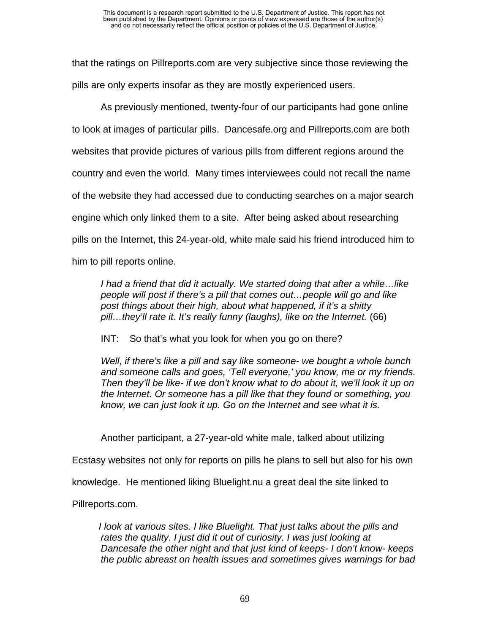that the ratings on Pillreports.com are very subjective since those reviewing the pills are only experts insofar as they are mostly experienced users.

As previously mentioned, twenty-four of our participants had gone online to look at images of particular pills. Dancesafe.org and Pillreports.com are both websites that provide pictures of various pills from different regions around the country and even the world. Many times interviewees could not recall the name of the website they had accessed due to conducting searches on a major search engine which only linked them to a site. After being asked about researching pills on the Internet, this 24-year-old, white male said his friend introduced him to him to pill reports online.

*I had a friend that did it actually. We started doing that after a while…like people will post if there's a pill that comes out…people will go and like post things about their high, about what happened, if it's a shitty pill…they'll rate it. It's really funny (laughs), like on the Internet.* (66)

INT: So that's what you look for when you go on there?

*Well, if there's like a pill and say like someone- we bought a whole bunch and someone calls and goes, 'Tell everyone,' you know, me or my friends. Then they'll be like- if we don't know what to do about it, we'll look it up on the Internet. Or someone has a pill like that they found or something, you know, we can just look it up. Go on the Internet and see what it is.* 

Another participant, a 27-year-old white male, talked about utilizing

Ecstasy websites not only for reports on pills he plans to sell but also for his own

knowledge. He mentioned liking Bluelight.nu a great deal the site linked to

Pillreports.com.

*I look at various sites. I like Bluelight. That just talks about the pills and rates the quality. I just did it out of curiosity. I was just looking at Dancesafe the other night and that just kind of keeps- I don't know- keeps the public abreast on health issues and sometimes gives warnings for bad*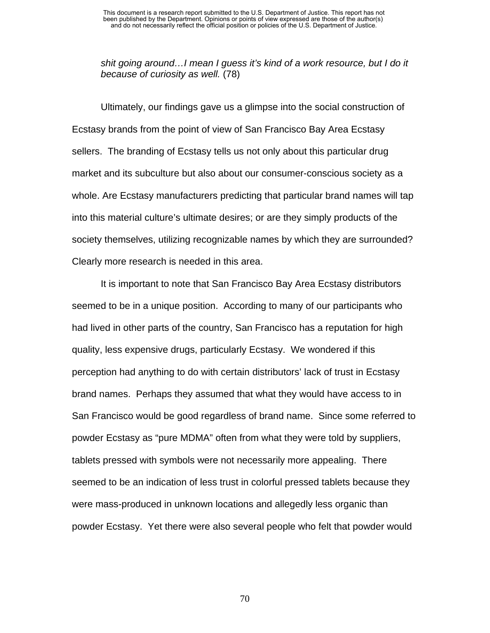*shit going around…I mean I guess it's kind of a work resource, but I do it because of curiosity as well.* (78)

Ultimately, our findings gave us a glimpse into the social construction of Ecstasy brands from the point of view of San Francisco Bay Area Ecstasy sellers.The branding of Ecstasy tells us not only about this particular drug market and its subculture but also about our consumer-conscious society as a whole. Are Ecstasy manufacturers predicting that particular brand names will tap into this material culture's ultimate desires; or are they simply products of the society themselves, utilizing recognizable names by which they are surrounded? Clearly more research is needed in this area.

It is important to note that San Francisco Bay Area Ecstasy distributors seemed to be in a unique position. According to many of our participants who had lived in other parts of the country, San Francisco has a reputation for high quality, less expensive drugs, particularly Ecstasy. We wondered if this perception had anything to do with certain distributors' lack of trust in Ecstasy brand names. Perhaps they assumed that what they would have access to in San Francisco would be good regardless of brand name. Since some referred to powder Ecstasy as "pure MDMA" often from what they were told by suppliers, tablets pressed with symbols were not necessarily more appealing. There seemed to be an indication of less trust in colorful pressed tablets because they were mass-produced in unknown locations and allegedly less organic than powder Ecstasy. Yet there were also several people who felt that powder would

70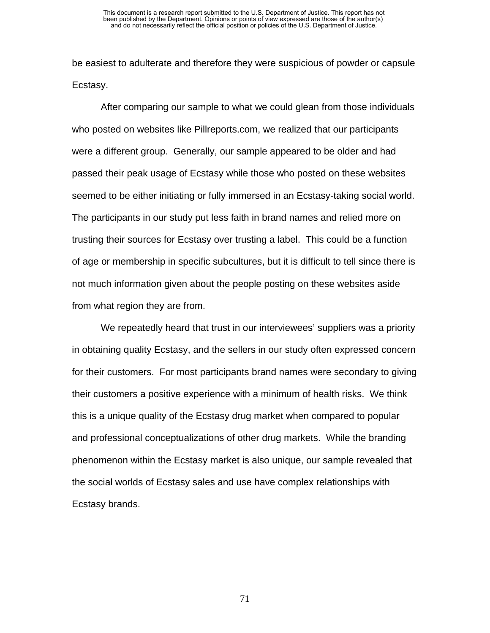be easiest to adulterate and therefore they were suspicious of powder or capsule Ecstasy.

After comparing our sample to what we could glean from those individuals who posted on websites like Pillreports.com, we realized that our participants were a different group. Generally, our sample appeared to be older and had passed their peak usage of Ecstasy while those who posted on these websites seemed to be either initiating or fully immersed in an Ecstasy-taking social world. The participants in our study put less faith in brand names and relied more on trusting their sources for Ecstasy over trusting a label. This could be a function of age or membership in specific subcultures, but it is difficult to tell since there is not much information given about the people posting on these websites aside from what region they are from.

We repeatedly heard that trust in our interviewees' suppliers was a priority in obtaining quality Ecstasy, and the sellers in our study often expressed concern for their customers. For most participants brand names were secondary to giving their customers a positive experience with a minimum of health risks. We think this is a unique quality of the Ecstasy drug market when compared to popular and professional conceptualizations of other drug markets. While the branding phenomenon within the Ecstasy market is also unique, our sample revealed that the social worlds of Ecstasy sales and use have complex relationships with Ecstasy brands.

71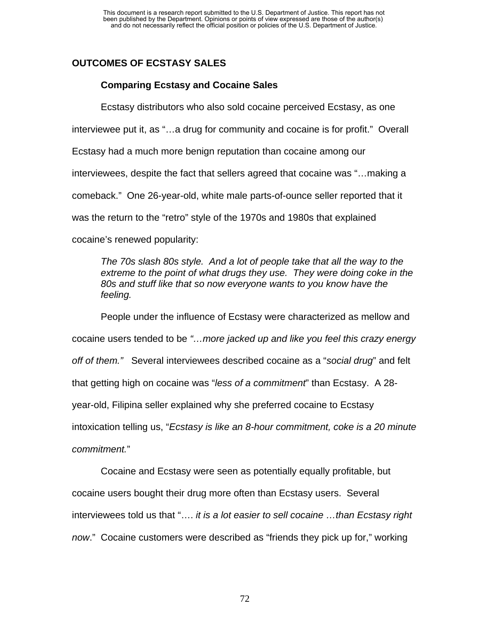# **OUTCOMES OF ECSTASY SALES**

## **Comparing Ecstasy and Cocaine Sales**

Ecstasy distributors who also sold cocaine perceived Ecstasy, as one

interviewee put it, as "…a drug for community and cocaine is for profit." Overall

Ecstasy had a much more benign reputation than cocaine among our

interviewees, despite the fact that sellers agreed that cocaine was "…making a

comeback." One 26-year-old, white male parts-of-ounce seller reported that it

was the return to the "retro" style of the 1970s and 1980s that explained

cocaine's renewed popularity:

*The 70s slash 80s style. And a lot of people take that all the way to the extreme to the point of what drugs they use. They were doing coke in the 80s and stuff like that so now everyone wants to you know have the feeling.* 

People under the influence of Ecstasy were characterized as mellow and cocaine users tended to be *"…more jacked up and like you feel this crazy energy off of them."* Several interviewees described cocaine as a "*social drug*" and felt that getting high on cocaine was "*less of a commitment*" than Ecstasy. A 28 year-old, Filipina seller explained why she preferred cocaine to Ecstasy intoxication telling us, "*Ecstasy is like an 8-hour commitment, coke is a 20 minute commitment.*"

Cocaine and Ecstasy were seen as potentially equally profitable, but cocaine users bought their drug more often than Ecstasy users. Several interviewees told us that "…. *it is a lot easier to sell cocaine …than Ecstasy right now*." Cocaine customers were described as "friends they pick up for," working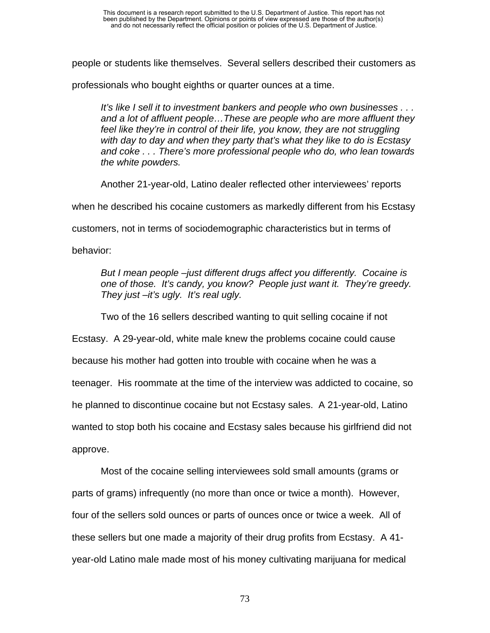people or students like themselves. Several sellers described their customers as

professionals who bought eighths or quarter ounces at a time.

*It's like I sell it to investment bankers and people who own businesses . . . and a lot of affluent people…These are people who are more affluent they*  feel like they're in control of their life, you know, they are not struggling *with day to day and when they party that's what they like to do is Ecstasy and coke . . . There's more professional people who do, who lean towards the white powders.* 

Another 21-year-old, Latino dealer reflected other interviewees' reports

when he described his cocaine customers as markedly different from his Ecstasy

customers, not in terms of sociodemographic characteristics but in terms of

behavior:

*But I mean people –just different drugs affect you differently. Cocaine is one of those. It's candy, you know? People just want it. They're greedy. They just –it's ugly. It's real ugly.* 

Two of the 16 sellers described wanting to quit selling cocaine if not

Ecstasy. A 29-year-old, white male knew the problems cocaine could cause

because his mother had gotten into trouble with cocaine when he was a

teenager. His roommate at the time of the interview was addicted to cocaine, so

he planned to discontinue cocaine but not Ecstasy sales. A 21-year-old, Latino

wanted to stop both his cocaine and Ecstasy sales because his girlfriend did not

approve.

Most of the cocaine selling interviewees sold small amounts (grams or parts of grams) infrequently (no more than once or twice a month). However, four of the sellers sold ounces or parts of ounces once or twice a week. All of these sellers but one made a majority of their drug profits from Ecstasy. A 41 year-old Latino male made most of his money cultivating marijuana for medical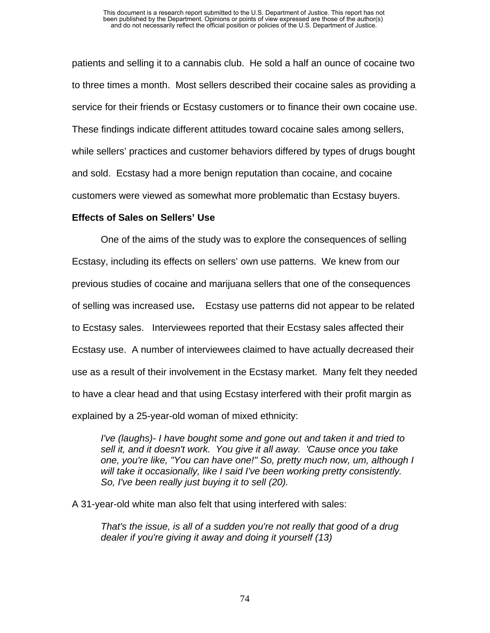patients and selling it to a cannabis club. He sold a half an ounce of cocaine two to three times a month. Most sellers described their cocaine sales as providing a service for their friends or Ecstasy customers or to finance their own cocaine use. These findings indicate different attitudes toward cocaine sales among sellers, while sellers' practices and customer behaviors differed by types of drugs bought and sold. Ecstasy had a more benign reputation than cocaine, and cocaine customers were viewed as somewhat more problematic than Ecstasy buyers.

## **Effects of Sales on Sellers' Use**

One of the aims of the study was to explore the consequences of selling Ecstasy, including its effects on sellers' own use patterns. We knew from our previous studies of cocaine and marijuana sellers that one of the consequences of selling was increased use**.** Ecstasy use patterns did not appear to be related to Ecstasy sales. Interviewees reported that their Ecstasy sales affected their Ecstasy use. A number of interviewees claimed to have actually decreased their use as a result of their involvement in the Ecstasy market. Many felt they needed to have a clear head and that using Ecstasy interfered with their profit margin as explained by a 25-year-old woman of mixed ethnicity:

*I've (laughs)- I have bought some and gone out and taken it and tried to sell it, and it doesn't work. You give it all away. 'Cause once you take one, you're like, "You can have one!" So, pretty much now, um, although I will take it occasionally, like I said I've been working pretty consistently. So, I've been really just buying it to sell (20).* 

A 31-year-old white man also felt that using interfered with sales:

*That's the issue, is all of a sudden you're not really that good of a drug dealer if you're giving it away and doing it yourself (13)*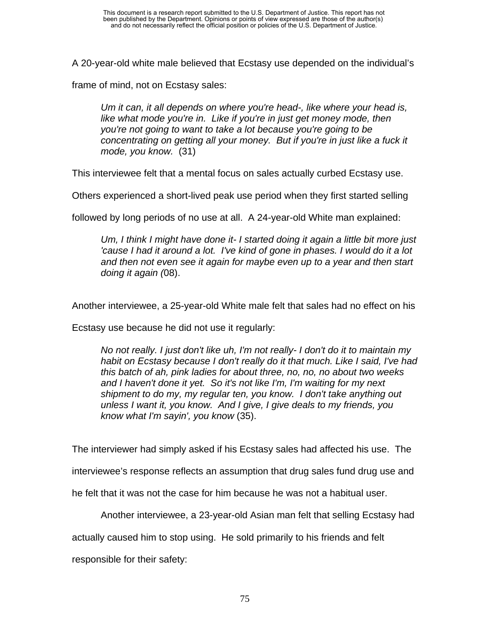A 20-year-old white male believed that Ecstasy use depended on the individual's

frame of mind, not on Ecstasy sales:

*Um it can, it all depends on where you're head-, like where your head is, like what mode you're in. Like if you're in just get money mode, then you're not going to want to take a lot because you're going to be concentrating on getting all your money. But if you're in just like a fuck it mode, you know.* (31)

This interviewee felt that a mental focus on sales actually curbed Ecstasy use.

Others experienced a short-lived peak use period when they first started selling

followed by long periods of no use at all. A 24-year-old White man explained:

*Um, I think I might have done it- I started doing it again a little bit more just 'cause I had it around a lot. I've kind of gone in phases. I would do it a lot and then not even see it again for maybe even up to a year and then start doing it again (*08).

Another interviewee, a 25-year-old White male felt that sales had no effect on his

Ecstasy use because he did not use it regularly:

*No not really. I just don't like uh, I'm not really- I don't do it to maintain my habit on Ecstasy because I don't really do it that much. Like I said, I've had this batch of ah, pink ladies for about three, no, no, no about two weeks and I haven't done it yet. So it's not like I'm, I'm waiting for my next shipment to do my, my regular ten, you know. I don't take anything out unless I want it, you know. And I give, I give deals to my friends, you know what I'm sayin', you know* (35).

The interviewer had simply asked if his Ecstasy sales had affected his use. The

interviewee's response reflects an assumption that drug sales fund drug use and

he felt that it was not the case for him because he was not a habitual user.

Another interviewee, a 23-year-old Asian man felt that selling Ecstasy had

actually caused him to stop using. He sold primarily to his friends and felt

responsible for their safety: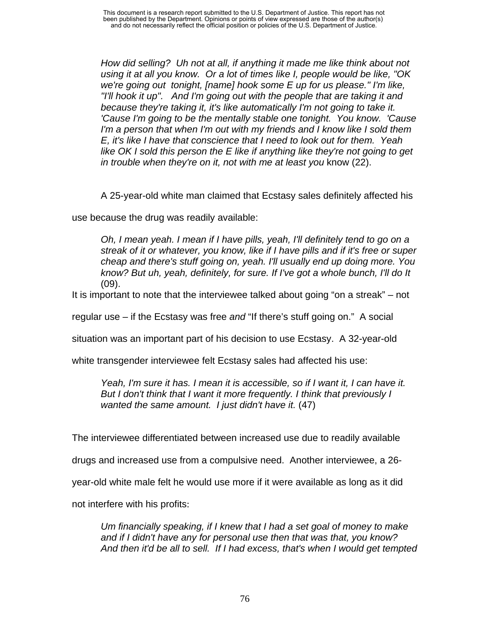This document is a research report submitted to the U.S. Department of Justice. This report has not been published by the Department. Opinions or points of view expressed are those of the author(s) and do not necessarily reflect the official position or policies of the U.S. Department of Justice.

*How did selling? Uh not at all, if anything it made me like think about not using it at all you know. Or a lot of times like I, people would be like, "OK we're going out tonight, [name] hook some E up for us please." I'm like, "I'll hook it up". And I'm going out with the people that are taking it and because they're taking it, it's like automatically I'm not going to take it. 'Cause I'm going to be the mentally stable one tonight. You know. 'Cause I'm a person that when I'm out with my friends and I know like I sold them E, it's like I have that conscience that I need to look out for them. Yeah like OK I sold this person the E like if anything like they're not going to get in trouble when they're on it, not with me at least you* know (22).

A 25-year-old white man claimed that Ecstasy sales definitely affected his

use because the drug was readily available:

*Oh, I mean yeah. I mean if I have pills, yeah, I'll definitely tend to go on a streak of it or whatever, you know, like if I have pills and if it's free or super cheap and there's stuff going on, yeah. I'll usually end up doing more. You know? But uh, yeah, definitely, for sure. If I've got a whole bunch, I'll do It*  (09).

It is important to note that the interviewee talked about going "on a streak" – not

regular use – if the Ecstasy was free *and* "If there's stuff going on." A social

situation was an important part of his decision to use Ecstasy. A 32-year-old

white transgender interviewee felt Ecstasy sales had affected his use:

*Yeah, I'm sure it has. I mean it is accessible, so if I want it, I can have it. But I don't think that I want it more frequently. I think that previously I wanted the same amount. I just didn't have it.* (47)

The interviewee differentiated between increased use due to readily available

drugs and increased use from a compulsive need. Another interviewee, a 26-

year-old white male felt he would use more if it were available as long as it did

not interfere with his profits:

*Um financially speaking, if I knew that I had a set goal of money to make and if I didn't have any for personal use then that was that, you know? And then it'd be all to sell. If I had excess, that's when I would get tempted*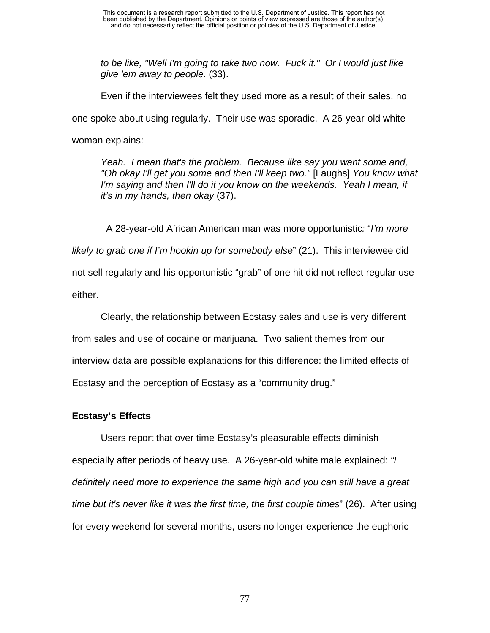*to be like, "Well I'm going to take two now. Fuck it." Or I would just like give 'em away to people*. (33).

Even if the interviewees felt they used more as a result of their sales, no one spoke about using regularly. Their use was sporadic. A 26-year-old white woman explains:

*Yeah. I mean that's the problem. Because like say you want some and, "Oh okay I'll get you some and then I'll keep two."* [Laughs] *You know what*  I'm saying and then I'll do it you know on the weekends. Yeah I mean, if *it's in my hands, then okay* (37).

 A 28-year-old African American man was more opportunistic*:* "*I'm more likely to grab one if I'm hookin up for somebody else*" (21). This interviewee did not sell regularly and his opportunistic "grab" of one hit did not reflect regular use either.

Clearly, the relationship between Ecstasy sales and use is very different from sales and use of cocaine or marijuana. Two salient themes from our interview data are possible explanations for this difference: the limited effects of Ecstasy and the perception of Ecstasy as a "community drug."

## **Ecstasy's Effects**

Users report that over time Ecstasy's pleasurable effects diminish especially after periods of heavy use. A 26-year-old white male explained: *"I definitely need more to experience the same high and you can still have a great time but it's never like it was the first time, the first couple times*" (26). After using for every weekend for several months, users no longer experience the euphoric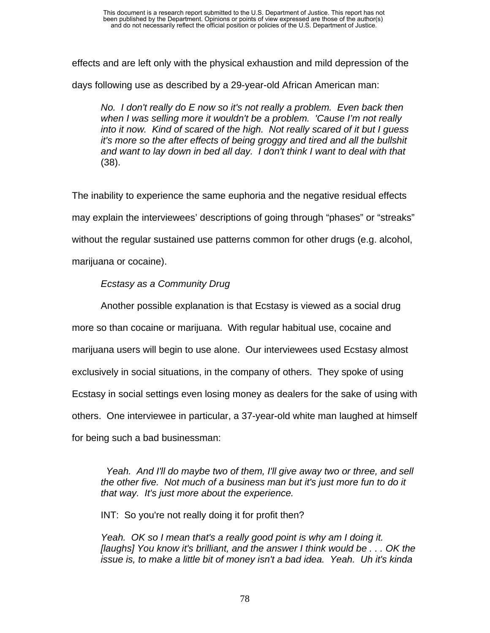effects and are left only with the physical exhaustion and mild depression of the

days following use as described by a 29-year-old African American man:

*No. I don't really do E now so it's not really a problem. Even back then when I was selling more it wouldn't be a problem. 'Cause I'm not really into it now. Kind of scared of the high. Not really scared of it but I guess it's more so the after effects of being groggy and tired and all the bullshit and want to lay down in bed all day. I don't think I want to deal with that*  (38).

The inability to experience the same euphoria and the negative residual effects may explain the interviewees' descriptions of going through "phases" or "streaks" without the regular sustained use patterns common for other drugs (e.g. alcohol, marijuana or cocaine).

## *Ecstasy as a Community Drug*

Another possible explanation is that Ecstasy is viewed as a social drug more so than cocaine or marijuana. With regular habitual use, cocaine and marijuana users will begin to use alone. Our interviewees used Ecstasy almost exclusively in social situations, in the company of others. They spoke of using Ecstasy in social settings even losing money as dealers for the sake of using with others. One interviewee in particular, a 37-year-old white man laughed at himself for being such a bad businessman:

 *Yeah. And I'll do maybe two of them, I'll give away two or three, and sell the other five. Not much of a business man but it's just more fun to do it that way. It's just more about the experience.* 

INT: So you're not really doing it for profit then?

*Yeah. OK so I mean that's a really good point is why am I doing it. [laughs] You know it's brilliant, and the answer I think would be . . . OK the issue is, to make a little bit of money isn't a bad idea. Yeah. Uh it's kinda*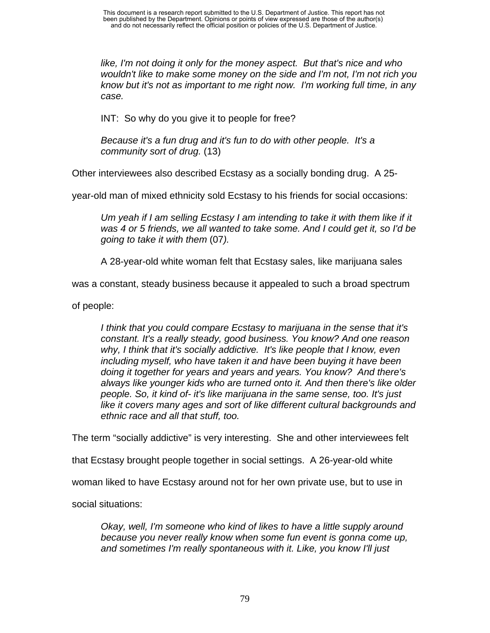*like, I'm not doing it only for the money aspect. But that's nice and who wouldn't like to make some money on the side and I'm not, I'm not rich you know but it's not as important to me right now. I'm working full time, in any case.* 

INT: So why do you give it to people for free?

*Because it's a fun drug and it's fun to do with other people. It's a community sort of drug.* (13)

Other interviewees also described Ecstasy as a socially bonding drug. A 25-

year-old man of mixed ethnicity sold Ecstasy to his friends for social occasions:

*Um yeah if I am selling Ecstasy I am intending to take it with them like if it was 4 or 5 friends, we all wanted to take some. And I could get it, so I'd be going to take it with them* (07*).* 

A 28-year-old white woman felt that Ecstasy sales, like marijuana sales

was a constant, steady business because it appealed to such a broad spectrum

of people:

*I think that you could compare Ecstasy to marijuana in the sense that it's constant. It's a really steady, good business. You know? And one reason why, I think that it's socially addictive. It's like people that I know, even including myself, who have taken it and have been buying it have been doing it together for years and years and years. You know? And there's always like younger kids who are turned onto it. And then there's like older people. So, it kind of- it's like marijuana in the same sense, too. It's just like it covers many ages and sort of like different cultural backgrounds and ethnic race and all that stuff, too.* 

The term "socially addictive" is very interesting. She and other interviewees felt

that Ecstasy brought people together in social settings. A 26-year-old white

woman liked to have Ecstasy around not for her own private use, but to use in

social situations:

*Okay, well, I'm someone who kind of likes to have a little supply around because you never really know when some fun event is gonna come up, and sometimes I'm really spontaneous with it. Like, you know I'll just*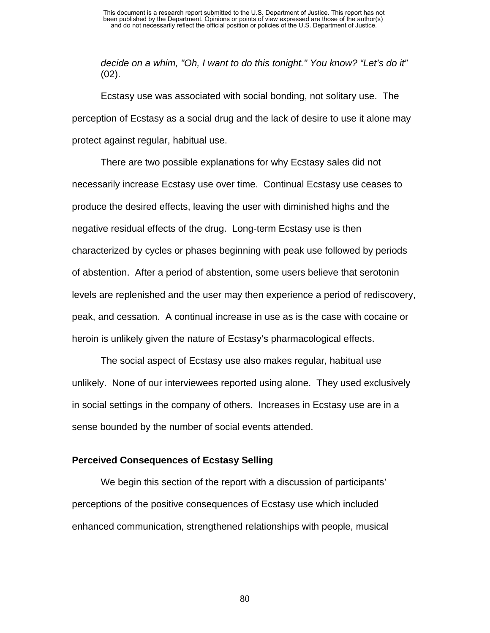*decide on a whim, "Oh, I want to do this tonight." You know? "Let's do it"* (02).

Ecstasy use was associated with social bonding, not solitary use. The perception of Ecstasy as a social drug and the lack of desire to use it alone may protect against regular, habitual use.

There are two possible explanations for why Ecstasy sales did not necessarily increase Ecstasy use over time. Continual Ecstasy use ceases to produce the desired effects, leaving the user with diminished highs and the negative residual effects of the drug. Long-term Ecstasy use is then characterized by cycles or phases beginning with peak use followed by periods of abstention. After a period of abstention, some users believe that serotonin levels are replenished and the user may then experience a period of rediscovery, peak, and cessation. A continual increase in use as is the case with cocaine or heroin is unlikely given the nature of Ecstasy's pharmacological effects.

The social aspect of Ecstasy use also makes regular, habitual use unlikely. None of our interviewees reported using alone. They used exclusively in social settings in the company of others. Increases in Ecstasy use are in a sense bounded by the number of social events attended.

## **Perceived Consequences of Ecstasy Selling**

We begin this section of the report with a discussion of participants' perceptions of the positive consequences of Ecstasy use which included enhanced communication, strengthened relationships with people, musical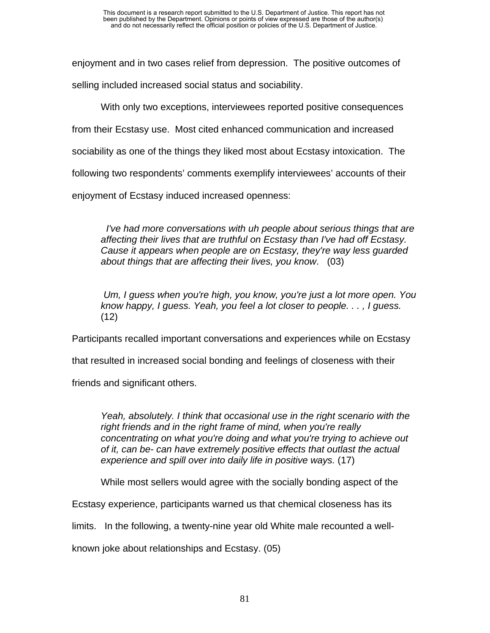enjoyment and in two cases relief from depression. The positive outcomes of selling included increased social status and sociability.

With only two exceptions, interviewees reported positive consequences from their Ecstasy use. Most cited enhanced communication and increased sociability as one of the things they liked most about Ecstasy intoxication. The following two respondents' comments exemplify interviewees' accounts of their enjoyment of Ecstasy induced increased openness:

 *I've had more conversations with uh people about serious things that are affecting their lives that are truthful on Ecstasy than I've had off Ecstasy. Cause it appears when people are on Ecstasy, they're way less guarded about things that are affecting their lives, you know*. (03)

 *Um, I guess when you're high, you know, you're just a lot more open. You know happy, I guess. Yeah, you feel a lot closer to people. . . , I guess.*  (12)

Participants recalled important conversations and experiences while on Ecstasy

that resulted in increased social bonding and feelings of closeness with their

friends and significant others.

*Yeah, absolutely. I think that occasional use in the right scenario with the right friends and in the right frame of mind, when you're really concentrating on what you're doing and what you're trying to achieve out of it, can be- can have extremely positive effects that outlast the actual experience and spill over into daily life in positive ways.* (17)

While most sellers would agree with the socially bonding aspect of the

Ecstasy experience, participants warned us that chemical closeness has its

limits. In the following, a twenty-nine year old White male recounted a well-

known joke about relationships and Ecstasy. (05)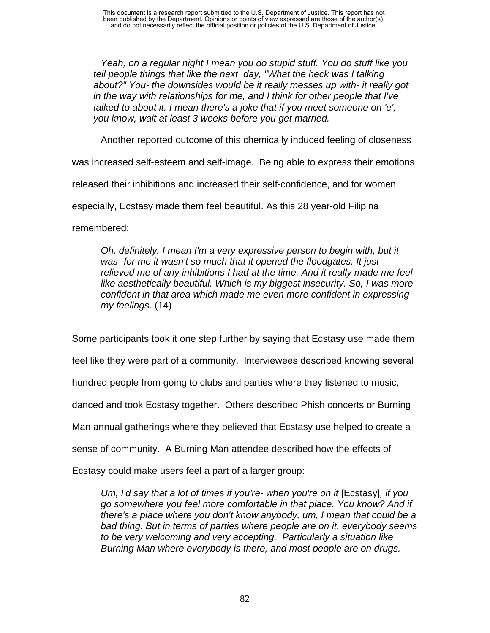*Yeah, on a regular night I mean you do stupid stuff. You do stuff like you tell people things that like the next day, "What the heck was I talking about?" You- the downsides would be it really messes up with- it really got in the way with relationships for me, and I think for other people that I've talked to about it. I mean there's a joke that if you meet someone on 'e', you know, wait at least 3 weeks before you get married.* 

Another reported outcome of this chemically induced feeling of closeness

was increased self-esteem and self-image. Being able to express their emotions

released their inhibitions and increased their self-confidence, and for women

especially, Ecstasy made them feel beautiful. As this 28 year-old Filipina

remembered:

*Oh, definitely. I mean I'm a very expressive person to begin with, but it was- for me it wasn't so much that it opened the floodgates. It just relieved me of any inhibitions I had at the time. And it really made me feel like aesthetically beautiful. Which is my biggest insecurity. So, I was more confident in that area which made me even more confident in expressing my feelings*. (14)

Some participants took it one step further by saying that Ecstasy use made them

feel like they were part of a community. Interviewees described knowing several

hundred people from going to clubs and parties where they listened to music,

danced and took Ecstasy together. Others described Phish concerts or Burning

Man annual gatherings where they believed that Ecstasy use helped to create a

sense of community. A Burning Man attendee described how the effects of

Ecstasy could make users feel a part of a larger group:

*Um, I'd say that a lot of times if you're- when you're on it [Ecstasy], if you go somewhere you feel more comfortable in that place. You know? And if there's a place where you don't know anybody, um, I mean that could be a bad thing. But in terms of parties where people are on it, everybody seems to be very welcoming and very accepting. Particularly a situation like Burning Man where everybody is there, and most people are on drugs.*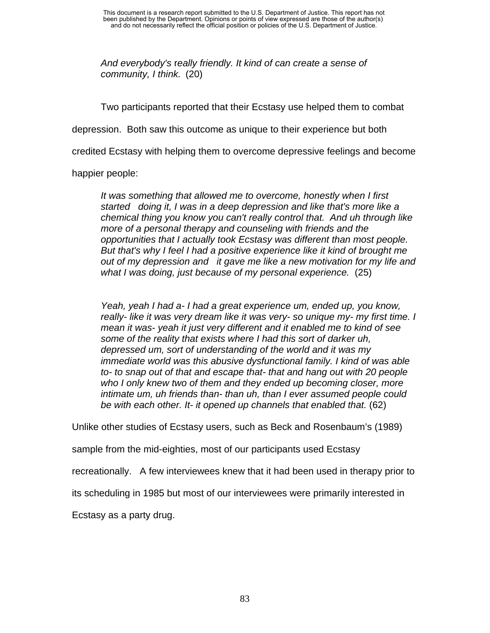*And everybody's* r*eally friendly. It kind of can create a sense of community, I think.* (20)

Two participants reported that their Ecstasy use helped them to combat

depression. Both saw this outcome as unique to their experience but both

credited Ecstasy with helping them to overcome depressive feelings and become

happier people:

*It was something that allowed me to overcome, honestly when I first started doing it, I was in a deep depression and like that's more like a chemical thing you know you can't really control that. And uh through like more of a personal therapy and counseling with friends and the opportunities that I actually took Ecstasy was different than most people. But that's why I feel I had a positive experience like it kind of brought me out of my depression and it gave me like a new motivation for my life and what I was doing, just because of my personal experience.* (25)

*Yeah, yeah I had a- I had a great experience um, ended up, you know, really- like it was very dream like it was very- so unique my- my first time. I mean it was- yeah it just very different and it enabled me to kind of see some of the reality that exists where I had this sort of darker uh, depressed um, sort of understanding of the world and it was my immediate world was this abusive dysfunctional family. I kind of was able to- to snap out of that and escape that- that and hang out with 20 people who I only knew two of them and they ended up becoming closer, more intimate um, uh friends than- than uh, than I ever assumed people could be with each other. It- it opened up channels that enabled that.* (62)

Unlike other studies of Ecstasy users, such as Beck and Rosenbaum's (1989)

sample from the mid-eighties, most of our participants used Ecstasy

recreationally. A few interviewees knew that it had been used in therapy prior to

its scheduling in 1985 but most of our interviewees were primarily interested in

Ecstasy as a party drug.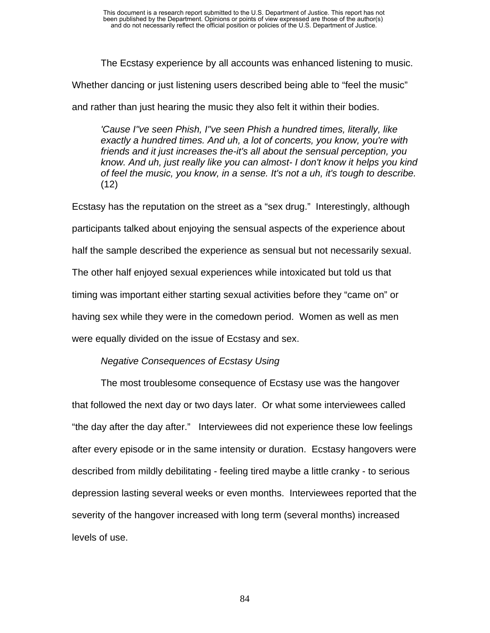The Ecstasy experience by all accounts was enhanced listening to music.

Whether dancing or just listening users described being able to "feel the music"

and rather than just hearing the music they also felt it within their bodies.

*'Cause I"ve seen Phish, I"ve seen Phish a hundred times, literally, like exactly a hundred times. And uh, a lot of concerts, you know, you're with friends and it just increases the-it's all about the sensual perception, you know. And uh, just really like you can almost- I don't know it helps you kind of feel the music, you know, in a sense. It's not a uh, it's tough to describe.* (12)

Ecstasy has the reputation on the street as a "sex drug." Interestingly, although participants talked about enjoying the sensual aspects of the experience about half the sample described the experience as sensual but not necessarily sexual. The other half enjoyed sexual experiences while intoxicated but told us that timing was important either starting sexual activities before they "came on" or having sex while they were in the comedown period. Women as well as men were equally divided on the issue of Ecstasy and sex.

## *Negative Consequences of Ecstasy Using*

The most troublesome consequence of Ecstasy use was the hangover that followed the next day or two days later. Or what some interviewees called "the day after the day after." Interviewees did not experience these low feelings after every episode or in the same intensity or duration. Ecstasy hangovers were described from mildly debilitating - feeling tired maybe a little cranky - to serious depression lasting several weeks or even months. Interviewees reported that the severity of the hangover increased with long term (several months) increased levels of use.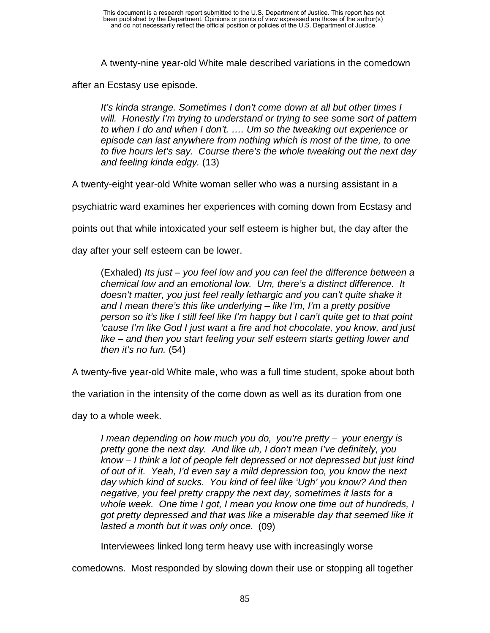A twenty-nine year-old White male described variations in the comedown

after an Ecstasy use episode.

*It's kinda strange. Sometimes I don't come down at all but other times I will. Honestly I'm trying to understand or trying to see some sort of pattern to when I do and when I don't. …. Um so the tweaking out experience or episode can last anywhere from nothing which is most of the time, to one to five hours let's say. Course there's the whole tweaking out the next day and feeling kinda edgy.* (13)

A twenty-eight year-old White woman seller who was a nursing assistant in a

psychiatric ward examines her experiences with coming down from Ecstasy and

points out that while intoxicated your self esteem is higher but, the day after the

day after your self esteem can be lower.

(Exhaled) *Its just – you feel low and you can feel the difference between a chemical low and an emotional low. Um, there's a distinct difference. It doesn't matter, you just feel really lethargic and you can't quite shake it and I mean there's this like underlying – like I'm, I'm a pretty positive person so it's like I still feel like I'm happy but I can't quite get to that point 'cause I'm like God I just want a fire and hot chocolate, you know, and just like – and then you start feeling your self esteem starts getting lower and then it's no fun.* (54)

A twenty-five year-old White male, who was a full time student, spoke about both

the variation in the intensity of the come down as well as its duration from one

day to a whole week.

*I mean depending on how much you do, you're pretty – your energy is pretty gone the next day. And like uh, I don't mean I've definitely, you know – I think a lot of people felt depressed or not depressed but just kind of out of it. Yeah, I'd even say a mild depression too, you know the next day which kind of sucks. You kind of feel like 'Ugh' you know? And then negative, you feel pretty crappy the next day, sometimes it lasts for a whole week. One time I got, I mean you know one time out of hundreds, I got pretty depressed and that was like a miserable day that seemed like it lasted a month but it was only once.* (09)

Interviewees linked long term heavy use with increasingly worse

comedowns. Most responded by slowing down their use or stopping all together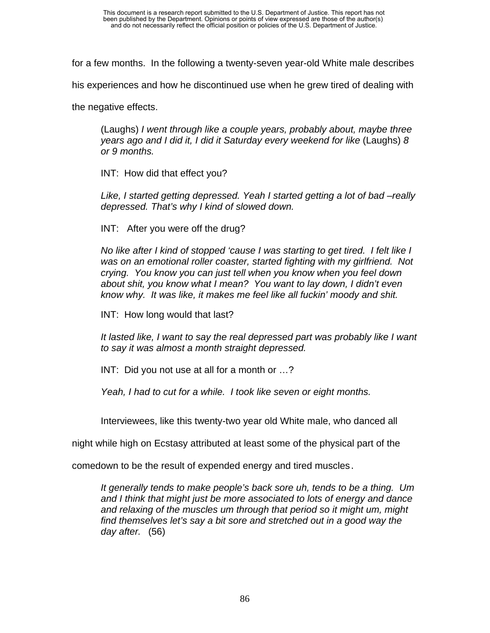for a few months. In the following a twenty-seven year-old White male describes

his experiences and how he discontinued use when he grew tired of dealing with

the negative effects.

(Laughs) *I went through like a couple years, probably about, maybe three years ago and I did it, I did it Saturday every weekend for like* (Laughs) *8 or 9 months.* 

INT: How did that effect you?

*Like, I started getting depressed. Yeah I started getting a lot of bad –really depressed. That's why I kind of slowed down.* 

INT: After you were off the drug?

*No like after I kind of stopped 'cause I was starting to get tired. I felt like I was on an emotional roller coaster, started fighting with my girlfriend. Not crying. You know you can just tell when you know when you feel down about shit, you know what I mean? You want to lay down, I didn't even know why. It was like, it makes me feel like all fuckin' moody and shit.* 

INT: How long would that last?

*It lasted like, I want to say the real depressed part was probably like I want to say it was almost a month straight depressed.* 

INT: Did you not use at all for a month or …?

*Yeah, I had to cut for a while. I took like seven or eight months.* 

Interviewees, like this twenty-two year old White male, who danced all

night while high on Ecstasy attributed at least some of the physical part of the

comedown to be the result of expended energy and tired muscles.

*It generally tends to make people's back sore uh, tends to be a thing. Um and I think that might just be more associated to lots of energy and dance and relaxing of the muscles um through that period so it might um, might find themselves let's say a bit sore and stretched out in a good way the day after.* (56)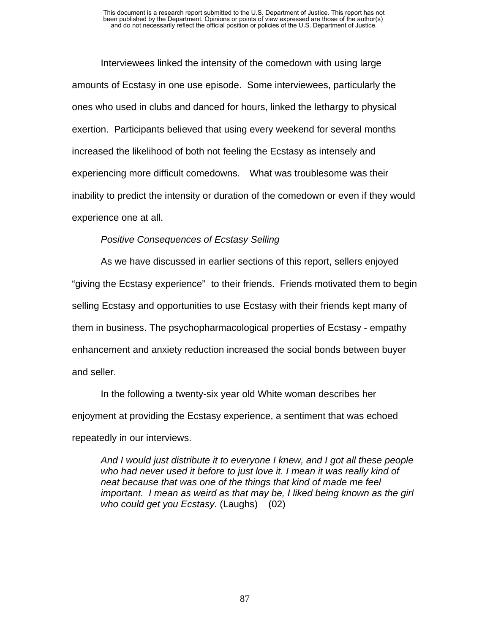Interviewees linked the intensity of the comedown with using large amounts of Ecstasy in one use episode. Some interviewees, particularly the ones who used in clubs and danced for hours, linked the lethargy to physical exertion. Participants believed that using every weekend for several months increased the likelihood of both not feeling the Ecstasy as intensely and experiencing more difficult comedowns. What was troublesome was their inability to predict the intensity or duration of the comedown or even if they would experience one at all.

## *Positive Consequences of Ecstasy Selling*

As we have discussed in earlier sections of this report, sellers enjoyed "giving the Ecstasy experience" to their friends. Friends motivated them to begin selling Ecstasy and opportunities to use Ecstasy with their friends kept many of them in business. The psychopharmacological properties of Ecstasy - empathy enhancement and anxiety reduction increased the social bonds between buyer and seller.

In the following a twenty-six year old White woman describes her enjoyment at providing the Ecstasy experience, a sentiment that was echoed repeatedly in our interviews.

*And I would just distribute it to everyone I knew, and I got all these people who had never used it before to just love it. I mean it was really kind of neat because that was one of the things that kind of made me feel important. I mean as weird as that may be, I liked being known as the girl who could get you Ecstasy.* (Laughs) (02)

87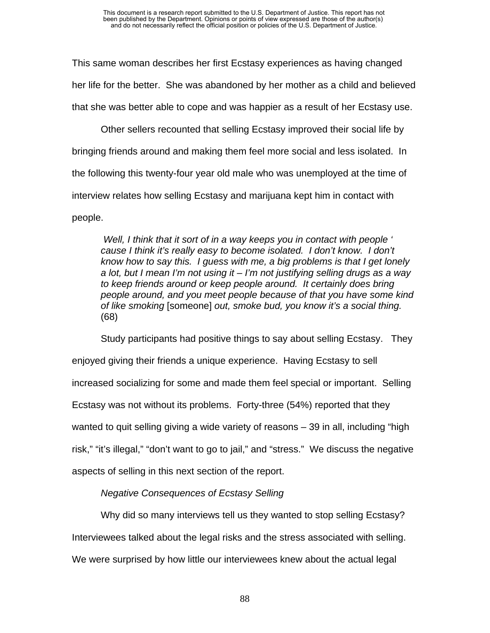This same woman describes her first Ecstasy experiences as having changed her life for the better. She was abandoned by her mother as a child and believed that she was better able to cope and was happier as a result of her Ecstasy use.

Other sellers recounted that selling Ecstasy improved their social life by bringing friends around and making them feel more social and less isolated. In the following this twenty-four year old male who was unemployed at the time of interview relates how selling Ecstasy and marijuana kept him in contact with people.

 *Well, I think that it sort of in a way keeps you in contact with people ' cause I think it's really easy to become isolated. I don't know. I don't know how to say this. I guess with me, a big problems is that I get lonely a lot, but I mean I'm not using it – I'm not justifying selling drugs as a way to keep friends around or keep people around. It certainly does bring people around, and you meet people because of that you have some kind of like smoking* [someone] *out, smoke bud, you know it's a social thing.*  (68)

Study participants had positive things to say about selling Ecstasy. They enjoyed giving their friends a unique experience. Having Ecstasy to sell increased socializing for some and made them feel special or important. Selling Ecstasy was not without its problems. Forty-three (54%) reported that they wanted to quit selling giving a wide variety of reasons – 39 in all, including "high risk," "it's illegal," "don't want to go to jail," and "stress." We discuss the negative aspects of selling in this next section of the report.

## *Negative Consequences of Ecstasy Selling*

Why did so many interviews tell us they wanted to stop selling Ecstasy?

Interviewees talked about the legal risks and the stress associated with selling.

We were surprised by how little our interviewees knew about the actual legal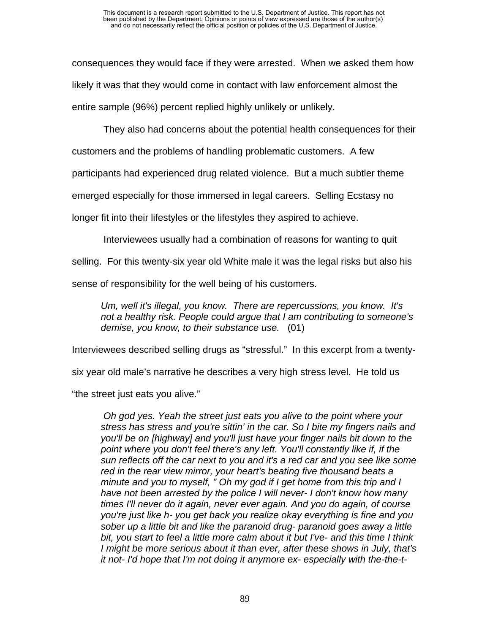consequences they would face if they were arrested. When we asked them how likely it was that they would come in contact with law enforcement almost the entire sample (96%) percent replied highly unlikely or unlikely.

They also had concerns about the potential health consequences for their

customers and the problems of handling problematic customers. A few

participants had experienced drug related violence. But a much subtler theme

emerged especially for those immersed in legal careers. Selling Ecstasy no

longer fit into their lifestyles or the lifestyles they aspired to achieve.

Interviewees usually had a combination of reasons for wanting to quit

selling. For this twenty-six year old White male it was the legal risks but also his

sense of responsibility for the well being of his customers.

*Um, well it's illegal, you know. There are repercussions, you know. It's not a healthy risk. People could argue that I am contributing to someone's demise, you know, to their substance use.* (01)

Interviewees described selling drugs as "stressful." In this excerpt from a twenty-

six year old male's narrative he describes a very high stress level. He told us

"the street just eats you alive."

 *Oh god yes. Yeah the street just eats you alive to the point where your stress has stress and you're sittin' in the car. So I bite my fingers nails and you'll be on [highway] and you'll just have your finger nails bit down to the point where you don't feel there's any left. You'll constantly like if, if the sun reflects off the car next to you and it's a red car and you see like some red in the rear view mirror, your heart's beating five thousand beats a minute and you to myself, " Oh my god if I get home from this trip and I have not been arrested by the police I will never- I don't know how many times I'll never do it again, never ever again. And you do again, of course you're just like h- you get back you realize okay everything is fine and you sober up a little bit and like the paranoid drug- paranoid goes away a little bit, you start to feel a little more calm about it but I've- and this time I think I might be more serious about it than ever, after these shows in July, that's it not- I'd hope that I'm not doing it anymore ex- especially with the-the-t-*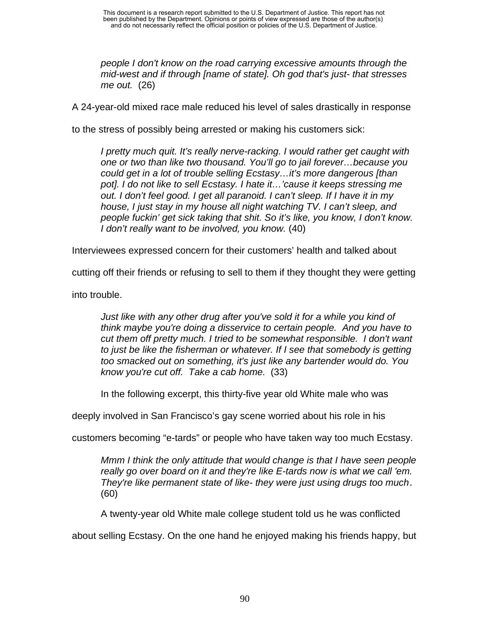*people I don't know on the road carrying excessive amounts through the mid-west and if through [name of state]. Oh god that's just- that stresses me out.* (26)

A 24-year-old mixed race male reduced his level of sales drastically in response

to the stress of possibly being arrested or making his customers sick:

*I pretty much quit. It's really nerve-racking. I would rather get caught with one or two than like two thousand. You'll go to jail forever…because you could get in a lot of trouble selling Ecstasy…it's more dangerous [than pot]. I do not like to sell Ecstasy. I hate it…'cause it keeps stressing me out. I don't feel good. I get all paranoid. I can't sleep. If I have it in my house, I just stay in my house all night watching TV. I can't sleep, and people fuckin' get sick taking that shit. So it's like, you know, I don't know. I don't really want to be involved, you know.* (40)

Interviewees expressed concern for their customers' health and talked about

cutting off their friends or refusing to sell to them if they thought they were getting

into trouble.

*Just like with any other drug after you've sold it for a while you kind of think maybe you're doing a disservice to certain people. And you have to cut them off pretty much. I tried to be somewhat responsible. I don't want to just be like the fisherman or whatever. If I see that somebody is getting too smacked out on something, it's just like any bartender would do. You know you're cut off. Take a cab home.* (33)

In the following excerpt, this thirty-five year old White male who was

deeply involved in San Francisco's gay scene worried about his role in his

customers becoming "e-tards" or people who have taken way too much Ecstasy.

*Mmm I think the only attitude that would change is that I have seen people really go over board on it and they're like E-tards now is what we call 'em. They're like permanent state of like- they were just using drugs too much.* (60)

A twenty-year old White male college student told us he was conflicted

about selling Ecstasy. On the one hand he enjoyed making his friends happy, but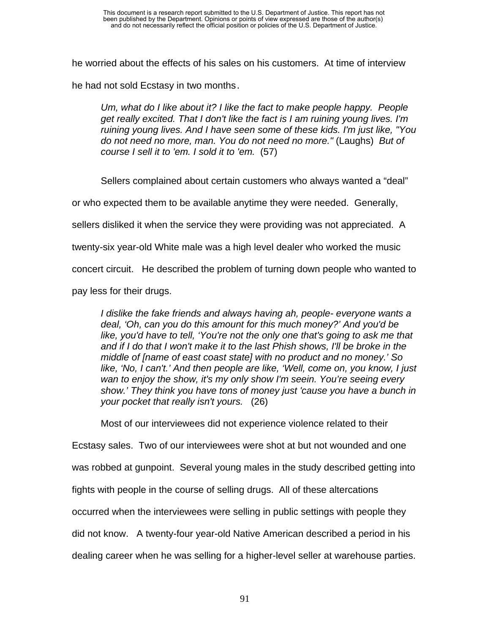he worried about the effects of his sales on his customers. At time of interview he had not sold Ecstasy in two months.

*Um, what do I like about it? I like the fact to make people happy. People get really excited. That I don't like the fact is I am ruining young lives. I'm ruining young lives. And I have seen some of these kids. I'm just like, "You do not need no more, man. You do not need no more."* (Laughs) *But of course I sell it to 'em. I sold it to 'em.* (57)

Sellers complained about certain customers who always wanted a "deal" or who expected them to be available anytime they were needed. Generally,

sellers disliked it when the service they were providing was not appreciated. A

twenty-six year-old White male was a high level dealer who worked the music

concert circuit. He described the problem of turning down people who wanted to

pay less for their drugs.

*I dislike the fake friends and always having ah, people- everyone wants a deal, 'Oh, can you do this amount for this much money?' And you'd be like, you'd have to tell, 'You're not the only one that's going to ask me that and if I do that I won't make it to the last Phish shows, I'll be broke in the middle of [name of east coast state] with no product and no money.' So like, 'No, I can't.' And then people are like, 'Well, come on, you know, I just wan to enjoy the show, it's my only show I'm seein. You're seeing every show.' They think you have tons of money just 'cause you have a bunch in your pocket that really isn't yours.* (26)

Most of our interviewees did not experience violence related to their

Ecstasy sales. Two of our interviewees were shot at but not wounded and one was robbed at gunpoint. Several young males in the study described getting into fights with people in the course of selling drugs. All of these altercations occurred when the interviewees were selling in public settings with people they did not know. A twenty-four year-old Native American described a period in his

dealing career when he was selling for a higher-level seller at warehouse parties.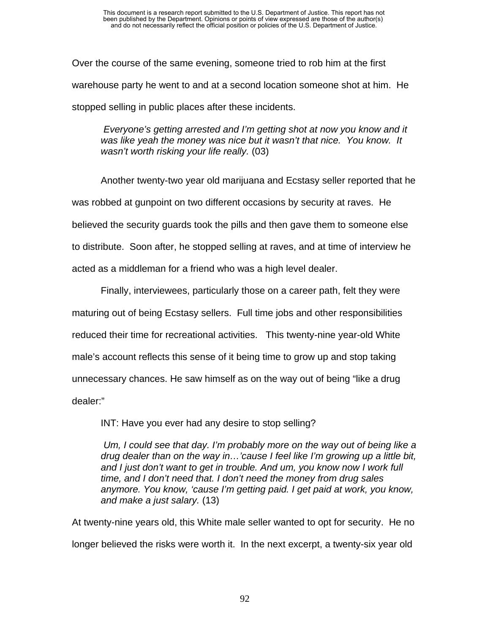Over the course of the same evening, someone tried to rob him at the first warehouse party he went to and at a second location someone shot at him. He stopped selling in public places after these incidents.

*Everyone's getting arrested and I'm getting shot at now you know and it was like yeah the money was nice but it wasn't that nice. You know. It wasn't worth risking your life really.* (03)

Another twenty-two year old marijuana and Ecstasy seller reported that he was robbed at gunpoint on two different occasions by security at raves. He believed the security guards took the pills and then gave them to someone else to distribute. Soon after, he stopped selling at raves, and at time of interview he acted as a middleman for a friend who was a high level dealer.

Finally, interviewees, particularly those on a career path, felt they were maturing out of being Ecstasy sellers. Full time jobs and other responsibilities reduced their time for recreational activities. This twenty-nine year-old White male's account reflects this sense of it being time to grow up and stop taking unnecessary chances. He saw himself as on the way out of being "like a drug dealer:"

INT: Have you ever had any desire to stop selling?

*Um, I could see that day. I'm probably more on the way out of being like a drug dealer than on the way in…'cause I feel like I'm growing up a little bit, and I just don't want to get in trouble. And um, you know now I work full time, and I don't need that. I don't need the money from drug sales anymore. You know, 'cause I'm getting paid. I get paid at work, you know, and make a just salary.* (13)

At twenty-nine years old, this White male seller wanted to opt for security. He no longer believed the risks were worth it. In the next excerpt, a twenty-six year old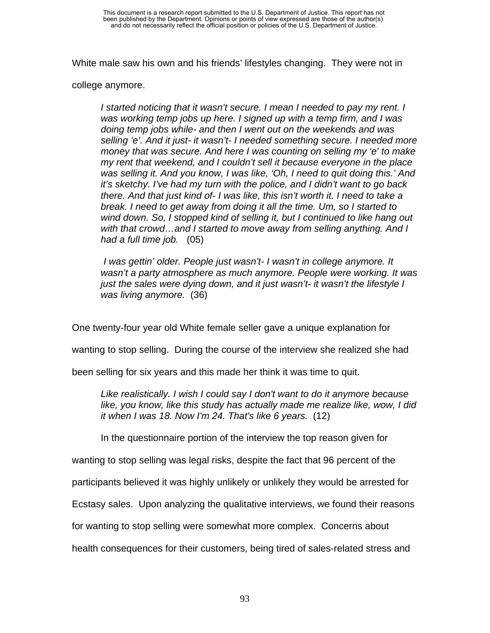White male saw his own and his friends' lifestyles changing. They were not in

college anymore.

*I started noticing that it wasn't secure. I mean I needed to pay my rent. I was working temp jobs up here. I signed up with a temp firm, and I was doing temp jobs while- and then I went out on the weekends and was selling 'e'. And it just- it wasn't- I needed something secure. I needed more money that was secure. And here I was counting on selling my 'e' to make my rent that weekend, and I couldn't sell it because everyone in the place was selling it. And you know, I was like, 'Oh, I need to quit doing this.' And it's sketchy. I've had my turn with the police, and I didn't want to go back there. And that just kind of- I was like, this isn't worth it. I need to take a break. I need to get away from doing it all the time. Um, so I started to wind down. So, I stopped kind of selling it, but I continued to like hang out with that crowd…and I started to move away from selling anything. And I had a full time job.* (05)

 *I was gettin' older. People just wasn't- I wasn't in college anymore. It wasn't a party atmosphere as much anymore. People were working. It was just the sales were dying down, and it just wasn't- it wasn't the lifestyle I was living anymore.* (36)

One twenty-four year old White female seller gave a unique explanation for

wanting to stop selling. During the course of the interview she realized she had

been selling for six years and this made her think it was time to quit.

*Like realistically. I wish I could say I don't want to do it anymore because like, you know, like this study has actually made me realize like, wow, I did it when I was 18. Now I'm 24. That's like 6 years.* (12)

In the questionnaire portion of the interview the top reason given for

wanting to stop selling was legal risks, despite the fact that 96 percent of the

participants believed it was highly unlikely or unlikely they would be arrested for

Ecstasy sales. Upon analyzing the qualitative interviews, we found their reasons

for wanting to stop selling were somewhat more complex. Concerns about

health consequences for their customers, being tired of sales-related stress and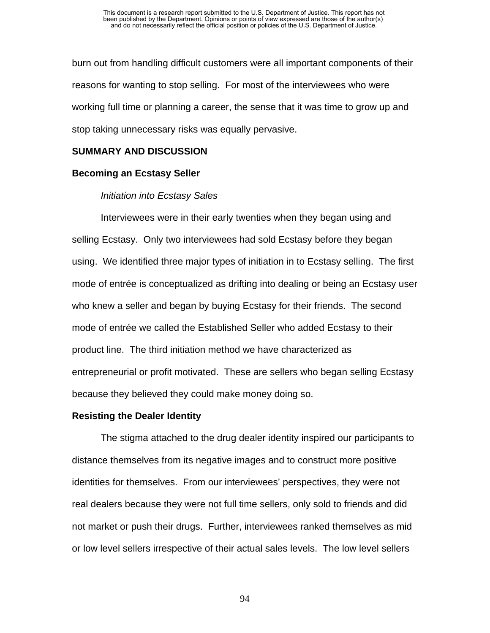burn out from handling difficult customers were all important components of their reasons for wanting to stop selling. For most of the interviewees who were working full time or planning a career, the sense that it was time to grow up and stop taking unnecessary risks was equally pervasive.

# **SUMMARY AND DISCUSSION**

# **Becoming an Ecstasy Seller**

# *Initiation into Ecstasy Sales*

Interviewees were in their early twenties when they began using and selling Ecstasy. Only two interviewees had sold Ecstasy before they began using. We identified three major types of initiation in to Ecstasy selling. The first mode of entrée is conceptualized as drifting into dealing or being an Ecstasy user who knew a seller and began by buying Ecstasy for their friends. The second mode of entrée we called the Established Seller who added Ecstasy to their product line. The third initiation method we have characterized as entrepreneurial or profit motivated. These are sellers who began selling Ecstasy because they believed they could make money doing so.

## **Resisting the Dealer Identity**

The stigma attached to the drug dealer identity inspired our participants to distance themselves from its negative images and to construct more positive identities for themselves. From our interviewees' perspectives, they were not real dealers because they were not full time sellers, only sold to friends and did not market or push their drugs. Further, interviewees ranked themselves as mid or low level sellers irrespective of their actual sales levels. The low level sellers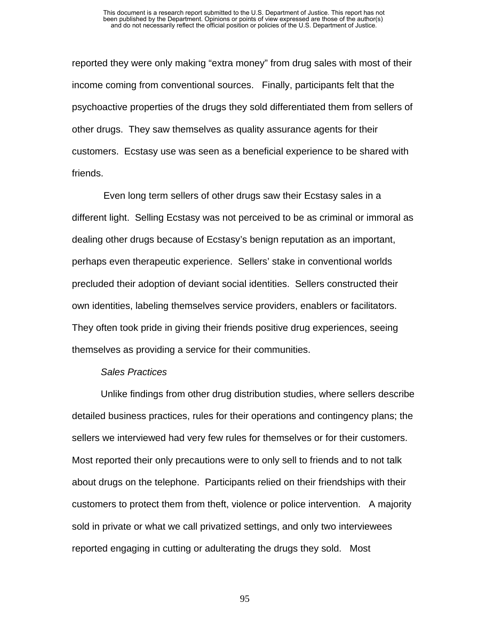reported they were only making "extra money" from drug sales with most of their income coming from conventional sources. Finally, participants felt that the psychoactive properties of the drugs they sold differentiated them from sellers of other drugs. They saw themselves as quality assurance agents for their customers. Ecstasy use was seen as a beneficial experience to be shared with friends.

 Even long term sellers of other drugs saw their Ecstasy sales in a different light. Selling Ecstasy was not perceived to be as criminal or immoral as dealing other drugs because of Ecstasy's benign reputation as an important, perhaps even therapeutic experience. Sellers' stake in conventional worlds precluded their adoption of deviant social identities. Sellers constructed their own identities, labeling themselves service providers, enablers or facilitators. They often took pride in giving their friends positive drug experiences, seeing themselves as providing a service for their communities.

#### *Sales Practices*

Unlike findings from other drug distribution studies, where sellers describe detailed business practices, rules for their operations and contingency plans; the sellers we interviewed had very few rules for themselves or for their customers. Most reported their only precautions were to only sell to friends and to not talk about drugs on the telephone. Participants relied on their friendships with their customers to protect them from theft, violence or police intervention. A majority sold in private or what we call privatized settings, and only two interviewees reported engaging in cutting or adulterating the drugs they sold. Most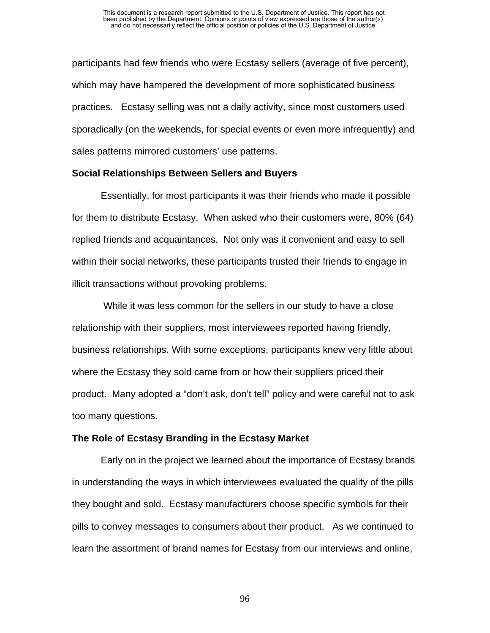participants had few friends who were Ecstasy sellers (average of five percent), which may have hampered the development of more sophisticated business practices. Ecstasy selling was not a daily activity, since most customers used sporadically (on the weekends, for special events or even more infrequently) and sales patterns mirrored customers' use patterns.

#### **Social Relationships Between Sellers and Buyers**

Essentially, for most participants it was their friends who made it possible for them to distribute Ecstasy. When asked who their customers were, 80% (64) replied friends and acquaintances. Not only was it convenient and easy to sell within their social networks, these participants trusted their friends to engage in illicit transactions without provoking problems.

 While it was less common for the sellers in our study to have a close relationship with their suppliers, most interviewees reported having friendly, business relationships. With some exceptions, participants knew very little about where the Ecstasy they sold came from or how their suppliers priced their product. Many adopted a "don't ask, don't tell" policy and were careful not to ask too many questions.

#### **The Role of Ecstasy Branding in the Ecstasy Market**

Early on in the project we learned about the importance of Ecstasy brands in understanding the ways in which interviewees evaluated the quality of the pills they bought and sold. Ecstasy manufacturers choose specific symbols for their pills to convey messages to consumers about their product. As we continued to learn the assortment of brand names for Ecstasy from our interviews and online,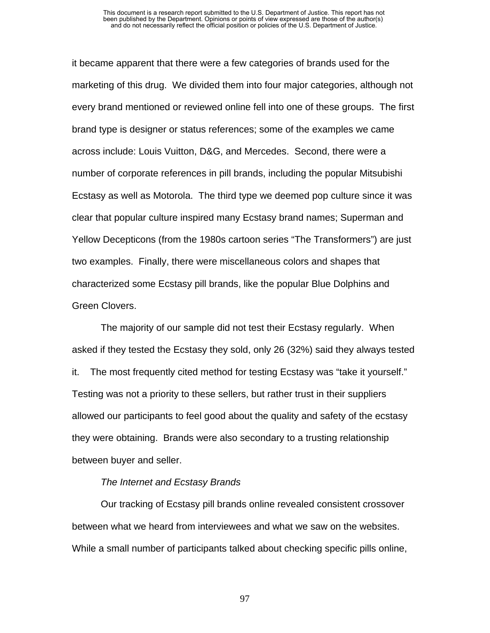#### This document is a research report submitted to the U.S. Department of Justice. This report has not been published by the Department. Opinions or points of view expressed are those of the author(s) and do not necessarily reflect the official position or policies of the U.S. Department of Justice.

it became apparent that there were a few categories of brands used for the marketing of this drug. We divided them into four major categories, although not every brand mentioned or reviewed online fell into one of these groups. The first brand type is designer or status references; some of the examples we came across include: Louis Vuitton, D&G, and Mercedes. Second, there were a number of corporate references in pill brands, including the popular Mitsubishi Ecstasy as well as Motorola. The third type we deemed pop culture since it was clear that popular culture inspired many Ecstasy brand names; Superman and Yellow Decepticons (from the 1980s cartoon series "The Transformers") are just two examples. Finally, there were miscellaneous colors and shapes that characterized some Ecstasy pill brands, like the popular Blue Dolphins and Green Clovers.

The majority of our sample did not test their Ecstasy regularly. When asked if they tested the Ecstasy they sold, only 26 (32%) said they always tested it. The most frequently cited method for testing Ecstasy was "take it yourself." Testing was not a priority to these sellers, but rather trust in their suppliers allowed our participants to feel good about the quality and safety of the ecstasy they were obtaining. Brands were also secondary to a trusting relationship between buyer and seller.

#### *The Internet and Ecstasy Brands*

Our tracking of Ecstasy pill brands online revealed consistent crossover between what we heard from interviewees and what we saw on the websites. While a small number of participants talked about checking specific pills online,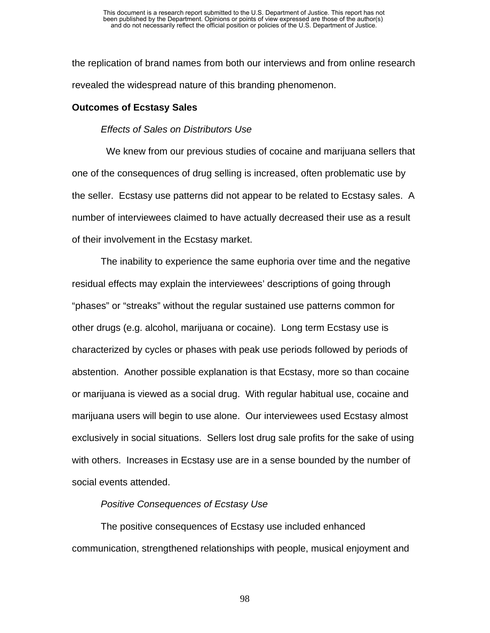the replication of brand names from both our interviews and from online research revealed the widespread nature of this branding phenomenon.

#### **Outcomes of Ecstasy Sales**

#### *Effects of Sales on Distributors Use*

 We knew from our previous studies of cocaine and marijuana sellers that one of the consequences of drug selling is increased, often problematic use by the seller. Ecstasy use patterns did not appear to be related to Ecstasy sales. A number of interviewees claimed to have actually decreased their use as a result of their involvement in the Ecstasy market.

The inability to experience the same euphoria over time and the negative residual effects may explain the interviewees' descriptions of going through "phases" or "streaks" without the regular sustained use patterns common for other drugs (e.g. alcohol, marijuana or cocaine). Long term Ecstasy use is characterized by cycles or phases with peak use periods followed by periods of abstention. Another possible explanation is that Ecstasy, more so than cocaine or marijuana is viewed as a social drug. With regular habitual use, cocaine and marijuana users will begin to use alone. Our interviewees used Ecstasy almost exclusively in social situations. Sellers lost drug sale profits for the sake of using with others. Increases in Ecstasy use are in a sense bounded by the number of social events attended.

#### *Positive Consequences of Ecstasy Use*

The positive consequences of Ecstasy use included enhanced communication, strengthened relationships with people, musical enjoyment and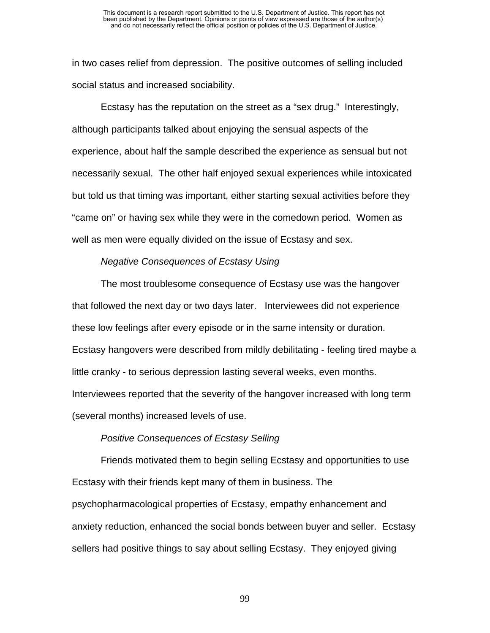in two cases relief from depression. The positive outcomes of selling included social status and increased sociability.

Ecstasy has the reputation on the street as a "sex drug." Interestingly, although participants talked about enjoying the sensual aspects of the experience, about half the sample described the experience as sensual but not necessarily sexual. The other half enjoyed sexual experiences while intoxicated but told us that timing was important, either starting sexual activities before they "came on" or having sex while they were in the comedown period. Women as well as men were equally divided on the issue of Ecstasy and sex.

### *Negative Consequences of Ecstasy Using*

The most troublesome consequence of Ecstasy use was the hangover that followed the next day or two days later. Interviewees did not experience these low feelings after every episode or in the same intensity or duration. Ecstasy hangovers were described from mildly debilitating - feeling tired maybe a little cranky - to serious depression lasting several weeks, even months. Interviewees reported that the severity of the hangover increased with long term (several months) increased levels of use.

#### *Positive Consequences of Ecstasy Selling*

Friends motivated them to begin selling Ecstasy and opportunities to use Ecstasy with their friends kept many of them in business. The psychopharmacological properties of Ecstasy, empathy enhancement and anxiety reduction, enhanced the social bonds between buyer and seller. Ecstasy sellers had positive things to say about selling Ecstasy. They enjoyed giving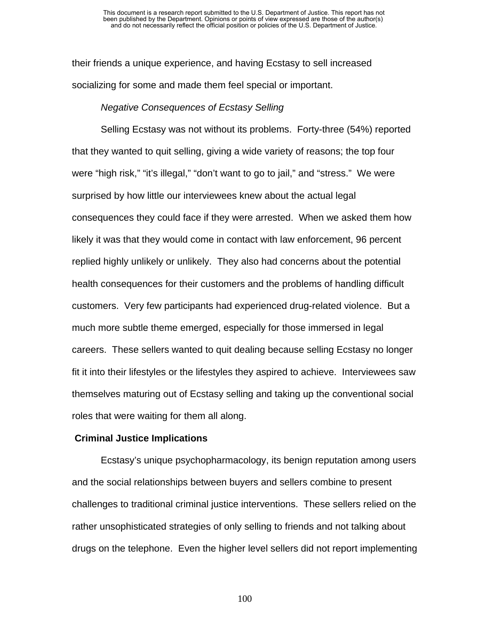their friends a unique experience, and having Ecstasy to sell increased socializing for some and made them feel special or important.

#### *Negative Consequences of Ecstasy Selling*

Selling Ecstasy was not without its problems. Forty-three (54%) reported that they wanted to quit selling, giving a wide variety of reasons; the top four were "high risk," "it's illegal," "don't want to go to jail," and "stress." We were surprised by how little our interviewees knew about the actual legal consequences they could face if they were arrested. When we asked them how likely it was that they would come in contact with law enforcement, 96 percent replied highly unlikely or unlikely. They also had concerns about the potential health consequences for their customers and the problems of handling difficult customers. Very few participants had experienced drug-related violence. But a much more subtle theme emerged, especially for those immersed in legal careers. These sellers wanted to quit dealing because selling Ecstasy no longer fit it into their lifestyles or the lifestyles they aspired to achieve. Interviewees saw themselves maturing out of Ecstasy selling and taking up the conventional social roles that were waiting for them all along.

#### **Criminal Justice Implications**

Ecstasy's unique psychopharmacology, its benign reputation among users and the social relationships between buyers and sellers combine to present challenges to traditional criminal justice interventions. These sellers relied on the rather unsophisticated strategies of only selling to friends and not talking about drugs on the telephone. Even the higher level sellers did not report implementing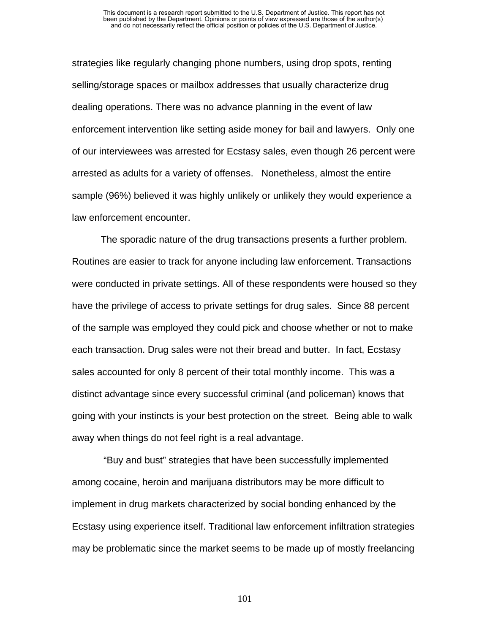strategies like regularly changing phone numbers, using drop spots, renting selling/storage spaces or mailbox addresses that usually characterize drug dealing operations. There was no advance planning in the event of law enforcement intervention like setting aside money for bail and lawyers. Only one of our interviewees was arrested for Ecstasy sales, even though 26 percent were arrested as adults for a variety of offenses. Nonetheless, almost the entire sample (96%) believed it was highly unlikely or unlikely they would experience a law enforcement encounter.

The sporadic nature of the drug transactions presents a further problem. Routines are easier to track for anyone including law enforcement. Transactions were conducted in private settings. All of these respondents were housed so they have the privilege of access to private settings for drug sales. Since 88 percent of the sample was employed they could pick and choose whether or not to make each transaction. Drug sales were not their bread and butter. In fact, Ecstasy sales accounted for only 8 percent of their total monthly income. This was a distinct advantage since every successful criminal (and policeman) knows that going with your instincts is your best protection on the street. Being able to walk away when things do not feel right is a real advantage.

 "Buy and bust" strategies that have been successfully implemented among cocaine, heroin and marijuana distributors may be more difficult to implement in drug markets characterized by social bonding enhanced by the Ecstasy using experience itself. Traditional law enforcement infiltration strategies may be problematic since the market seems to be made up of mostly freelancing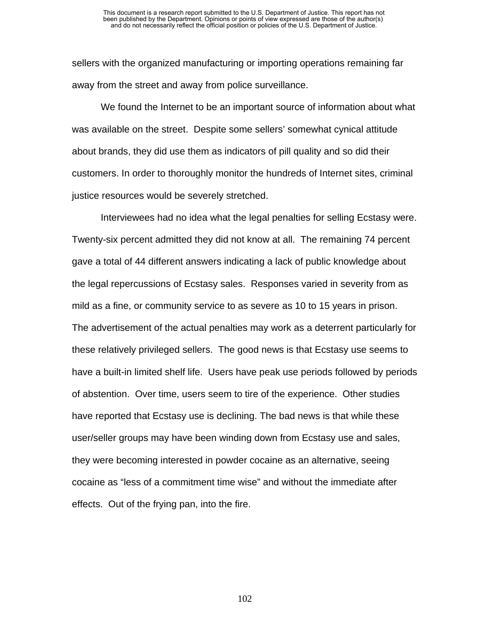sellers with the organized manufacturing or importing operations remaining far away from the street and away from police surveillance.

We found the Internet to be an important source of information about what was available on the street. Despite some sellers' somewhat cynical attitude about brands, they did use them as indicators of pill quality and so did their customers. In order to thoroughly monitor the hundreds of Internet sites, criminal justice resources would be severely stretched.

Interviewees had no idea what the legal penalties for selling Ecstasy were. Twenty-six percent admitted they did not know at all. The remaining 74 percent gave a total of 44 different answers indicating a lack of public knowledge about the legal repercussions of Ecstasy sales. Responses varied in severity from as mild as a fine, or community service to as severe as 10 to 15 years in prison. The advertisement of the actual penalties may work as a deterrent particularly for these relatively privileged sellers. The good news is that Ecstasy use seems to have a built-in limited shelf life. Users have peak use periods followed by periods of abstention. Over time, users seem to tire of the experience. Other studies have reported that Ecstasy use is declining. The bad news is that while these user/seller groups may have been winding down from Ecstasy use and sales, they were becoming interested in powder cocaine as an alternative, seeing cocaine as "less of a commitment time wise" and without the immediate after effects. Out of the frying pan, into the fire.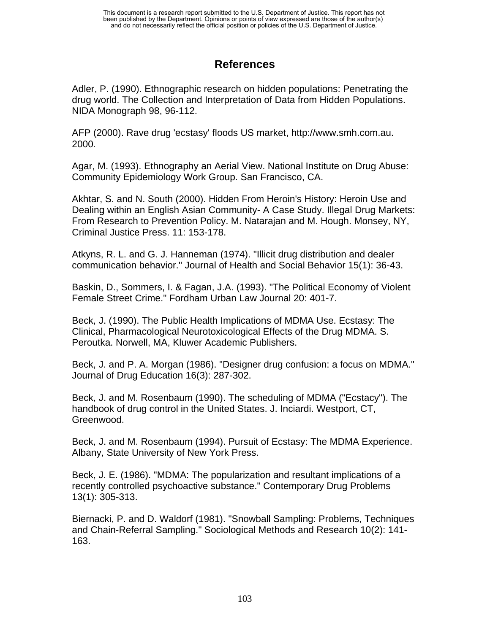# **References**

Adler, P. (1990). Ethnographic research on hidden populations: Penetrating the drug world. The Collection and Interpretation of Data from Hidden Populations. NIDA Monograph 98, 96-112.

AFP (2000). Rave drug 'ecstasy' floods US market, http://www.smh.com.au. 2000.

Agar, M. (1993). Ethnography an Aerial View. National Institute on Drug Abuse: Community Epidemiology Work Group. San Francisco, CA.

Akhtar, S. and N. South (2000). Hidden From Heroin's History: Heroin Use and Dealing within an English Asian Community- A Case Study. Illegal Drug Markets: From Research to Prevention Policy. M. Natarajan and M. Hough. Monsey, NY, Criminal Justice Press. 11: 153-178.

Atkyns, R. L. and G. J. Hanneman (1974). "Illicit drug distribution and dealer communication behavior." Journal of Health and Social Behavior 15(1): 36-43.

Baskin, D., Sommers, I. & Fagan, J.A. (1993). "The Political Economy of Violent Female Street Crime." Fordham Urban Law Journal 20: 401-7.

Beck, J. (1990). The Public Health Implications of MDMA Use. Ecstasy: The Clinical, Pharmacological Neurotoxicological Effects of the Drug MDMA. S. Peroutka. Norwell, MA, Kluwer Academic Publishers.

Beck, J. and P. A. Morgan (1986). "Designer drug confusion: a focus on MDMA." Journal of Drug Education 16(3): 287-302.

Beck, J. and M. Rosenbaum (1990). The scheduling of MDMA ("Ecstacy"). The handbook of drug control in the United States. J. Inciardi. Westport, CT, Greenwood.

Beck, J. and M. Rosenbaum (1994). Pursuit of Ecstasy: The MDMA Experience. Albany, State University of New York Press.

Beck, J. E. (1986). "MDMA: The popularization and resultant implications of a recently controlled psychoactive substance." Contemporary Drug Problems 13(1): 305-313.

Biernacki, P. and D. Waldorf (1981). "Snowball Sampling: Problems, Techniques and Chain-Referral Sampling." Sociological Methods and Research 10(2): 141- 163.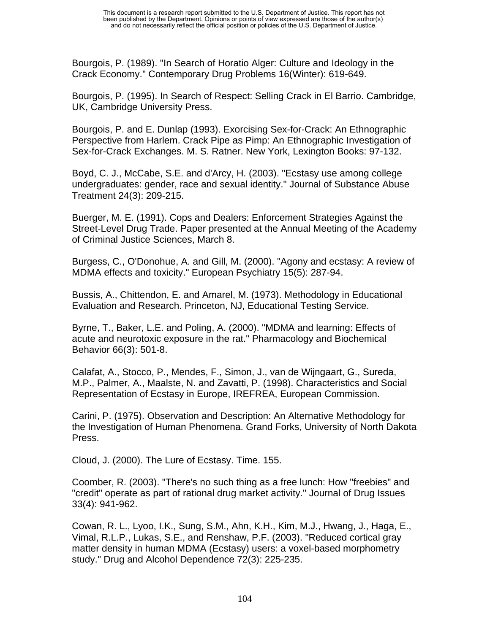Bourgois, P. (1989). "In Search of Horatio Alger: Culture and Ideology in the Crack Economy." Contemporary Drug Problems 16(Winter): 619-649.

Bourgois, P. (1995). In Search of Respect: Selling Crack in El Barrio. Cambridge, UK, Cambridge University Press.

Bourgois, P. and E. Dunlap (1993). Exorcising Sex-for-Crack: An Ethnographic Perspective from Harlem. Crack Pipe as Pimp: An Ethnographic Investigation of Sex-for-Crack Exchanges. M. S. Ratner. New York, Lexington Books: 97-132.

Boyd, C. J., McCabe, S.E. and d'Arcy, H. (2003). "Ecstasy use among college undergraduates: gender, race and sexual identity." Journal of Substance Abuse Treatment 24(3): 209-215.

Buerger, M. E. (1991). Cops and Dealers: Enforcement Strategies Against the Street-Level Drug Trade. Paper presented at the Annual Meeting of the Academy of Criminal Justice Sciences, March 8.

Burgess, C., O'Donohue, A. and Gill, M. (2000). "Agony and ecstasy: A review of MDMA effects and toxicity." European Psychiatry 15(5): 287-94.

Bussis, A., Chittendon, E. and Amarel, M. (1973). Methodology in Educational Evaluation and Research. Princeton, NJ, Educational Testing Service.

Byrne, T., Baker, L.E. and Poling, A. (2000). "MDMA and learning: Effects of acute and neurotoxic exposure in the rat." Pharmacology and Biochemical Behavior 66(3): 501-8.

Calafat, A., Stocco, P., Mendes, F., Simon, J., van de Wijngaart, G., Sureda, M.P., Palmer, A., Maalste, N. and Zavatti, P. (1998). Characteristics and Social Representation of Ecstasy in Europe, IREFREA, European Commission.

Carini, P. (1975). Observation and Description: An Alternative Methodology for the Investigation of Human Phenomena. Grand Forks, University of North Dakota Press.

Cloud, J. (2000). The Lure of Ecstasy. Time. 155.

Coomber, R. (2003). "There's no such thing as a free lunch: How "freebies" and "credit" operate as part of rational drug market activity." Journal of Drug Issues 33(4): 941-962.

Cowan, R. L., Lyoo, I.K., Sung, S.M., Ahn, K.H., Kim, M.J., Hwang, J., Haga, E., Vimal, R.L.P., Lukas, S.E., and Renshaw, P.F. (2003). "Reduced cortical gray matter density in human MDMA (Ecstasy) users: a voxel-based morphometry study." Drug and Alcohol Dependence 72(3): 225-235.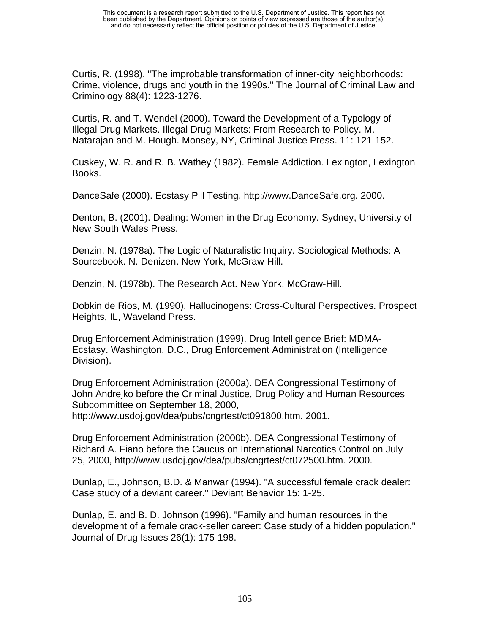Curtis, R. (1998). "The improbable transformation of inner-city neighborhoods: Crime, violence, drugs and youth in the 1990s." The Journal of Criminal Law and Criminology 88(4): 1223-1276.

Curtis, R. and T. Wendel (2000). Toward the Development of a Typology of Illegal Drug Markets. Illegal Drug Markets: From Research to Policy. M. Natarajan and M. Hough. Monsey, NY, Criminal Justice Press. 11: 121-152.

Cuskey, W. R. and R. B. Wathey (1982). Female Addiction. Lexington, Lexington Books.

DanceSafe (2000). Ecstasy Pill Testing, http://www.DanceSafe.org. 2000.

Denton, B. (2001). Dealing: Women in the Drug Economy. Sydney, University of New South Wales Press.

Denzin, N. (1978a). The Logic of Naturalistic Inquiry. Sociological Methods: A Sourcebook. N. Denizen. New York, McGraw-Hill.

Denzin, N. (1978b). The Research Act. New York, McGraw-Hill.

Dobkin de Rios, M. (1990). Hallucinogens: Cross-Cultural Perspectives. Prospect Heights, IL, Waveland Press.

Drug Enforcement Administration (1999). Drug Intelligence Brief: MDMA-Ecstasy. Washington, D.C., Drug Enforcement Administration (Intelligence Division).

Drug Enforcement Administration (2000a). DEA Congressional Testimony of John Andrejko before the Criminal Justice, Drug Policy and Human Resources Subcommittee on September 18, 2000,

http://www.usdoj.gov/dea/pubs/cngrtest/ct091800.htm. 2001.

Drug Enforcement Administration (2000b). DEA Congressional Testimony of Richard A. Fiano before the Caucus on International Narcotics Control on July 25, 2000, http://www.usdoj.gov/dea/pubs/cngrtest/ct072500.htm. 2000.

Dunlap, E., Johnson, B.D. & Manwar (1994). "A successful female crack dealer: Case study of a deviant career." Deviant Behavior 15: 1-25.

Dunlap, E. and B. D. Johnson (1996). "Family and human resources in the development of a female crack-seller career: Case study of a hidden population." Journal of Drug Issues 26(1): 175-198.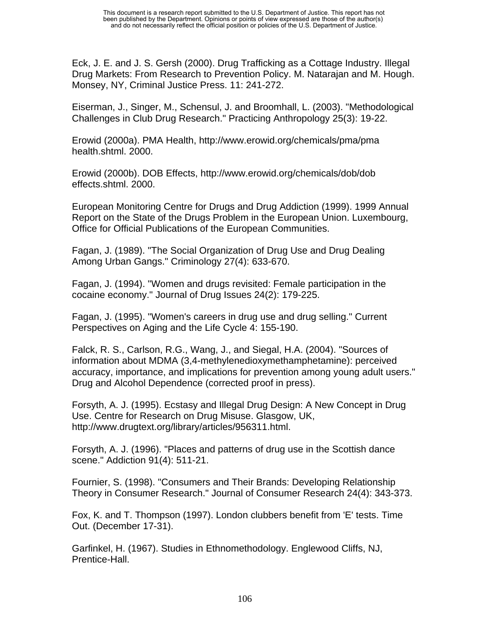Eck, J. E. and J. S. Gersh (2000). Drug Trafficking as a Cottage Industry. Illegal Drug Markets: From Research to Prevention Policy. M. Natarajan and M. Hough. Monsey, NY, Criminal Justice Press. 11: 241-272.

Eiserman, J., Singer, M., Schensul, J. and Broomhall, L. (2003). "Methodological Challenges in Club Drug Research." Practicing Anthropology 25(3): 19-22.

Erowid (2000a). PMA Health, http://www.erowid.org/chemicals/pma/pma health.shtml. 2000.

Erowid (2000b). DOB Effects, http://www.erowid.org/chemicals/dob/dob effects.shtml. 2000.

European Monitoring Centre for Drugs and Drug Addiction (1999). 1999 Annual Report on the State of the Drugs Problem in the European Union. Luxembourg, Office for Official Publications of the European Communities.

Fagan, J. (1989). "The Social Organization of Drug Use and Drug Dealing Among Urban Gangs." Criminology 27(4): 633-670.

Fagan, J. (1994). "Women and drugs revisited: Female participation in the cocaine economy." Journal of Drug Issues 24(2): 179-225.

Fagan, J. (1995). "Women's careers in drug use and drug selling." Current Perspectives on Aging and the Life Cycle 4: 155-190.

Falck, R. S., Carlson, R.G., Wang, J., and Siegal, H.A. (2004). "Sources of information about MDMA (3,4-methylenedioxymethamphetamine): perceived accuracy, importance, and implications for prevention among young adult users." Drug and Alcohol Dependence (corrected proof in press).

Forsyth, A. J. (1995). Ecstasy and Illegal Drug Design: A New Concept in Drug Use. Centre for Research on Drug Misuse. Glasgow, UK, http://www.drugtext.org/library/articles/956311.html.

Forsyth, A. J. (1996). "Places and patterns of drug use in the Scottish dance scene." Addiction 91(4): 511-21.

Fournier, S. (1998). "Consumers and Their Brands: Developing Relationship Theory in Consumer Research." Journal of Consumer Research 24(4): 343-373.

Fox, K. and T. Thompson (1997). London clubbers benefit from 'E' tests. Time Out. (December 17-31).

Garfinkel, H. (1967). Studies in Ethnomethodology. Englewood Cliffs, NJ, Prentice-Hall.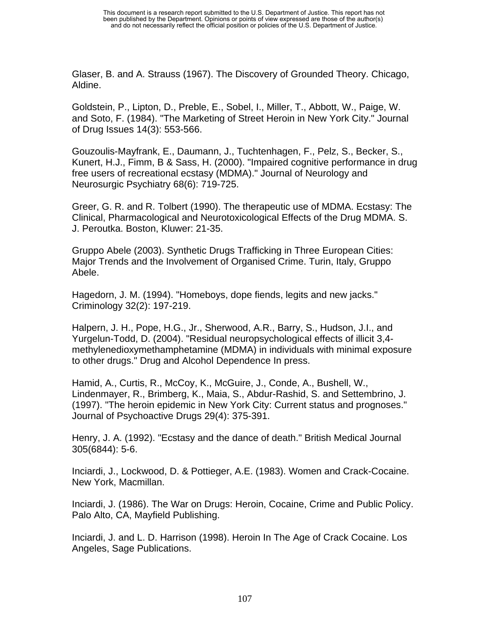Glaser, B. and A. Strauss (1967). The Discovery of Grounded Theory. Chicago, Aldine.

Goldstein, P., Lipton, D., Preble, E., Sobel, I., Miller, T., Abbott, W., Paige, W. and Soto, F. (1984). "The Marketing of Street Heroin in New York City." Journal of Drug Issues 14(3): 553-566.

Gouzoulis-Mayfrank, E., Daumann, J., Tuchtenhagen, F., Pelz, S., Becker, S., Kunert, H.J., Fimm, B & Sass, H. (2000). "Impaired cognitive performance in drug free users of recreational ecstasy (MDMA)." Journal of Neurology and Neurosurgic Psychiatry 68(6): 719-725.

Greer, G. R. and R. Tolbert (1990). The therapeutic use of MDMA. Ecstasy: The Clinical, Pharmacological and Neurotoxicological Effects of the Drug MDMA. S. J. Peroutka. Boston, Kluwer: 21-35.

Gruppo Abele (2003). Synthetic Drugs Trafficking in Three European Cities: Major Trends and the Involvement of Organised Crime. Turin, Italy, Gruppo Abele.

Hagedorn, J. M. (1994). "Homeboys, dope fiends, legits and new jacks." Criminology 32(2): 197-219.

Halpern, J. H., Pope, H.G., Jr., Sherwood, A.R., Barry, S., Hudson, J.I., and Yurgelun-Todd, D. (2004). "Residual neuropsychological effects of illicit 3,4 methylenedioxymethamphetamine (MDMA) in individuals with minimal exposure to other drugs." Drug and Alcohol Dependence In press.

Hamid, A., Curtis, R., McCoy, K., McGuire, J., Conde, A., Bushell, W., Lindenmayer, R., Brimberg, K., Maia, S., Abdur-Rashid, S. and Settembrino, J. (1997). "The heroin epidemic in New York City: Current status and prognoses." Journal of Psychoactive Drugs 29(4): 375-391.

Henry, J. A. (1992). "Ecstasy and the dance of death." British Medical Journal 305(6844): 5-6.

Inciardi, J., Lockwood, D. & Pottieger, A.E. (1983). Women and Crack-Cocaine. New York, Macmillan.

Inciardi, J. (1986). The War on Drugs: Heroin, Cocaine, Crime and Public Policy. Palo Alto, CA, Mayfield Publishing.

Inciardi, J. and L. D. Harrison (1998). Heroin In The Age of Crack Cocaine. Los Angeles, Sage Publications.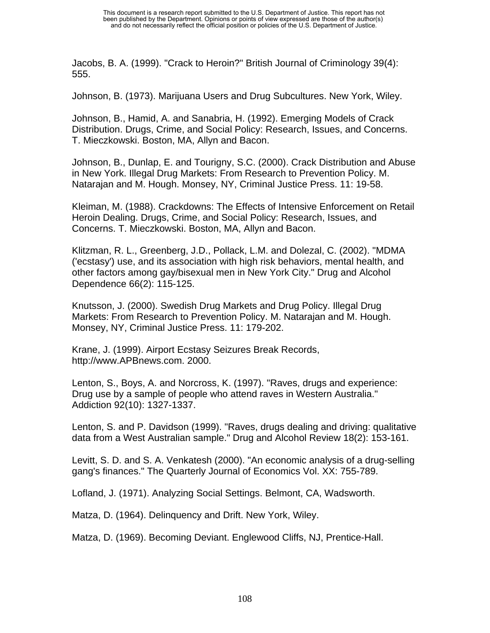Jacobs, B. A. (1999). "Crack to Heroin?" British Journal of Criminology 39(4): 555.

Johnson, B. (1973). Marijuana Users and Drug Subcultures. New York, Wiley.

Johnson, B., Hamid, A. and Sanabria, H. (1992). Emerging Models of Crack Distribution. Drugs, Crime, and Social Policy: Research, Issues, and Concerns. T. Mieczkowski. Boston, MA, Allyn and Bacon.

Johnson, B., Dunlap, E. and Tourigny, S.C. (2000). Crack Distribution and Abuse in New York. Illegal Drug Markets: From Research to Prevention Policy. M. Natarajan and M. Hough. Monsey, NY, Criminal Justice Press. 11: 19-58.

Kleiman, M. (1988). Crackdowns: The Effects of Intensive Enforcement on Retail Heroin Dealing. Drugs, Crime, and Social Policy: Research, Issues, and Concerns. T. Mieczkowski. Boston, MA, Allyn and Bacon.

Klitzman, R. L., Greenberg, J.D., Pollack, L.M. and Dolezal, C. (2002). "MDMA ('ecstasy') use, and its association with high risk behaviors, mental health, and other factors among gay/bisexual men in New York City." Drug and Alcohol Dependence 66(2): 115-125.

Knutsson, J. (2000). Swedish Drug Markets and Drug Policy. Illegal Drug Markets: From Research to Prevention Policy. M. Natarajan and M. Hough. Monsey, NY, Criminal Justice Press. 11: 179-202.

Krane, J. (1999). Airport Ecstasy Seizures Break Records, http://www.APBnews.com. 2000.

Lenton, S., Boys, A. and Norcross, K. (1997). "Raves, drugs and experience: Drug use by a sample of people who attend raves in Western Australia." Addiction 92(10): 1327-1337.

Lenton, S. and P. Davidson (1999). "Raves, drugs dealing and driving: qualitative data from a West Australian sample." Drug and Alcohol Review 18(2): 153-161.

Levitt, S. D. and S. A. Venkatesh (2000). "An economic analysis of a drug-selling gang's finances." The Quarterly Journal of Economics Vol. XX: 755-789.

Lofland, J. (1971). Analyzing Social Settings. Belmont, CA, Wadsworth.

Matza, D. (1964). Delinquency and Drift. New York, Wiley.

Matza, D. (1969). Becoming Deviant. Englewood Cliffs, NJ, Prentice-Hall.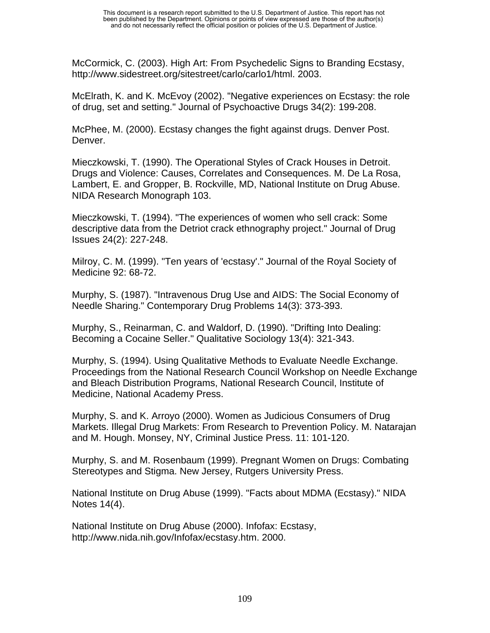McCormick, C. (2003). High Art: From Psychedelic Signs to Branding Ecstasy, http://www.sidestreet.org/sitestreet/carlo/carlo1/html. 2003.

McElrath, K. and K. McEvoy (2002). "Negative experiences on Ecstasy: the role of drug, set and setting." Journal of Psychoactive Drugs 34(2): 199-208.

McPhee, M. (2000). Ecstasy changes the fight against drugs. Denver Post. Denver.

Mieczkowski, T. (1990). The Operational Styles of Crack Houses in Detroit. Drugs and Violence: Causes, Correlates and Consequences. M. De La Rosa, Lambert, E. and Gropper, B. Rockville, MD, National Institute on Drug Abuse. NIDA Research Monograph 103.

Mieczkowski, T. (1994). "The experiences of women who sell crack: Some descriptive data from the Detriot crack ethnography project." Journal of Drug Issues 24(2): 227-248.

Milroy, C. M. (1999). "Ten years of 'ecstasy'." Journal of the Royal Society of Medicine 92: 68-72.

Murphy, S. (1987). "Intravenous Drug Use and AIDS: The Social Economy of Needle Sharing." Contemporary Drug Problems 14(3): 373-393.

Murphy, S., Reinarman, C. and Waldorf, D. (1990). "Drifting Into Dealing: Becoming a Cocaine Seller." Qualitative Sociology 13(4): 321-343.

Murphy, S. (1994). Using Qualitative Methods to Evaluate Needle Exchange. Proceedings from the National Research Council Workshop on Needle Exchange and Bleach Distribution Programs, National Research Council, Institute of Medicine, National Academy Press.

Murphy, S. and K. Arroyo (2000). Women as Judicious Consumers of Drug Markets. Illegal Drug Markets: From Research to Prevention Policy. M. Natarajan and M. Hough. Monsey, NY, Criminal Justice Press. 11: 101-120.

Murphy, S. and M. Rosenbaum (1999). Pregnant Women on Drugs: Combating Stereotypes and Stigma. New Jersey, Rutgers University Press.

National Institute on Drug Abuse (1999). "Facts about MDMA (Ecstasy)." NIDA Notes 14(4).

National Institute on Drug Abuse (2000). Infofax: Ecstasy, http://www.nida.nih.gov/Infofax/ecstasy.htm. 2000.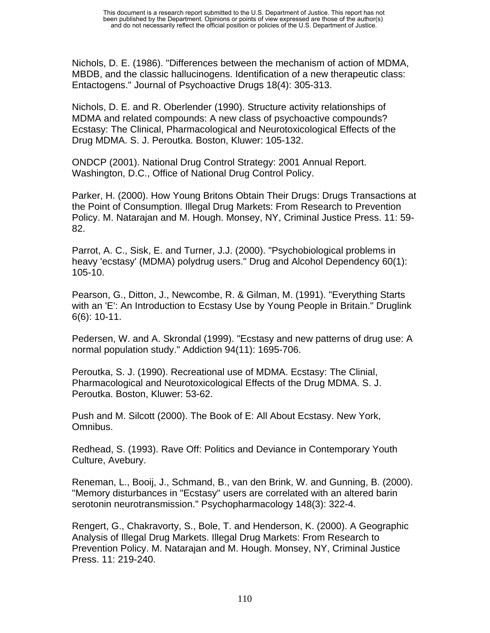Nichols, D. E. (1986). "Differences between the mechanism of action of MDMA, MBDB, and the classic hallucinogens. Identification of a new therapeutic class: Entactogens." Journal of Psychoactive Drugs 18(4): 305-313.

Nichols, D. E. and R. Oberlender (1990). Structure activity relationships of MDMA and related compounds: A new class of psychoactive compounds? Ecstasy: The Clinical, Pharmacological and Neurotoxicological Effects of the Drug MDMA. S. J. Peroutka. Boston, Kluwer: 105-132.

ONDCP (2001). National Drug Control Strategy: 2001 Annual Report. Washington, D.C., Office of National Drug Control Policy.

Parker, H. (2000). How Young Britons Obtain Their Drugs: Drugs Transactions at the Point of Consumption. Illegal Drug Markets: From Research to Prevention Policy. M. Natarajan and M. Hough. Monsey, NY, Criminal Justice Press. 11: 59- 82.

Parrot, A. C., Sisk, E. and Turner, J.J. (2000). "Psychobiological problems in heavy 'ecstasy' (MDMA) polydrug users." Drug and Alcohol Dependency 60(1): 105-10.

Pearson, G., Ditton, J., Newcombe, R. & Gilman, M. (1991). "Everything Starts with an 'E': An Introduction to Ecstasy Use by Young People in Britain." Druglink 6(6): 10-11.

Pedersen, W. and A. Skrondal (1999). "Ecstasy and new patterns of drug use: A normal population study." Addiction 94(11): 1695-706.

Peroutka, S. J. (1990). Recreational use of MDMA. Ecstasy: The Clinial, Pharmacological and Neurotoxicological Effects of the Drug MDMA. S. J. Peroutka. Boston, Kluwer: 53-62.

Push and M. Silcott (2000). The Book of E: All About Ecstasy. New York, Omnibus.

Redhead, S. (1993). Rave Off: Politics and Deviance in Contemporary Youth Culture, Avebury.

Reneman, L., Booij, J., Schmand, B., van den Brink, W. and Gunning, B. (2000). "Memory disturbances in "Ecstasy" users are correlated with an altered barin serotonin neurotransmission." Psychopharmacology 148(3): 322-4.

Rengert, G., Chakravorty, S., Bole, T. and Henderson, K. (2000). A Geographic Analysis of Illegal Drug Markets. Illegal Drug Markets: From Research to Prevention Policy. M. Natarajan and M. Hough. Monsey, NY, Criminal Justice Press. 11: 219-240.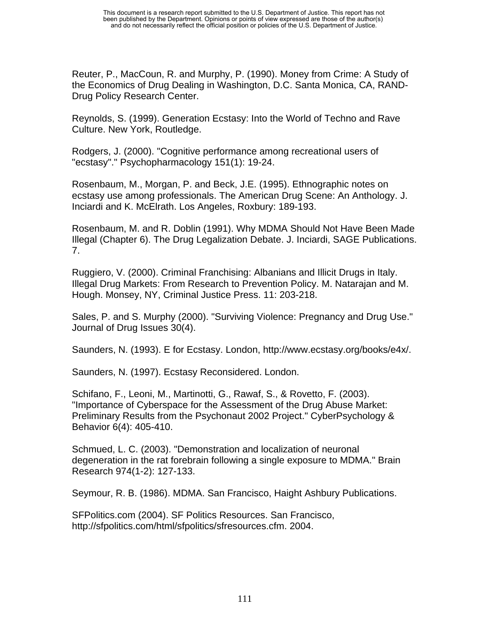Reuter, P., MacCoun, R. and Murphy, P. (1990). Money from Crime: A Study of the Economics of Drug Dealing in Washington, D.C. Santa Monica, CA, RAND-Drug Policy Research Center.

Reynolds, S. (1999). Generation Ecstasy: Into the World of Techno and Rave Culture. New York, Routledge.

Rodgers, J. (2000). "Cognitive performance among recreational users of "ecstasy"." Psychopharmacology 151(1): 19-24.

Rosenbaum, M., Morgan, P. and Beck, J.E. (1995). Ethnographic notes on ecstasy use among professionals. The American Drug Scene: An Anthology. J. Inciardi and K. McElrath. Los Angeles, Roxbury: 189-193.

Rosenbaum, M. and R. Doblin (1991). Why MDMA Should Not Have Been Made Illegal (Chapter 6). The Drug Legalization Debate. J. Inciardi, SAGE Publications. 7.

Ruggiero, V. (2000). Criminal Franchising: Albanians and Illicit Drugs in Italy. Illegal Drug Markets: From Research to Prevention Policy. M. Natarajan and M. Hough. Monsey, NY, Criminal Justice Press. 11: 203-218.

Sales, P. and S. Murphy (2000). "Surviving Violence: Pregnancy and Drug Use." Journal of Drug Issues 30(4).

Saunders, N. (1993). E for Ecstasy. London, http://www.ecstasy.org/books/e4x/.

Saunders, N. (1997). Ecstasy Reconsidered. London.

Schifano, F., Leoni, M., Martinotti, G., Rawaf, S., & Rovetto, F. (2003). "Importance of Cyberspace for the Assessment of the Drug Abuse Market: Preliminary Results from the Psychonaut 2002 Project." CyberPsychology & Behavior 6(4): 405-410.

Schmued, L. C. (2003). "Demonstration and localization of neuronal degeneration in the rat forebrain following a single exposure to MDMA." Brain Research 974(1-2): 127-133.

Seymour, R. B. (1986). MDMA. San Francisco, Haight Ashbury Publications.

SFPolitics.com (2004). SF Politics Resources. San Francisco, http://sfpolitics.com/html/sfpolitics/sfresources.cfm. 2004.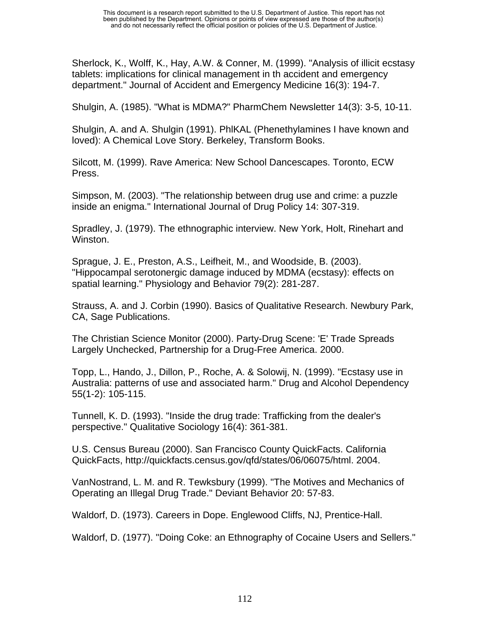Sherlock, K., Wolff, K., Hay, A.W. & Conner, M. (1999). "Analysis of illicit ecstasy tablets: implications for clinical management in th accident and emergency department." Journal of Accident and Emergency Medicine 16(3): 194-7.

Shulgin, A. (1985). "What is MDMA?" PharmChem Newsletter 14(3): 3-5, 10-11.

Shulgin, A. and A. Shulgin (1991). PhlKAL (Phenethylamines I have known and loved): A Chemical Love Story. Berkeley, Transform Books.

Silcott, M. (1999). Rave America: New School Dancescapes. Toronto, ECW Press.

Simpson, M. (2003). "The relationship between drug use and crime: a puzzle inside an enigma." International Journal of Drug Policy 14: 307-319.

Spradley, J. (1979). The ethnographic interview. New York, Holt, Rinehart and Winston.

Sprague, J. E., Preston, A.S., Leifheit, M., and Woodside, B. (2003). "Hippocampal serotonergic damage induced by MDMA (ecstasy): effects on spatial learning." Physiology and Behavior 79(2): 281-287.

Strauss, A. and J. Corbin (1990). Basics of Qualitative Research. Newbury Park, CA, Sage Publications.

The Christian Science Monitor (2000). Party-Drug Scene: 'E' Trade Spreads Largely Unchecked, Partnership for a Drug-Free America. 2000.

Topp, L., Hando, J., Dillon, P., Roche, A. & Solowij, N. (1999). "Ecstasy use in Australia: patterns of use and associated harm." Drug and Alcohol Dependency 55(1-2): 105-115.

Tunnell, K. D. (1993). "Inside the drug trade: Trafficking from the dealer's perspective." Qualitative Sociology 16(4): 361-381.

U.S. Census Bureau (2000). San Francisco County QuickFacts. California QuickFacts, http://quickfacts.census.gov/qfd/states/06/06075/html. 2004.

VanNostrand, L. M. and R. Tewksbury (1999). "The Motives and Mechanics of Operating an Illegal Drug Trade." Deviant Behavior 20: 57-83.

Waldorf, D. (1973). Careers in Dope. Englewood Cliffs, NJ, Prentice-Hall.

Waldorf, D. (1977). "Doing Coke: an Ethnography of Cocaine Users and Sellers."